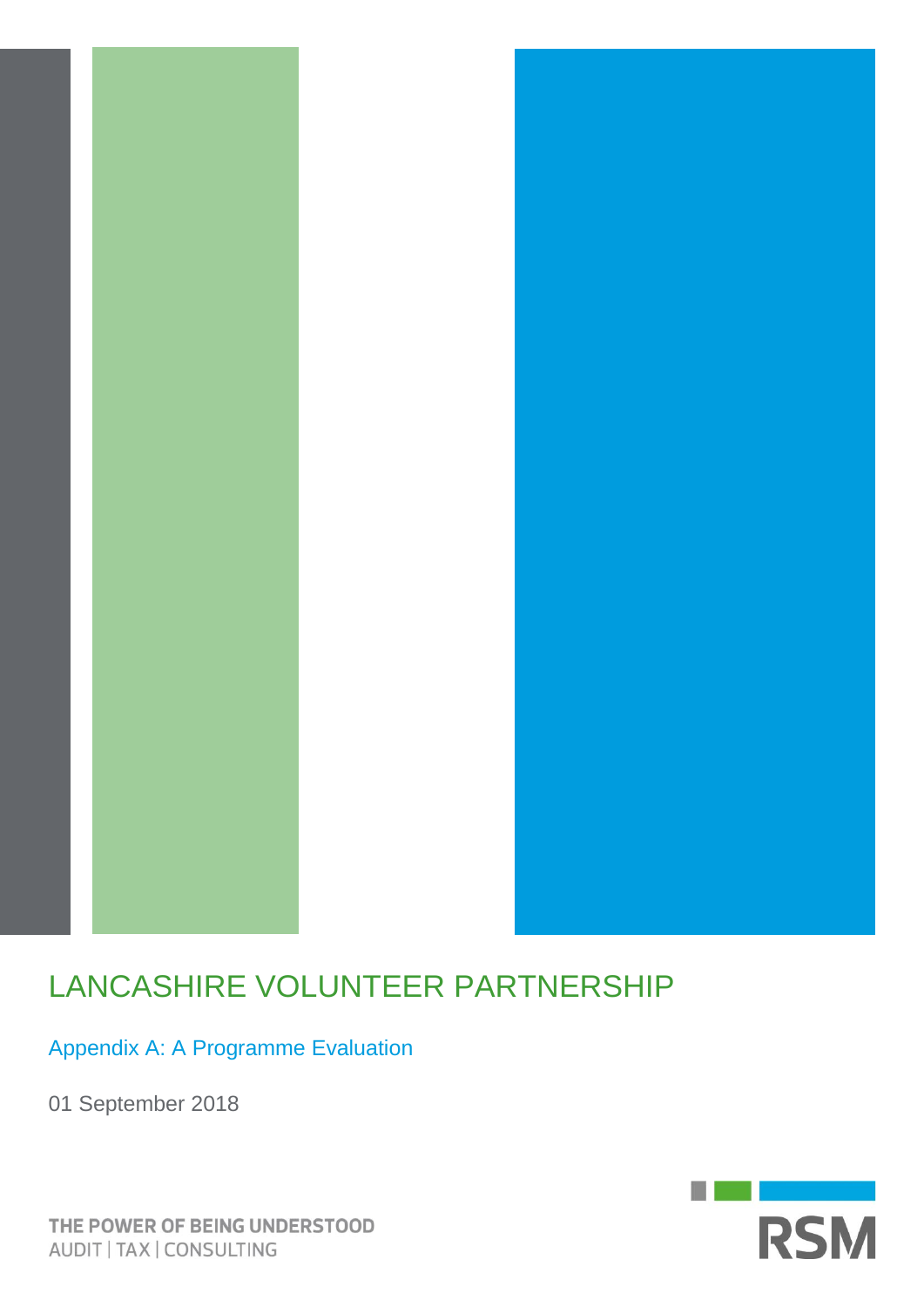

# LANCASHIRE VOLUNTEER PARTNERSHIP

Appendix A: A Programme Evaluation

01 September 2018

**RSM** 

THE POWER OF BEING UNDERSTOOD AUDIT | TAX | CONSULTING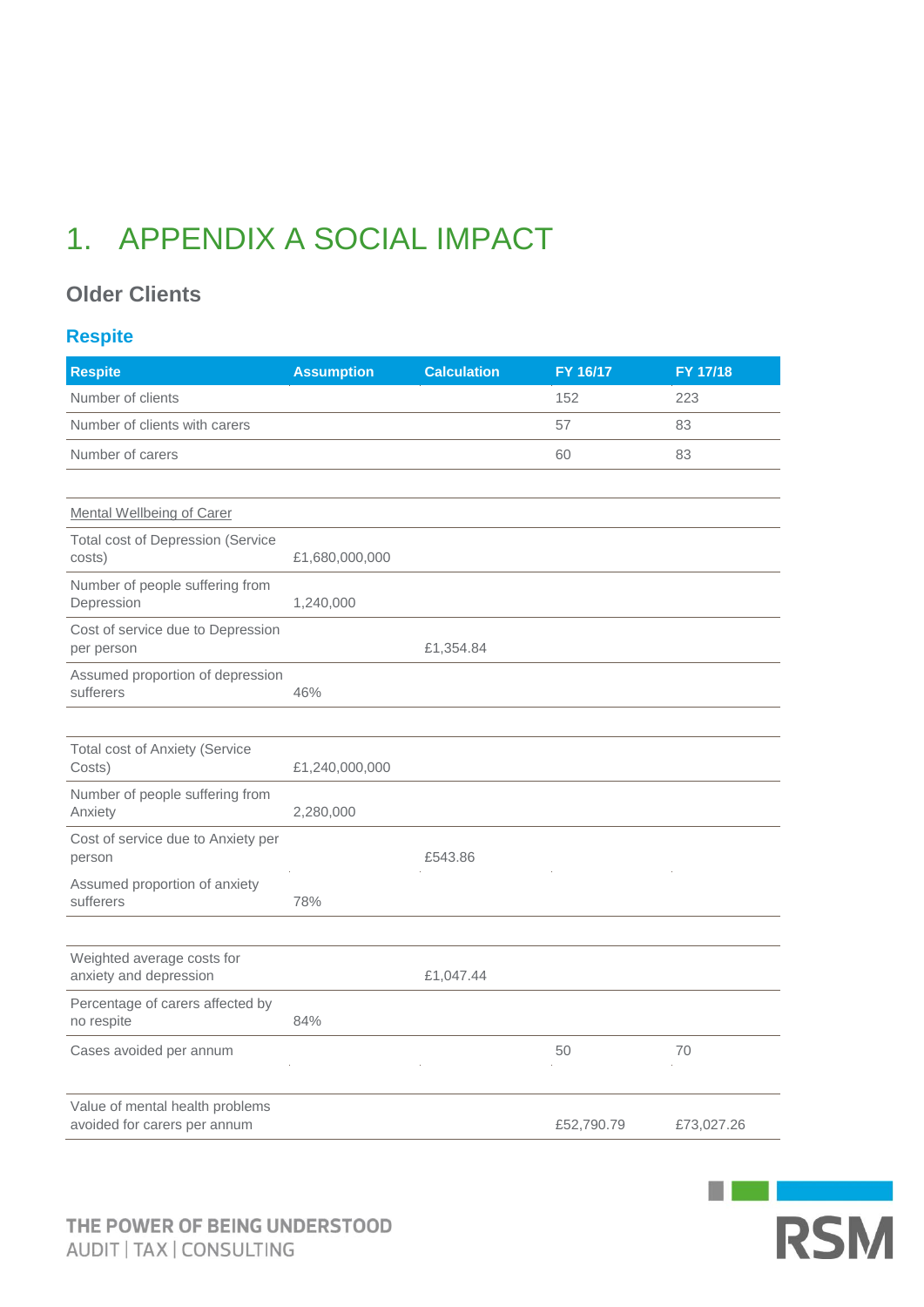# 1. APPENDIX A SOCIAL IMPACT

### **Older Clients**

### **Respite**

| <b>Respite</b>                                                  | <b>Assumption</b> | <b>Calculation</b> | FY 16/17   | FY 17/18   |
|-----------------------------------------------------------------|-------------------|--------------------|------------|------------|
| Number of clients                                               |                   |                    | 152        | 223        |
| Number of clients with carers                                   |                   |                    | 57         | 83         |
| Number of carers                                                |                   |                    | 60         | 83         |
|                                                                 |                   |                    |            |            |
| <b>Mental Wellbeing of Carer</b>                                |                   |                    |            |            |
| <b>Total cost of Depression (Service</b><br>costs)              | £1,680,000,000    |                    |            |            |
| Number of people suffering from<br>Depression                   | 1,240,000         |                    |            |            |
| Cost of service due to Depression<br>per person                 |                   | £1,354.84          |            |            |
| Assumed proportion of depression<br>sufferers                   | 46%               |                    |            |            |
|                                                                 |                   |                    |            |            |
| <b>Total cost of Anxiety (Service</b><br>Costs)                 | £1,240,000,000    |                    |            |            |
| Number of people suffering from<br>Anxiety                      | 2,280,000         |                    |            |            |
| Cost of service due to Anxiety per<br>person                    |                   | £543.86            |            |            |
| Assumed proportion of anxiety<br>sufferers                      | 78%               |                    |            |            |
|                                                                 |                   |                    |            |            |
| Weighted average costs for<br>anxiety and depression            |                   | £1,047.44          |            |            |
| Percentage of carers affected by<br>no respite                  | 84%               |                    |            |            |
| Cases avoided per annum                                         |                   |                    | 50         | 70         |
| Value of mental health problems<br>avoided for carers per annum |                   |                    | £52,790.79 | £73,027.26 |

**RSM** 

 $\begin{bmatrix} 1 & 1 \ 1 & 1 \end{bmatrix}$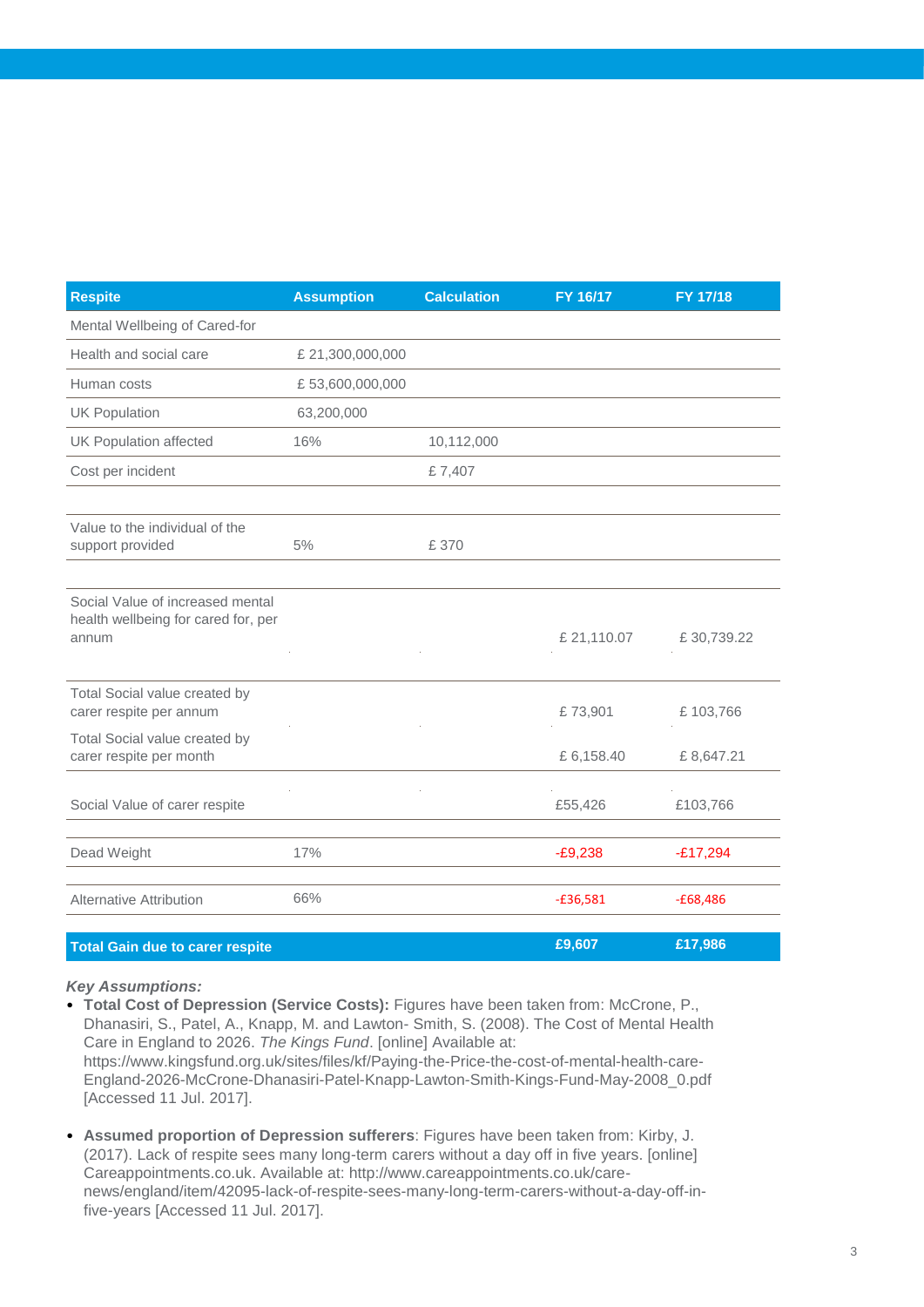| <b>Respite</b>                                                                   | <b>Assumption</b> | <b>Calculation</b> | FY 16/17   | <b>FY 17/18</b> |
|----------------------------------------------------------------------------------|-------------------|--------------------|------------|-----------------|
| Mental Wellbeing of Cared-for                                                    |                   |                    |            |                 |
| Health and social care                                                           | £ 21,300,000,000  |                    |            |                 |
| Human costs                                                                      | £53,600,000,000   |                    |            |                 |
| <b>UK Population</b>                                                             | 63,200,000        |                    |            |                 |
| <b>UK Population affected</b>                                                    | 16%               | 10,112,000         |            |                 |
| Cost per incident                                                                |                   | £7,407             |            |                 |
|                                                                                  |                   |                    |            |                 |
| Value to the individual of the<br>support provided                               | 5%                | £ 370              |            |                 |
|                                                                                  |                   |                    |            |                 |
| Social Value of increased mental<br>health wellbeing for cared for, per<br>annum |                   |                    | £21,110.07 | £30,739.22      |
|                                                                                  |                   |                    |            |                 |
| Total Social value created by<br>carer respite per annum                         |                   |                    | £73,901    | £103,766        |
| Total Social value created by<br>carer respite per month                         |                   |                    | £6,158.40  | £8,647.21       |
| Social Value of carer respite                                                    |                   |                    | £55,426    | £103,766        |
|                                                                                  |                   |                    |            |                 |
| Dead Weight                                                                      | 17%               |                    | $-E9,238$  | $-£17,294$      |
| <b>Alternative Attribution</b>                                                   | 66%               |                    | $-£36,581$ | $-£68,486$      |
| <b>Total Gain due to carer respite</b>                                           |                   |                    | £9,607     | £17,986         |

• **Total Cost of Depression (Service Costs):** Figures have been taken from: McCrone, P., Dhanasiri, S., Patel, A., Knapp, M. and Lawton- Smith, S. (2008). The Cost of Mental Health Care in England to 2026. *The Kings Fund*. [online] Available at: https://www.kingsfund.org.uk/sites/files/kf/Paying-the-Price-the-cost-of-mental-health-care-England-2026-McCrone-Dhanasiri-Patel-Knapp-Lawton-Smith-Kings-Fund-May-2008\_0.pdf [Accessed 11 Jul. 2017].

• **Assumed proportion of Depression sufferers**: Figures have been taken from: Kirby, J. (2017). Lack of respite sees many long-term carers without a day off in five years. [online] Careappointments.co.uk. Available at: http://www.careappointments.co.uk/carenews/england/item/42095-lack-of-respite-sees-many-long-term-carers-without-a-day-off-infive-years [Accessed 11 Jul. 2017].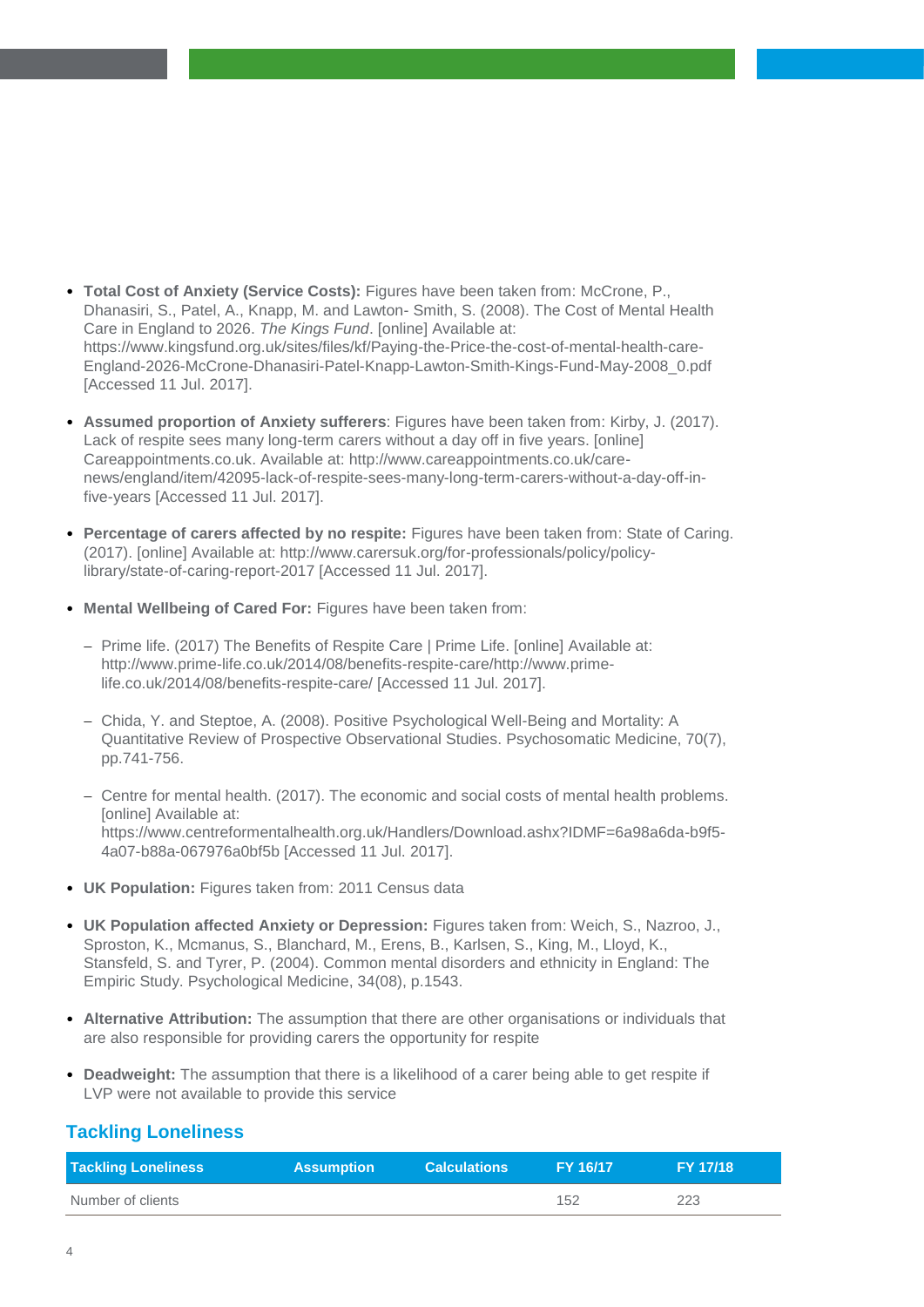- **Total Cost of Anxiety (Service Costs):** Figures have been taken from: McCrone, P., Dhanasiri, S., Patel, A., Knapp, M. and Lawton- Smith, S. (2008). The Cost of Mental Health Care in England to 2026. *The Kings Fund*. [online] Available at: https://www.kingsfund.org.uk/sites/files/kf/Paying-the-Price-the-cost-of-mental-health-care-England-2026-McCrone-Dhanasiri-Patel-Knapp-Lawton-Smith-Kings-Fund-May-2008\_0.pdf [Accessed 11 Jul. 2017].
- **Assumed proportion of Anxiety sufferers**: Figures have been taken from: Kirby, J. (2017). Lack of respite sees many long-term carers without a day off in five years. [online] Careappointments.co.uk. Available at: http://www.careappointments.co.uk/carenews/england/item/42095-lack-of-respite-sees-many-long-term-carers-without-a-day-off-infive-years [Accessed 11 Jul. 2017].
- **Percentage of carers affected by no respite:** Figures have been taken from: State of Caring. (2017). [online] Available at: http://www.carersuk.org/for-professionals/policy/policylibrary/state-of-caring-report-2017 [Accessed 11 Jul. 2017].
- **Mental Wellbeing of Cared For:** Figures have been taken from:
	- Prime life. (2017) The Benefits of Respite Care | Prime Life. [online] Available at: http://www.prime-life.co.uk/2014/08/benefits-respite-care/http://www.primelife.co.uk/2014/08/benefits-respite-care/ [Accessed 11 Jul. 2017].
	- Chida, Y. and Steptoe, A. (2008). Positive Psychological Well-Being and Mortality: A Quantitative Review of Prospective Observational Studies. Psychosomatic Medicine, 70(7), pp.741-756.
	- Centre for mental health. (2017). The economic and social costs of mental health problems. [online] Available at: https://www.centreformentalhealth.org.uk/Handlers/Download.ashx?IDMF=6a98a6da-b9f5- 4a07-b88a-067976a0bf5b [Accessed 11 Jul. 2017].
- **UK Population:** Figures taken from: 2011 Census data
- **UK Population affected Anxiety or Depression:** Figures taken from: Weich, S., Nazroo, J., Sproston, K., Mcmanus, S., Blanchard, M., Erens, B., Karlsen, S., King, M., Lloyd, K., Stansfeld, S. and Tyrer, P. (2004). Common mental disorders and ethnicity in England: The Empiric Study. Psychological Medicine, 34(08), p.1543.
- **Alternative Attribution:** The assumption that there are other organisations or individuals that are also responsible for providing carers the opportunity for respite
- **Deadweight:** The assumption that there is a likelihood of a carer being able to get respite if LVP were not available to provide this service

#### **Tackling Loneliness**

| <b>Tackling Loneliness</b> | <b>Assumption</b> | <b>Calculations</b> | <b>FY 16/17</b> | <b>FY 17/18</b> |
|----------------------------|-------------------|---------------------|-----------------|-----------------|
| Number of clients          |                   |                     | 152             | 223             |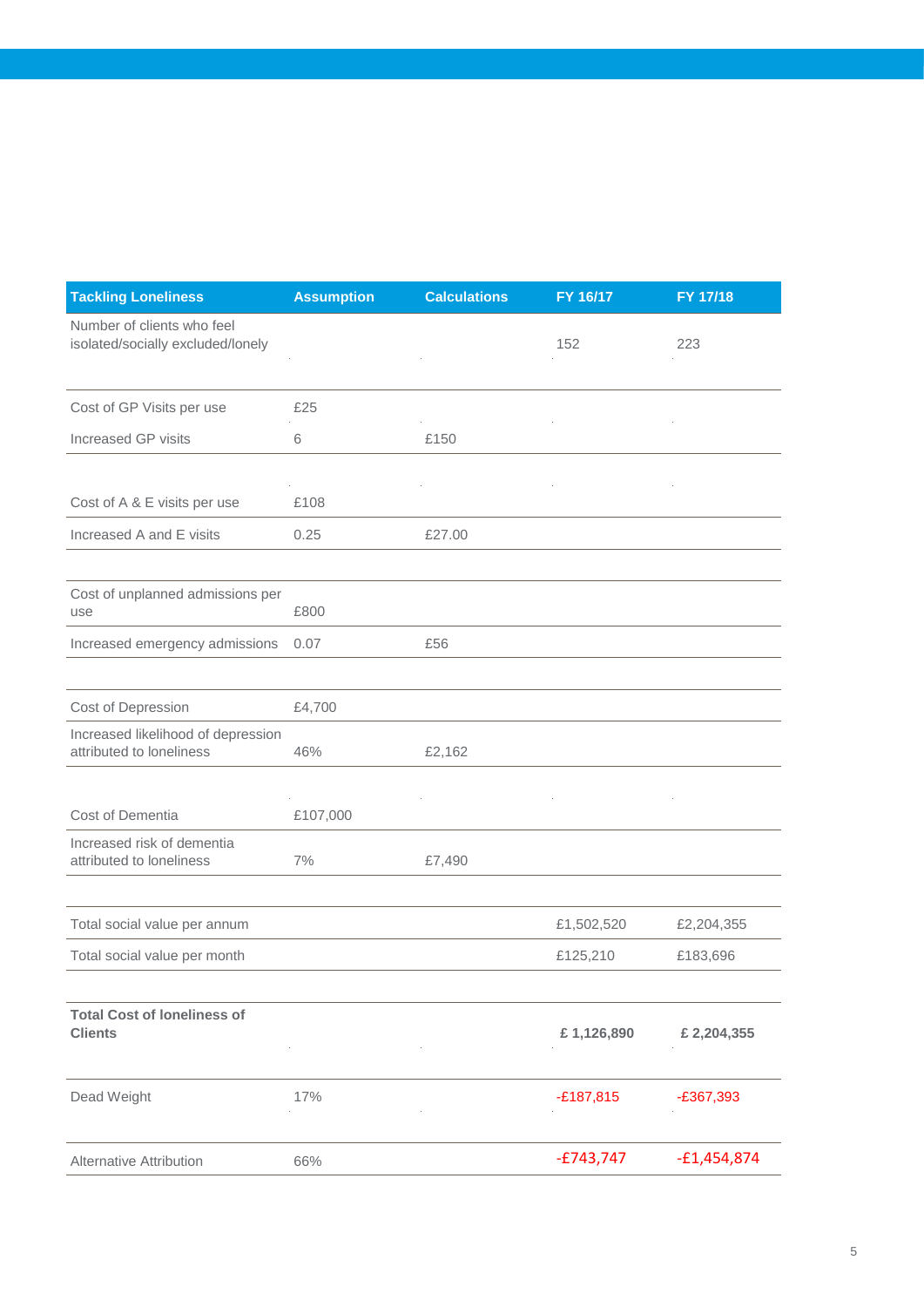| <b>Tackling Loneliness</b>                                      | <b>Assumption</b> | <b>Calculations</b> | FY 16/17    | FY 17/18      |
|-----------------------------------------------------------------|-------------------|---------------------|-------------|---------------|
| Number of clients who feel<br>isolated/socially excluded/lonely |                   |                     | 152         | 223           |
|                                                                 |                   |                     |             |               |
| Cost of GP Visits per use                                       | £25               |                     |             |               |
| Increased GP visits                                             | 6                 | £150                |             |               |
|                                                                 |                   |                     |             |               |
| Cost of A & E visits per use                                    | £108              |                     |             |               |
| Increased A and E visits                                        | 0.25              | £27.00              |             |               |
|                                                                 |                   |                     |             |               |
| Cost of unplanned admissions per<br>use                         | £800              |                     |             |               |
| Increased emergency admissions                                  | 0.07              | £56                 |             |               |
|                                                                 |                   |                     |             |               |
| Cost of Depression                                              | £4,700            |                     |             |               |
| Increased likelihood of depression<br>attributed to loneliness  | 46%               | £2,162              |             |               |
|                                                                 |                   |                     |             |               |
| Cost of Dementia                                                | £107,000          |                     |             |               |
| Increased risk of dementia<br>attributed to loneliness          | 7%                | £7,490              |             |               |
|                                                                 |                   |                     |             |               |
| Total social value per annum                                    |                   |                     | £1,502,520  | £2,204,355    |
| Total social value per month                                    |                   |                     | £125,210    | £183,696      |
|                                                                 |                   |                     |             |               |
| <b>Total Cost of loneliness of</b><br><b>Clients</b>            |                   |                     | £1,126,890  | £ 2,204,355   |
|                                                                 |                   |                     |             |               |
| Dead Weight                                                     | 17%               |                     | $-£187,815$ | $-£367,393$   |
|                                                                 |                   |                     |             |               |
| <b>Alternative Attribution</b>                                  | 66%               |                     | $-£743,747$ | $-£1,454,874$ |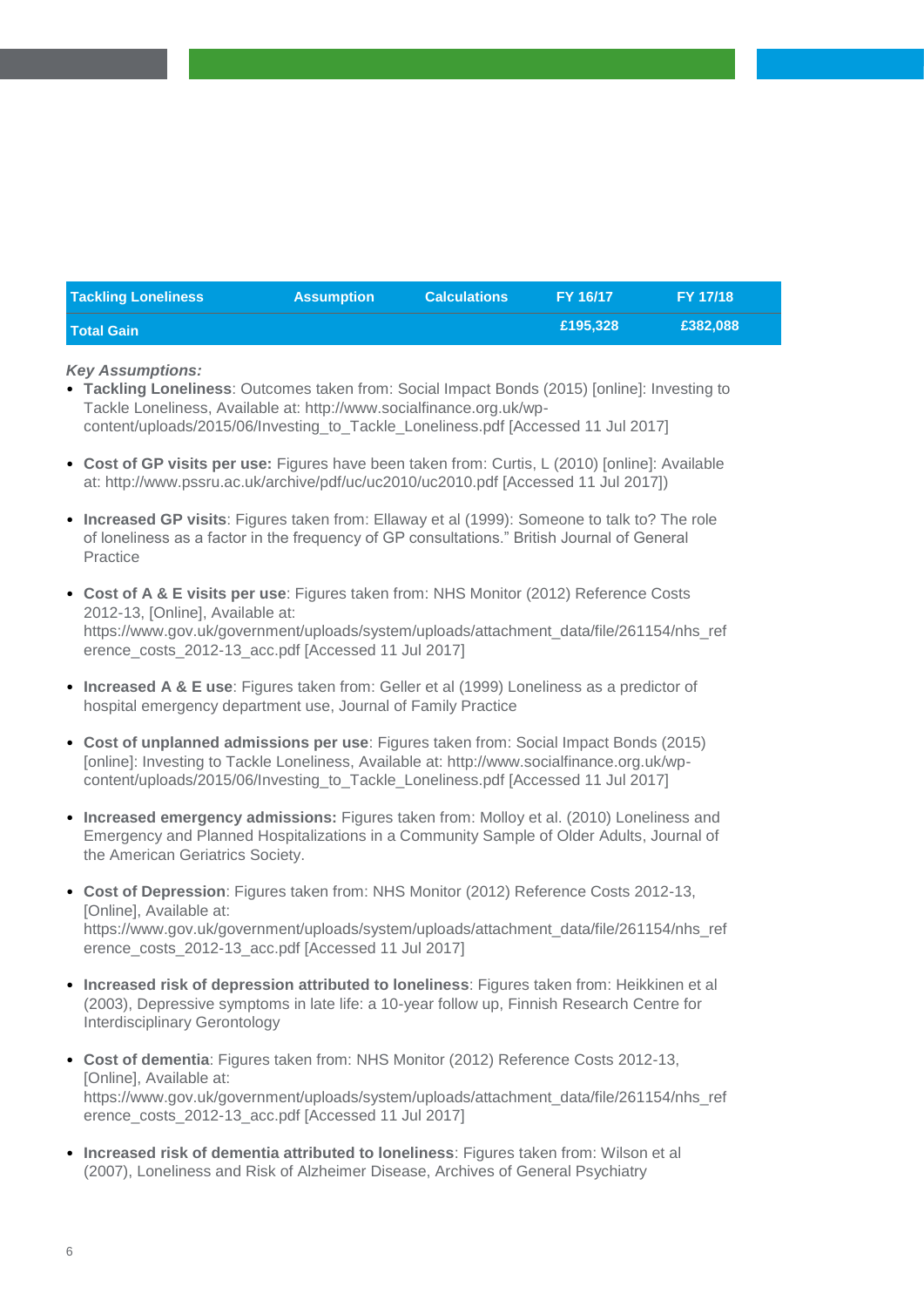| <b>Tackling Loneliness</b> | <b>Assumption</b> | <b>Calculations</b> | FY 16/17 | <b>FY 17/18</b> |
|----------------------------|-------------------|---------------------|----------|-----------------|
| <b>Total Gain</b>          |                   |                     | £195.328 | £382,088        |

- **Tackling Loneliness**: Outcomes taken from: Social Impact Bonds (2015) [online]: Investing to Tackle Loneliness, Available at: http://www.socialfinance.org.uk/wpcontent/uploads/2015/06/Investing\_to\_Tackle\_Loneliness.pdf [Accessed 11 Jul 2017]
- **Cost of GP visits per use:** Figures have been taken from: Curtis, L (2010) [online]: Available at: http://www.pssru.ac.uk/archive/pdf/uc/uc2010/uc2010.pdf [Accessed 11 Jul 2017])
- **Increased GP visits**: Figures taken from: Ellaway et al (1999): Someone to talk to? The role of loneliness as a factor in the frequency of GP consultations." British Journal of General Practice
- **Cost of A & E visits per use**: Figures taken from: NHS Monitor (2012) Reference Costs 2012-13, [Online], Available at: https://www.gov.uk/government/uploads/system/uploads/attachment\_data/file/261154/nhs\_ref erence\_costs\_2012-13\_acc.pdf [Accessed 11 Jul 2017]
- **Increased A & E use**: Figures taken from: Geller et al (1999) Loneliness as a predictor of hospital emergency department use, Journal of Family Practice
- **Cost of unplanned admissions per use**: Figures taken from: Social Impact Bonds (2015) [online]: Investing to Tackle Loneliness, Available at: http://www.socialfinance.org.uk/wpcontent/uploads/2015/06/Investing\_to\_Tackle\_Loneliness.pdf [Accessed 11 Jul 2017]
- **Increased emergency admissions:** Figures taken from: Molloy et al. (2010) Loneliness and Emergency and Planned Hospitalizations in a Community Sample of Older Adults, Journal of the American Geriatrics Society.
- **Cost of Depression**: Figures taken from: NHS Monitor (2012) Reference Costs 2012-13, [Online], Available at: https://www.gov.uk/government/uploads/system/uploads/attachment\_data/file/261154/nhs\_ref erence\_costs\_2012-13\_acc.pdf [Accessed 11 Jul 2017]
- **Increased risk of depression attributed to loneliness**: Figures taken from: Heikkinen et al (2003), Depressive symptoms in late life: a 10-year follow up, Finnish Research Centre for Interdisciplinary Gerontology
- **Cost of dementia**: Figures taken from: NHS Monitor (2012) Reference Costs 2012-13, [Online], Available at: https://www.gov.uk/government/uploads/system/uploads/attachment\_data/file/261154/nhs\_ref erence\_costs\_2012-13\_acc.pdf [Accessed 11 Jul 2017]
- **Increased risk of dementia attributed to loneliness**: Figures taken from: Wilson et al (2007), Loneliness and Risk of Alzheimer Disease, Archives of General Psychiatry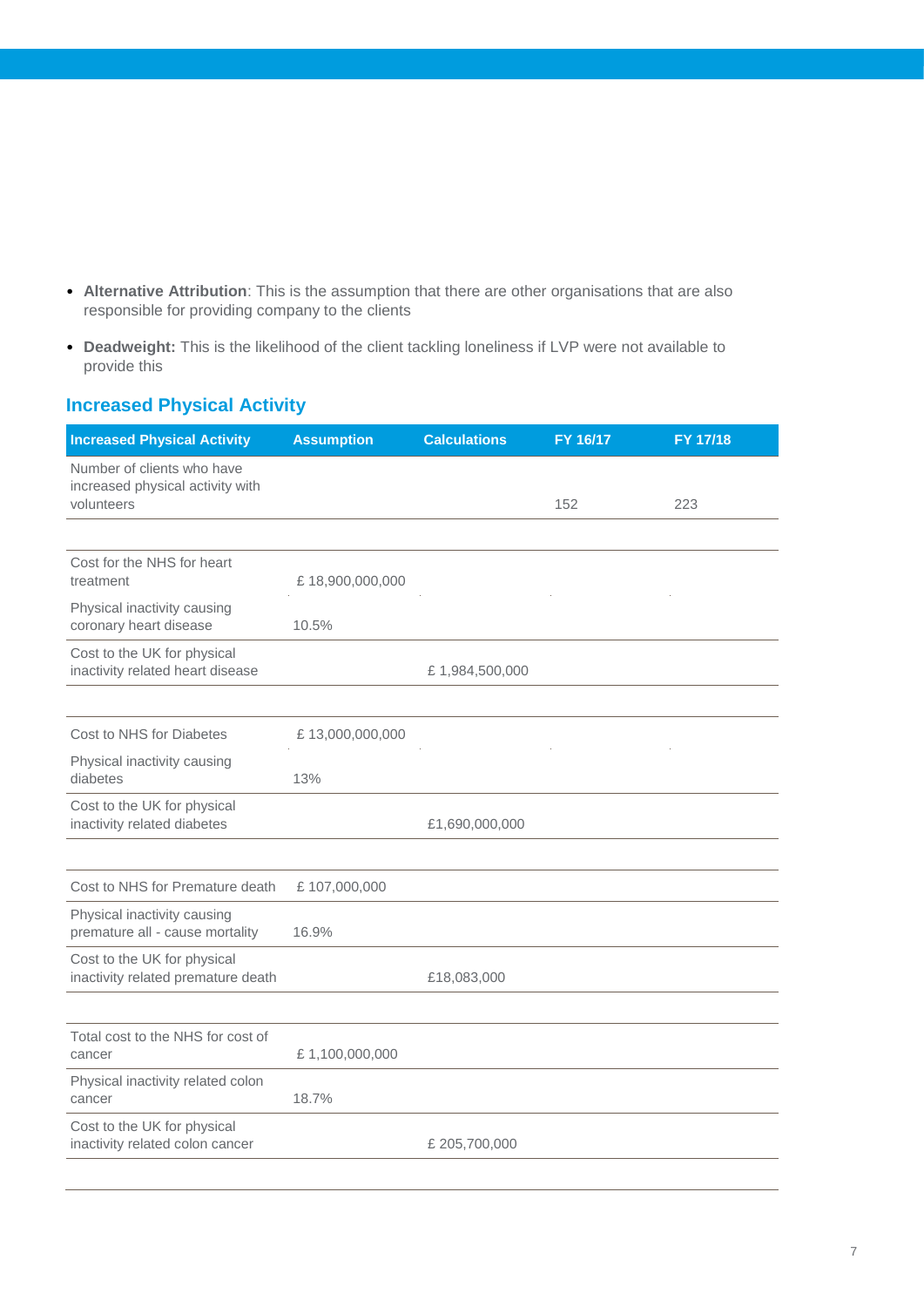- **Alternative Attribution**: This is the assumption that there are other organisations that are also responsible for providing company to the clients
- **Deadweight:** This is the likelihood of the client tackling loneliness if LVP were not available to provide this

### **Increased Physical Activity**

| <b>Increased Physical Activity</b>                                           | <b>Assumption</b> | <b>Calculations</b> | FY 16/17 | FY 17/18 |
|------------------------------------------------------------------------------|-------------------|---------------------|----------|----------|
| Number of clients who have<br>increased physical activity with<br>volunteers |                   |                     | 152      | 223      |
|                                                                              |                   |                     |          |          |
| Cost for the NHS for heart<br>treatment                                      | £18,900,000,000   |                     |          |          |
| Physical inactivity causing<br>coronary heart disease                        | 10.5%             |                     |          |          |
| Cost to the UK for physical<br>inactivity related heart disease              |                   | £1,984,500,000      |          |          |
|                                                                              |                   |                     |          |          |
| Cost to NHS for Diabetes                                                     | £13,000,000,000   |                     |          |          |
| Physical inactivity causing<br>diabetes                                      | 13%               |                     |          |          |
| Cost to the UK for physical<br>inactivity related diabetes                   |                   | £1,690,000,000      |          |          |
|                                                                              |                   |                     |          |          |
| Cost to NHS for Premature death                                              | £107,000,000      |                     |          |          |
| Physical inactivity causing<br>premature all - cause mortality               | 16.9%             |                     |          |          |
| Cost to the UK for physical<br>inactivity related premature death            |                   | £18,083,000         |          |          |
|                                                                              |                   |                     |          |          |
| Total cost to the NHS for cost of<br>cancer                                  | £1,100,000,000    |                     |          |          |
| Physical inactivity related colon<br>cancer                                  | 18.7%             |                     |          |          |
| Cost to the UK for physical<br>inactivity related colon cancer               |                   | £ 205,700,000       |          |          |
|                                                                              |                   |                     |          |          |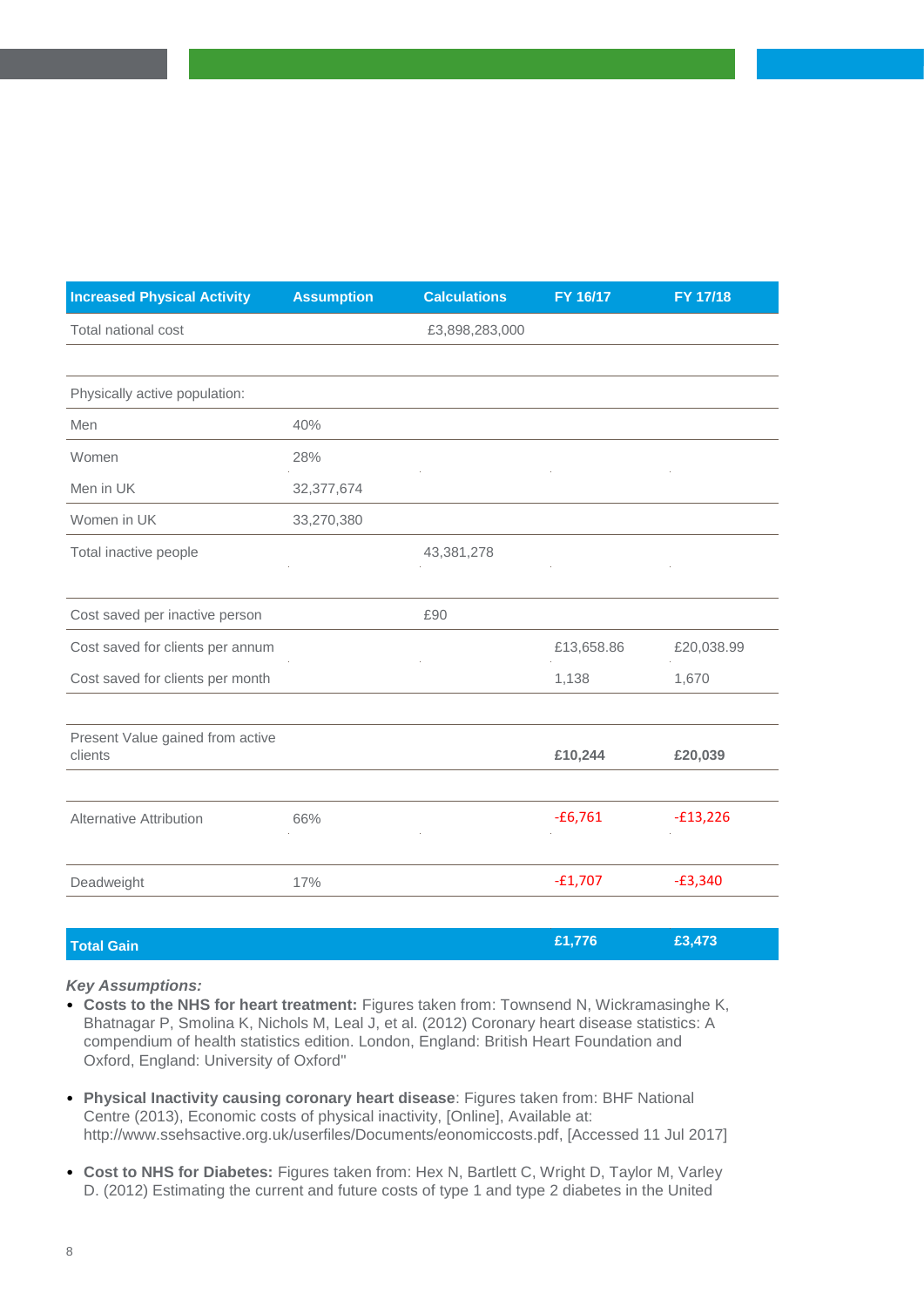| <b>Increased Physical Activity</b>          | <b>Assumption</b> | <b>Calculations</b> | FY 16/17   | FY 17/18   |
|---------------------------------------------|-------------------|---------------------|------------|------------|
| Total national cost                         |                   | £3,898,283,000      |            |            |
|                                             |                   |                     |            |            |
| Physically active population:               |                   |                     |            |            |
| Men                                         | 40%               |                     |            |            |
| Women                                       | 28%               |                     |            |            |
| Men in UK                                   | 32,377,674        |                     |            |            |
| Women in UK                                 | 33,270,380        |                     |            |            |
| Total inactive people                       |                   | 43,381,278          |            |            |
|                                             |                   |                     |            |            |
| Cost saved per inactive person              |                   | £90                 |            |            |
| Cost saved for clients per annum            |                   |                     | £13,658.86 | £20,038.99 |
| Cost saved for clients per month            |                   |                     | 1,138      | 1,670      |
|                                             |                   |                     |            |            |
| Present Value gained from active<br>clients |                   |                     | £10,244    | £20,039    |
|                                             |                   |                     |            |            |
| <b>Alternative Attribution</b>              | 66%               |                     | $-£6,761$  | $-£13,226$ |
|                                             |                   |                     |            |            |
| Deadweight                                  | 17%               |                     | $-£1,707$  | $-£3,340$  |
|                                             |                   |                     |            |            |
| <b>Total Gain</b>                           |                   |                     | £1,776     | £3,473     |

- **Costs to the NHS for heart treatment:** Figures taken from: Townsend N, Wickramasinghe K, Bhatnagar P, Smolina K, Nichols M, Leal J, et al. (2012) Coronary heart disease statistics: A compendium of health statistics edition. London, England: British Heart Foundation and Oxford, England: University of Oxford"
- **Physical Inactivity causing coronary heart disease**: Figures taken from: BHF National Centre (2013), Economic costs of physical inactivity, [Online], Available at: http://www.ssehsactive.org.uk/userfiles/Documents/eonomiccosts.pdf, [Accessed 11 Jul 2017]
- **Cost to NHS for Diabetes:** Figures taken from: Hex N, Bartlett C, Wright D, Taylor M, Varley D. (2012) Estimating the current and future costs of type 1 and type 2 diabetes in the United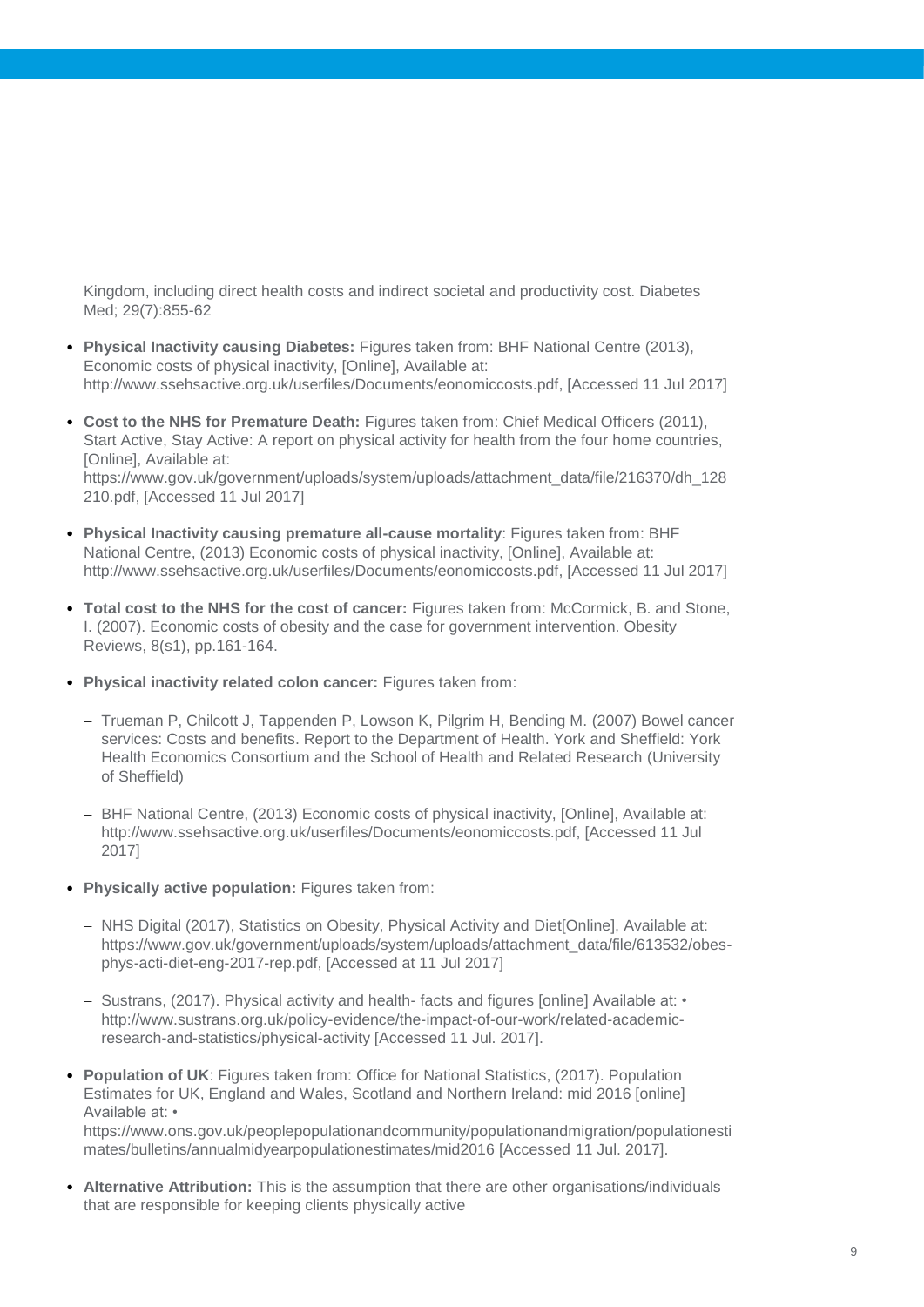Kingdom, including direct health costs and indirect societal and productivity cost. Diabetes Med; 29(7):855-62

- **Physical Inactivity causing Diabetes:** Figures taken from: BHF National Centre (2013), Economic costs of physical inactivity, [Online], Available at: http://www.ssehsactive.org.uk/userfiles/Documents/eonomiccosts.pdf, [Accessed 11 Jul 2017]
- **Cost to the NHS for Premature Death:** Figures taken from: Chief Medical Officers (2011), Start Active, Stay Active: A report on physical activity for health from the four home countries, [Online], Available at: https://www.gov.uk/government/uploads/system/uploads/attachment\_data/file/216370/dh\_128 210.pdf, [Accessed 11 Jul 2017]
- **Physical Inactivity causing premature all-cause mortality**: Figures taken from: BHF National Centre, (2013) Economic costs of physical inactivity, [Online], Available at: http://www.ssehsactive.org.uk/userfiles/Documents/eonomiccosts.pdf, [Accessed 11 Jul 2017]
- **Total cost to the NHS for the cost of cancer:** Figures taken from: McCormick, B. and Stone, I. (2007). Economic costs of obesity and the case for government intervention. Obesity Reviews, 8(s1), pp.161-164.
- **Physical inactivity related colon cancer:** Figures taken from:
	- Trueman P, Chilcott J, Tappenden P, Lowson K, Pilgrim H, Bending M. (2007) Bowel cancer services: Costs and benefits. Report to the Department of Health. York and Sheffield: York Health Economics Consortium and the School of Health and Related Research (University of Sheffield)
	- BHF National Centre, (2013) Economic costs of physical inactivity, [Online], Available at: http://www.ssehsactive.org.uk/userfiles/Documents/eonomiccosts.pdf, [Accessed 11 Jul 2017]
- **Physically active population:** Figures taken from:
	- NHS Digital (2017), Statistics on Obesity, Physical Activity and Diet[Online], Available at: https://www.gov.uk/government/uploads/system/uploads/attachment\_data/file/613532/obesphys-acti-diet-eng-2017-rep.pdf, [Accessed at 11 Jul 2017]
	- $-$  Sustrans, (2017). Physical activity and health- facts and figures [online] Available at:  $\cdot$ http://www.sustrans.org.uk/policy-evidence/the-impact-of-our-work/related-academicresearch-and-statistics/physical-activity [Accessed 11 Jul. 2017].
- **Population of UK**: Figures taken from: Office for National Statistics, (2017). Population Estimates for UK, England and Wales, Scotland and Northern Ireland: mid 2016 [online] Available at: • https://www.ons.gov.uk/peoplepopulationandcommunity/populationandmigration/populationesti mates/bulletins/annualmidyearpopulationestimates/mid2016 [Accessed 11 Jul. 2017].
- **Alternative Attribution:** This is the assumption that there are other organisations/individuals that are responsible for keeping clients physically active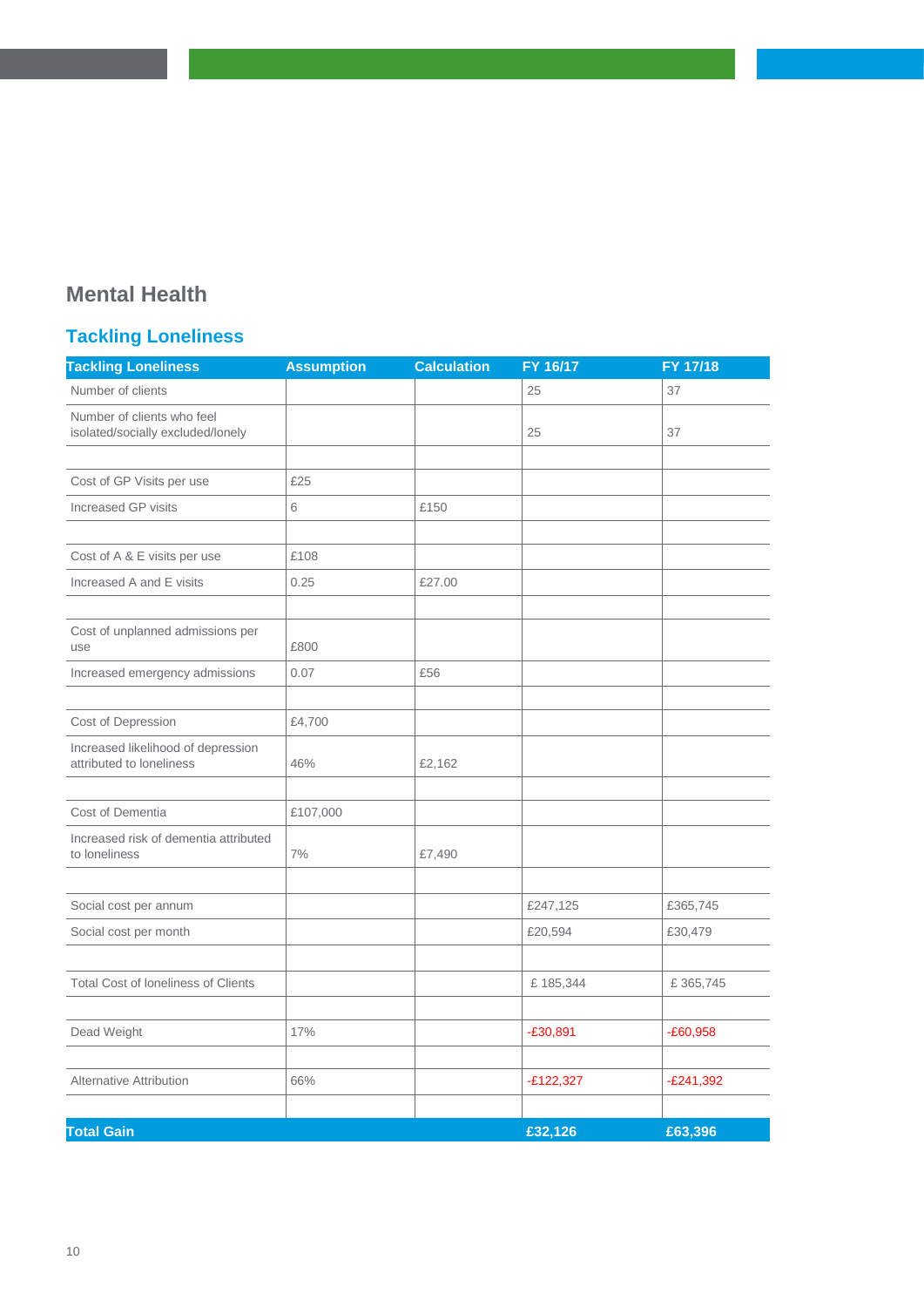### **Mental Health**

### **Tackling Loneliness**

| <b>Tackling Loneliness</b>                                      | <b>Assumption</b> | <b>Calculation</b> | FY 16/17    | FY 17/18    |
|-----------------------------------------------------------------|-------------------|--------------------|-------------|-------------|
| Number of clients                                               |                   |                    | 25          | 37          |
| Number of clients who feel<br>isolated/socially excluded/lonely |                   |                    | 25          | 37          |
|                                                                 |                   |                    |             |             |
| Cost of GP Visits per use                                       | £25               |                    |             |             |
| Increased GP visits                                             | 6                 | £150               |             |             |
|                                                                 |                   |                    |             |             |
| Cost of A & E visits per use                                    | £108              |                    |             |             |
| Increased A and E visits                                        | 0.25              | £27.00             |             |             |
|                                                                 |                   |                    |             |             |
| Cost of unplanned admissions per<br>use                         | £800              |                    |             |             |
| Increased emergency admissions                                  | 0.07              | £56                |             |             |
|                                                                 |                   |                    |             |             |
| Cost of Depression                                              | £4,700            |                    |             |             |
| Increased likelihood of depression<br>attributed to loneliness  | 46%               | £2,162             |             |             |
| Cost of Dementia                                                | £107,000          |                    |             |             |
| Increased risk of dementia attributed<br>to loneliness          | 7%                | £7,490             |             |             |
|                                                                 |                   |                    |             |             |
| Social cost per annum                                           |                   |                    | £247,125    | £365,745    |
| Social cost per month                                           |                   |                    | £20,594     | £30,479     |
|                                                                 |                   |                    |             |             |
| <b>Total Cost of loneliness of Clients</b>                      |                   |                    | £185,344    | £365,745    |
|                                                                 |                   |                    |             |             |
| Dead Weight                                                     | 17%               |                    | $-£30,891$  | $-E60,958$  |
|                                                                 |                   |                    |             |             |
| Alternative Attribution                                         | 66%               |                    | $-E122,327$ | $-E241,392$ |
| <b>Total Gain</b>                                               |                   |                    | £32,126     | £63,396     |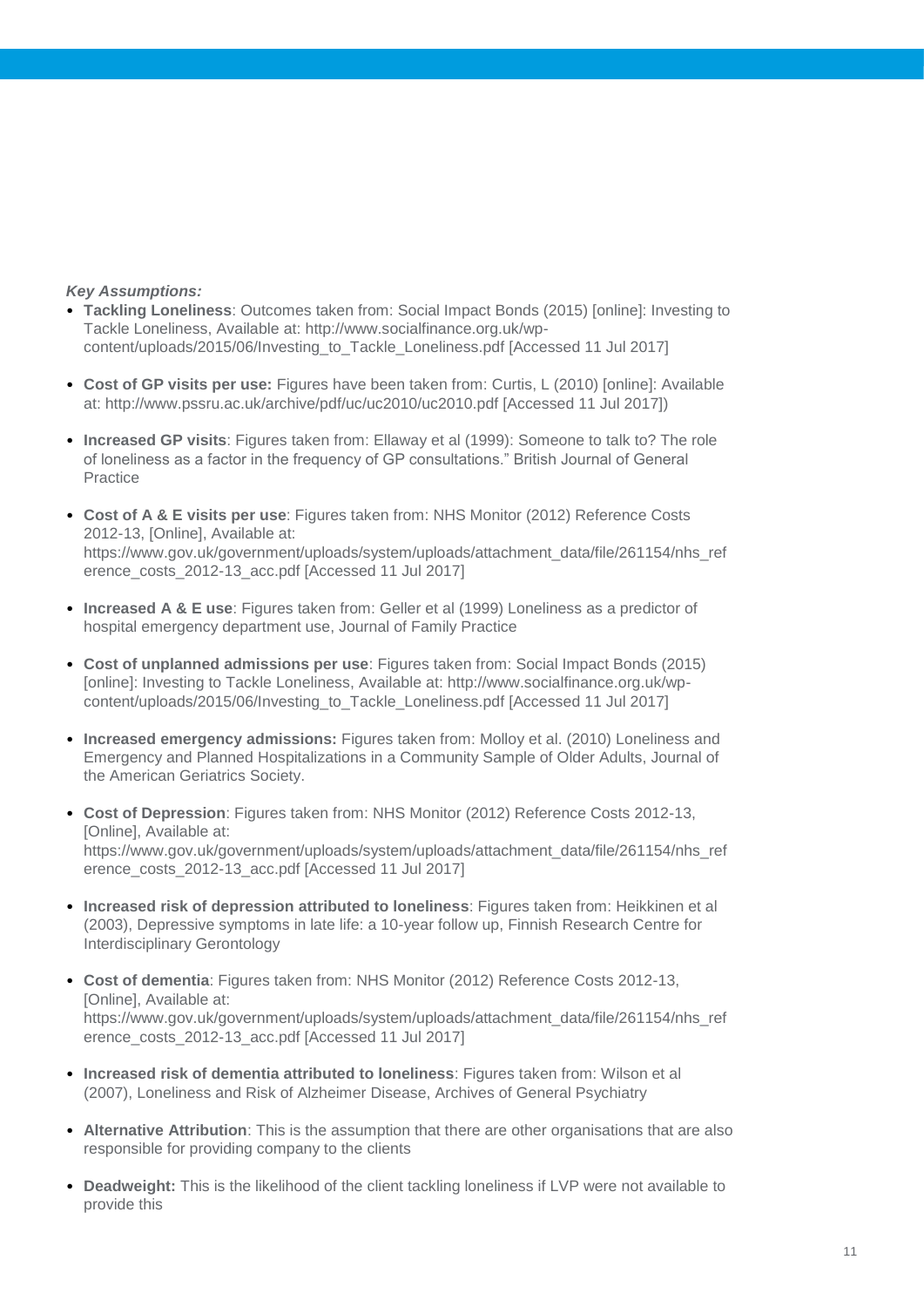- **Tackling Loneliness**: Outcomes taken from: Social Impact Bonds (2015) [online]: Investing to Tackle Loneliness, Available at: http://www.socialfinance.org.uk/wpcontent/uploads/2015/06/Investing\_to\_Tackle\_Loneliness.pdf [Accessed 11 Jul 2017]
- **Cost of GP visits per use:** Figures have been taken from: Curtis, L (2010) [online]: Available at: http://www.pssru.ac.uk/archive/pdf/uc/uc2010/uc2010.pdf [Accessed 11 Jul 2017])
- **Increased GP visits**: Figures taken from: Ellaway et al (1999): Someone to talk to? The role of loneliness as a factor in the frequency of GP consultations." British Journal of General Practice
- **Cost of A & E visits per use**: Figures taken from: NHS Monitor (2012) Reference Costs 2012-13, [Online], Available at: https://www.gov.uk/government/uploads/system/uploads/attachment\_data/file/261154/nhs\_ref erence\_costs\_2012-13\_acc.pdf [Accessed 11 Jul 2017]
- **Increased A & E use**: Figures taken from: Geller et al (1999) Loneliness as a predictor of hospital emergency department use, Journal of Family Practice
- **Cost of unplanned admissions per use**: Figures taken from: Social Impact Bonds (2015) [online]: Investing to Tackle Loneliness, Available at: http://www.socialfinance.org.uk/wpcontent/uploads/2015/06/Investing\_to\_Tackle\_Loneliness.pdf [Accessed 11 Jul 2017]
- **Increased emergency admissions:** Figures taken from: Molloy et al. (2010) Loneliness and Emergency and Planned Hospitalizations in a Community Sample of Older Adults, Journal of the American Geriatrics Society.
- **Cost of Depression**: Figures taken from: NHS Monitor (2012) Reference Costs 2012-13, [Online], Available at: https://www.gov.uk/government/uploads/system/uploads/attachment\_data/file/261154/nhs\_ref erence\_costs\_2012-13\_acc.pdf [Accessed 11 Jul 2017]
- **Increased risk of depression attributed to loneliness**: Figures taken from: Heikkinen et al (2003), Depressive symptoms in late life: a 10-year follow up, Finnish Research Centre for Interdisciplinary Gerontology
- **Cost of dementia**: Figures taken from: NHS Monitor (2012) Reference Costs 2012-13, [Online], Available at: https://www.gov.uk/government/uploads/system/uploads/attachment\_data/file/261154/nhs\_ref erence\_costs\_2012-13\_acc.pdf [Accessed 11 Jul 2017]
- **Increased risk of dementia attributed to loneliness**: Figures taken from: Wilson et al (2007), Loneliness and Risk of Alzheimer Disease, Archives of General Psychiatry
- **Alternative Attribution**: This is the assumption that there are other organisations that are also responsible for providing company to the clients
- **Deadweight:** This is the likelihood of the client tackling loneliness if LVP were not available to provide this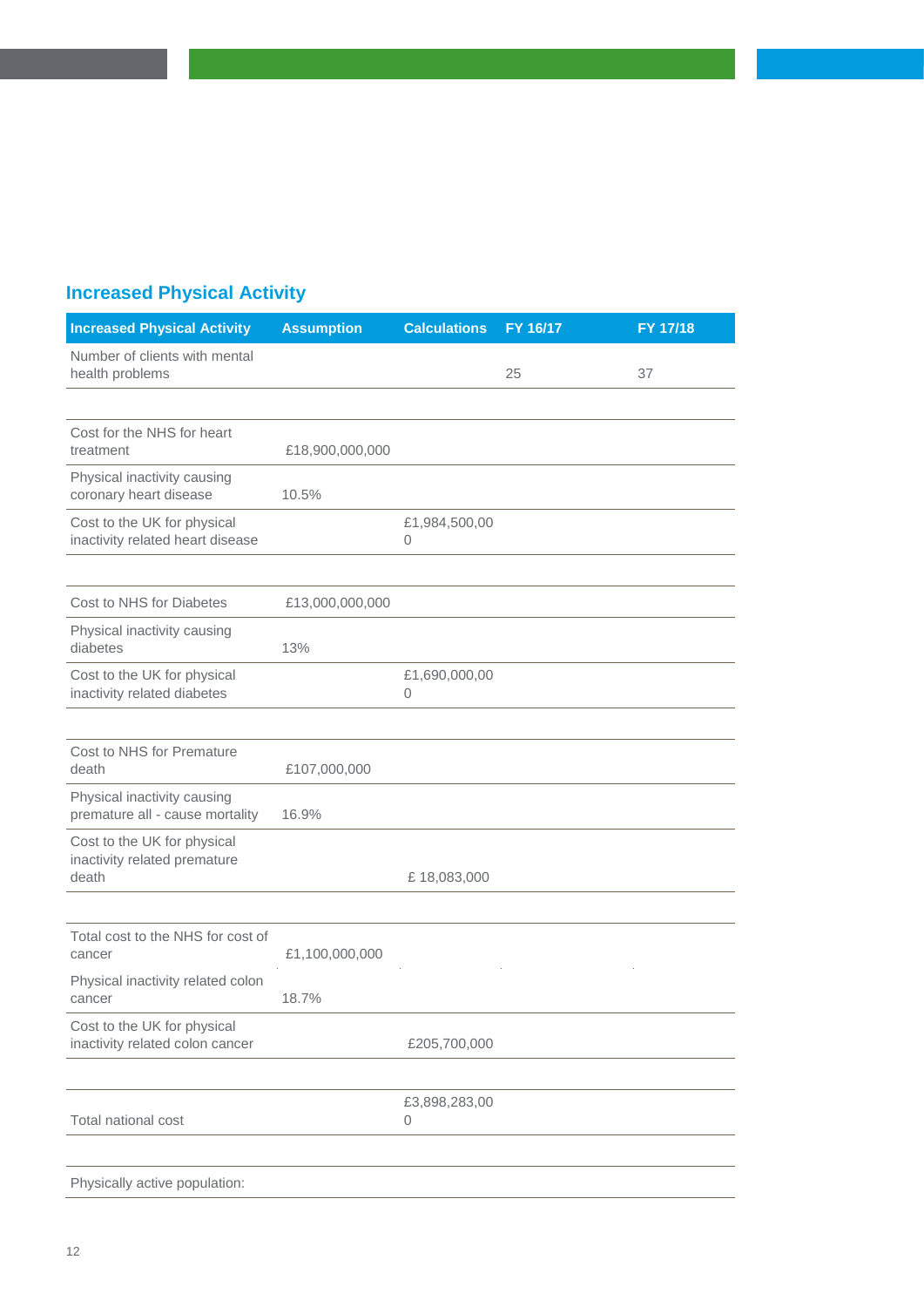| <b>Increased Physical Activity</b> |  |
|------------------------------------|--|
|                                    |  |

| <b>Increased Physical Activity</b>                              | <b>Assumption</b> | <b>Calculations</b> | FY 16/17 | FY 17/18 |
|-----------------------------------------------------------------|-------------------|---------------------|----------|----------|
| Number of clients with mental<br>health problems                |                   |                     | 25       | 37       |
|                                                                 |                   |                     |          |          |
| Cost for the NHS for heart<br>treatment                         | £18,900,000,000   |                     |          |          |
| Physical inactivity causing<br>coronary heart disease           | 10.5%             |                     |          |          |
| Cost to the UK for physical<br>inactivity related heart disease |                   | £1,984,500,00<br>0  |          |          |
|                                                                 |                   |                     |          |          |
| Cost to NHS for Diabetes                                        | £13,000,000,000   |                     |          |          |
| Physical inactivity causing<br>diabetes                         | 13%               |                     |          |          |
| Cost to the UK for physical<br>inactivity related diabetes      |                   | £1,690,000,00<br>0  |          |          |
|                                                                 |                   |                     |          |          |
| Cost to NHS for Premature<br>death                              | £107,000,000      |                     |          |          |
| Physical inactivity causing<br>premature all - cause mortality  | 16.9%             |                     |          |          |
| Cost to the UK for physical<br>inactivity related premature     |                   |                     |          |          |
| death                                                           |                   | £18,083,000         |          |          |
| Total cost to the NHS for cost of                               |                   |                     |          |          |
| cancer                                                          | £1,100,000,000    |                     |          |          |
| Physical inactivity related colon<br>cancer                     | 18.7%             |                     |          |          |
| Cost to the UK for physical<br>inactivity related colon cancer  |                   | £205,700,000        |          |          |
|                                                                 |                   |                     |          |          |
| Total national cost                                             |                   | £3,898,283,00<br>0  |          |          |
|                                                                 |                   |                     |          |          |

Physically active population: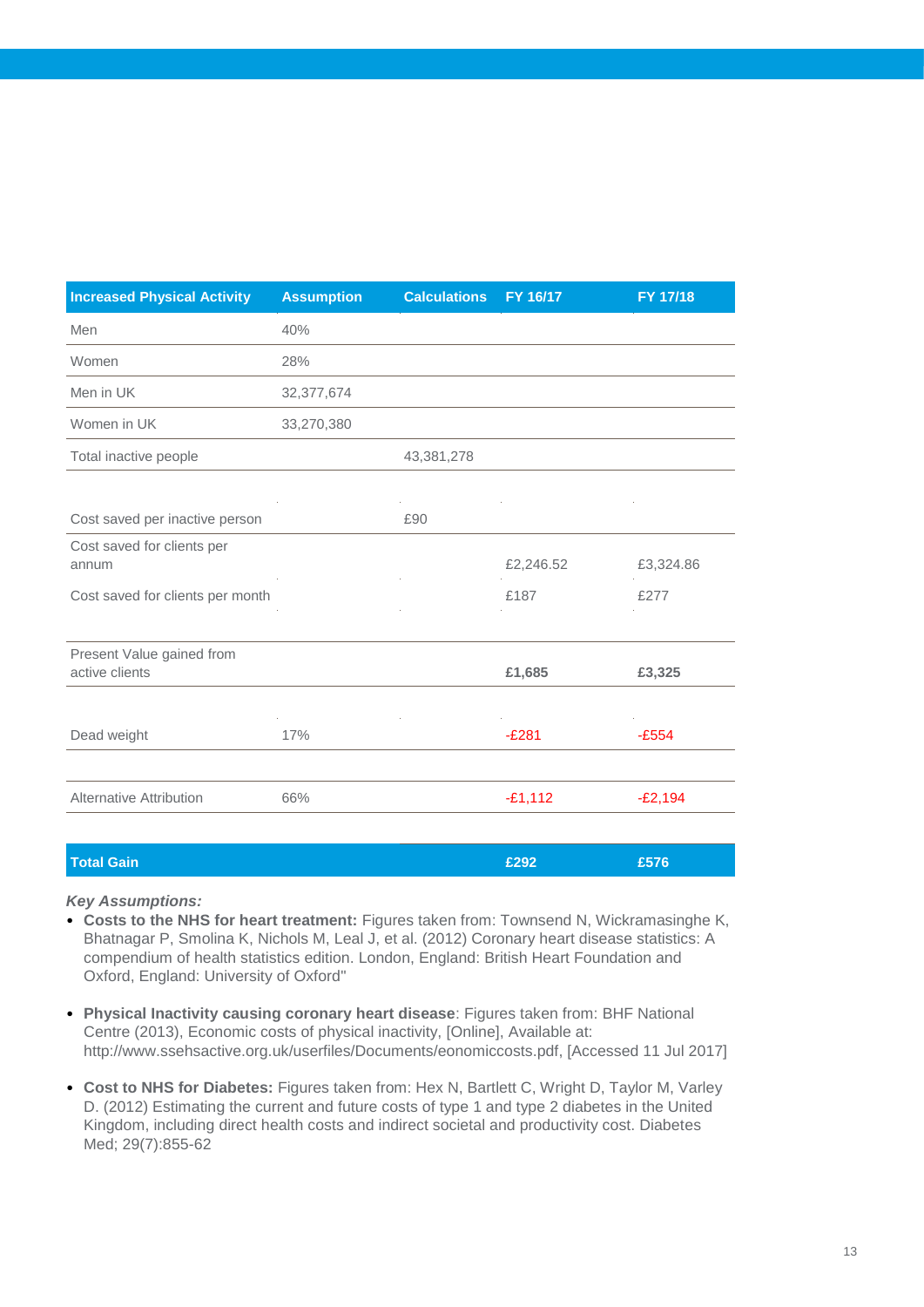| <b>Increased Physical Activity</b>          | <b>Assumption</b> | <b>Calculations</b> | FY 16/17  | FY 17/18  |
|---------------------------------------------|-------------------|---------------------|-----------|-----------|
| Men                                         | 40%               |                     |           |           |
| Women                                       | 28%               |                     |           |           |
| Men in UK                                   | 32,377,674        |                     |           |           |
| Women in UK                                 | 33,270,380        |                     |           |           |
| Total inactive people                       |                   | 43,381,278          |           |           |
|                                             |                   |                     |           |           |
| Cost saved per inactive person              |                   | £90                 |           |           |
| Cost saved for clients per<br>annum         |                   |                     | £2,246.52 | £3,324.86 |
| Cost saved for clients per month            |                   |                     | £187      | £277      |
|                                             |                   |                     |           |           |
| Present Value gained from<br>active clients |                   |                     | £1,685    | £3,325    |
|                                             |                   |                     |           |           |
|                                             |                   |                     |           |           |

| Dead weight                    | 17% | $-E281$   | $-E554$   |
|--------------------------------|-----|-----------|-----------|
|                                |     |           |           |
| <b>Alternative Attribution</b> | 66% | $-E1,112$ | $-E2,194$ |
|                                |     |           |           |

| <b>Total Gain</b> | £292 | £576 |
|-------------------|------|------|
|                   |      |      |

- **Costs to the NHS for heart treatment:** Figures taken from: Townsend N, Wickramasinghe K, Bhatnagar P, Smolina K, Nichols M, Leal J, et al. (2012) Coronary heart disease statistics: A compendium of health statistics edition. London, England: British Heart Foundation and Oxford, England: University of Oxford"
- **Physical Inactivity causing coronary heart disease**: Figures taken from: BHF National Centre (2013), Economic costs of physical inactivity, [Online], Available at: http://www.ssehsactive.org.uk/userfiles/Documents/eonomiccosts.pdf, [Accessed 11 Jul 2017]
- **Cost to NHS for Diabetes:** Figures taken from: Hex N, Bartlett C, Wright D, Taylor M, Varley D. (2012) Estimating the current and future costs of type 1 and type 2 diabetes in the United Kingdom, including direct health costs and indirect societal and productivity cost. Diabetes Med; 29(7):855-62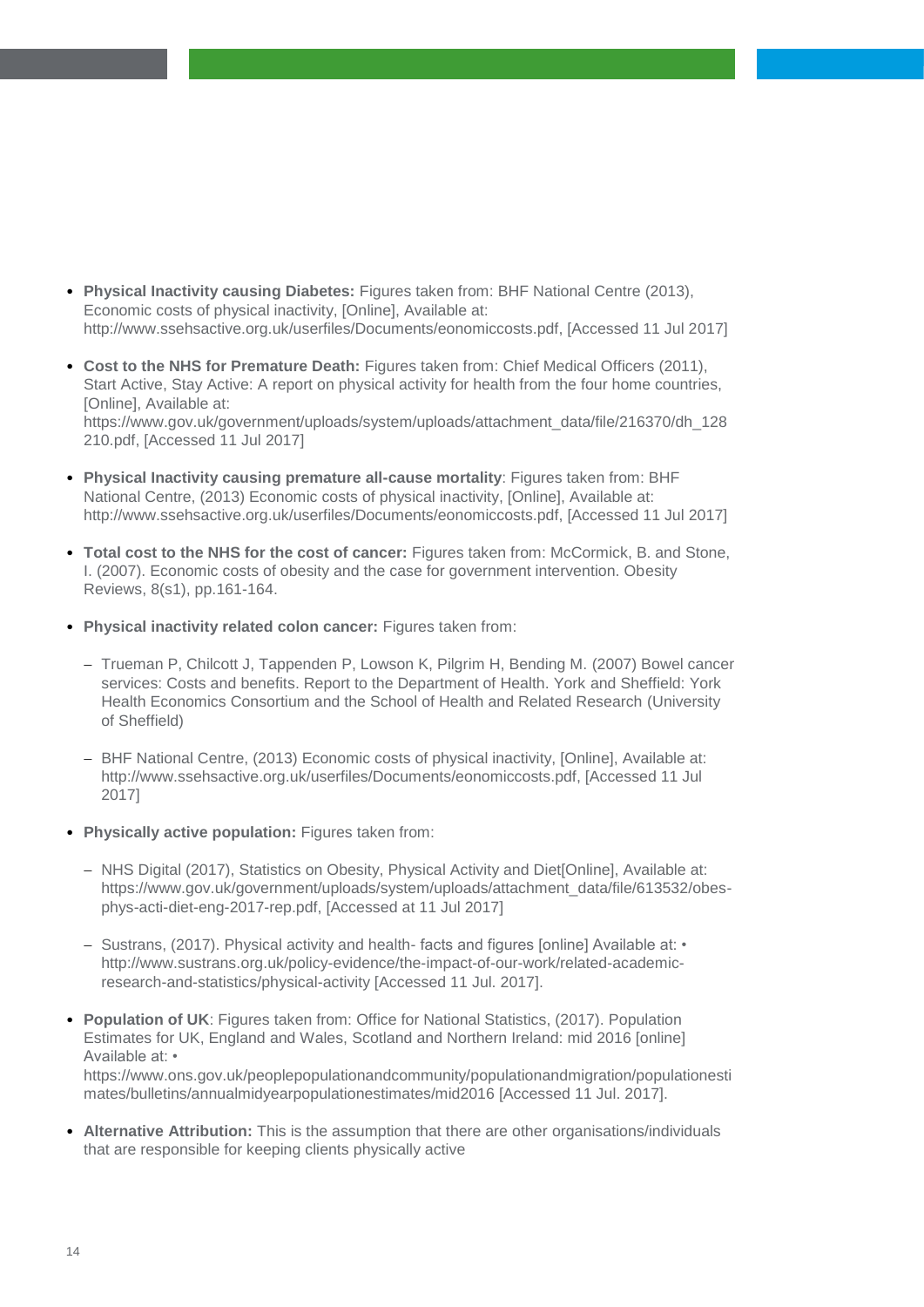- **Physical Inactivity causing Diabetes:** Figures taken from: BHF National Centre (2013), Economic costs of physical inactivity, [Online], Available at: http://www.ssehsactive.org.uk/userfiles/Documents/eonomiccosts.pdf, [Accessed 11 Jul 2017]
- **Cost to the NHS for Premature Death:** Figures taken from: Chief Medical Officers (2011), Start Active, Stay Active: A report on physical activity for health from the four home countries, [Online], Available at: https://www.gov.uk/government/uploads/system/uploads/attachment\_data/file/216370/dh\_128 210.pdf, [Accessed 11 Jul 2017]
- **Physical Inactivity causing premature all-cause mortality**: Figures taken from: BHF National Centre, (2013) Economic costs of physical inactivity, [Online], Available at: http://www.ssehsactive.org.uk/userfiles/Documents/eonomiccosts.pdf, [Accessed 11 Jul 2017]
- **Total cost to the NHS for the cost of cancer:** Figures taken from: McCormick, B. and Stone, I. (2007). Economic costs of obesity and the case for government intervention. Obesity Reviews, 8(s1), pp.161-164.
- **Physical inactivity related colon cancer:** Figures taken from:
	- Trueman P, Chilcott J, Tappenden P, Lowson K, Pilgrim H, Bending M. (2007) Bowel cancer services: Costs and benefits. Report to the Department of Health. York and Sheffield: York Health Economics Consortium and the School of Health and Related Research (University of Sheffield)
	- BHF National Centre, (2013) Economic costs of physical inactivity, [Online], Available at: http://www.ssehsactive.org.uk/userfiles/Documents/eonomiccosts.pdf, [Accessed 11 Jul 2017]
- **Physically active population:** Figures taken from:
	- NHS Digital (2017), Statistics on Obesity, Physical Activity and Diet[Online], Available at: https://www.gov.uk/government/uploads/system/uploads/attachment\_data/file/613532/obesphys-acti-diet-eng-2017-rep.pdf, [Accessed at 11 Jul 2017]
	- $-$  Sustrans, (2017). Physical activity and health-facts and figures [online] Available at:  $\cdot$ http://www.sustrans.org.uk/policy-evidence/the-impact-of-our-work/related-academicresearch-and-statistics/physical-activity [Accessed 11 Jul. 2017].
- **Population of UK**: Figures taken from: Office for National Statistics, (2017). Population Estimates for UK, England and Wales, Scotland and Northern Ireland: mid 2016 [online] Available at: • https://www.ons.gov.uk/peoplepopulationandcommunity/populationandmigration/populationesti

mates/bulletins/annualmidyearpopulationestimates/mid2016 [Accessed 11 Jul. 2017].

• **Alternative Attribution:** This is the assumption that there are other organisations/individuals that are responsible for keeping clients physically active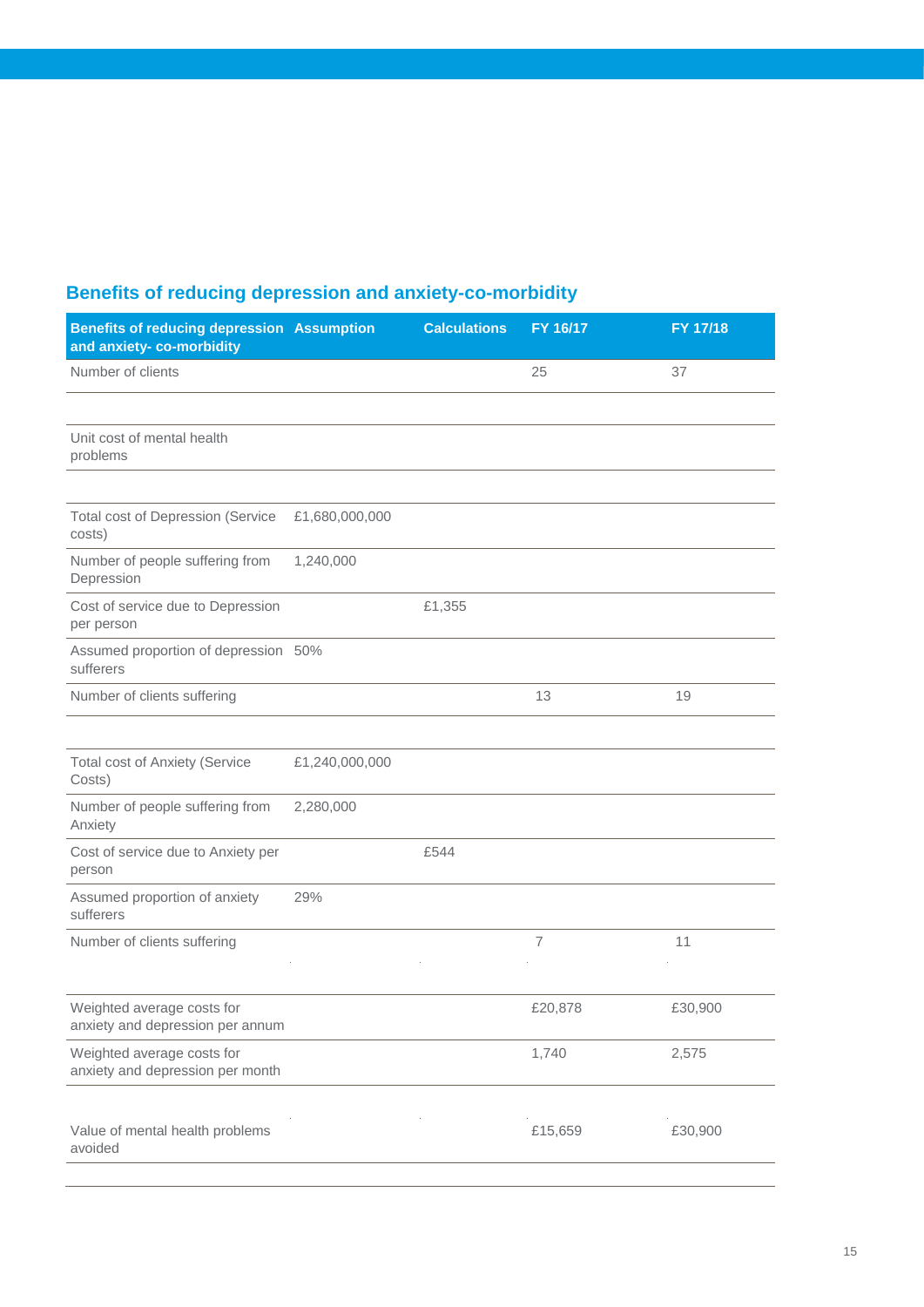## **Benefits of reducing depression and anxiety-co-morbidity**

| <b>Benefits of reducing depression Assumption</b><br>and anxiety-co-morbidity |                | <b>Calculations</b> | FY 16/17       | FY 17/18 |
|-------------------------------------------------------------------------------|----------------|---------------------|----------------|----------|
| Number of clients                                                             |                |                     | 25             | 37       |
|                                                                               |                |                     |                |          |
| Unit cost of mental health<br>problems                                        |                |                     |                |          |
| <b>Total cost of Depression (Service</b><br>costs)                            | £1,680,000,000 |                     |                |          |
| Number of people suffering from<br>Depression                                 | 1,240,000      |                     |                |          |
| Cost of service due to Depression<br>per person                               |                | £1,355              |                |          |
| Assumed proportion of depression 50%<br>sufferers                             |                |                     |                |          |
| Number of clients suffering                                                   |                |                     | 13             | 19       |
| <b>Total cost of Anxiety (Service</b><br>Costs)                               | £1,240,000,000 |                     |                |          |
| Number of people suffering from<br>Anxiety                                    | 2,280,000      |                     |                |          |
| Cost of service due to Anxiety per<br>person                                  |                | £544                |                |          |
| Assumed proportion of anxiety<br>sufferers                                    | 29%            |                     |                |          |
| Number of clients suffering                                                   |                |                     | $\overline{7}$ | 11       |
| Weighted average costs for<br>anxiety and depression per annum                |                |                     | £20,878        | £30,900  |
| Weighted average costs for<br>anxiety and depression per month                |                |                     | 1,740          | 2,575    |
| Value of mental health problems<br>avoided                                    |                |                     | £15,659        | £30,900  |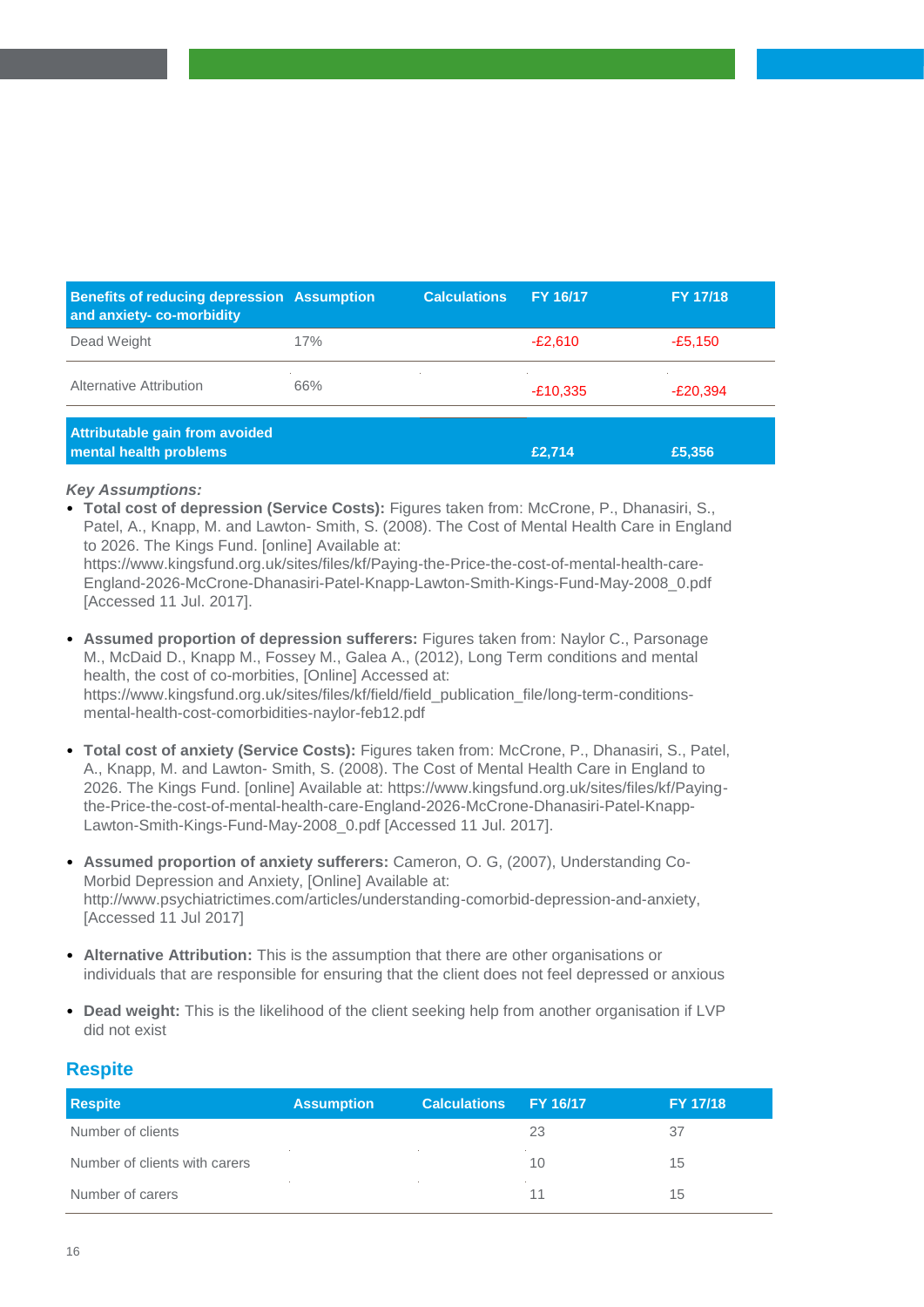| <b>Benefits of reducing depression Assumption</b><br>and anxiety-co-morbidity |     | <b>Calculations</b> | <b>FY 16/17</b> | FY 17/18   |
|-------------------------------------------------------------------------------|-----|---------------------|-----------------|------------|
| Dead Weight                                                                   | 17% |                     | $-E2.610$       | $-E5,150$  |
| Alternative Attribution                                                       | 66% |                     | $-E10,335$      | $-E20.394$ |
| Attributable gain from avoided<br>mental health problems                      |     |                     | £2.714          | £5,356     |

• **Total cost of depression (Service Costs):** Figures taken from: McCrone, P., Dhanasiri, S., Patel, A., Knapp, M. and Lawton- Smith, S. (2008). The Cost of Mental Health Care in England to 2026. The Kings Fund. [online] Available at:

https://www.kingsfund.org.uk/sites/files/kf/Paying-the-Price-the-cost-of-mental-health-care-England-2026-McCrone-Dhanasiri-Patel-Knapp-Lawton-Smith-Kings-Fund-May-2008\_0.pdf [Accessed 11 Jul. 2017].

- **Assumed proportion of depression sufferers:** Figures taken from: Naylor C., Parsonage M., McDaid D., Knapp M., Fossey M., Galea A., (2012), Long Term conditions and mental health, the cost of co-morbities, [Online] Accessed at: https://www.kingsfund.org.uk/sites/files/kf/field/field\_publication\_file/long-term-conditionsmental-health-cost-comorbidities-naylor-feb12.pdf
- **Total cost of anxiety (Service Costs):** Figures taken from: McCrone, P., Dhanasiri, S., Patel, A., Knapp, M. and Lawton- Smith, S. (2008). The Cost of Mental Health Care in England to 2026. The Kings Fund. [online] Available at: https://www.kingsfund.org.uk/sites/files/kf/Payingthe-Price-the-cost-of-mental-health-care-England-2026-McCrone-Dhanasiri-Patel-Knapp-Lawton-Smith-Kings-Fund-May-2008\_0.pdf [Accessed 11 Jul. 2017].
- **Assumed proportion of anxiety sufferers:** Cameron, O. G, (2007), Understanding Co-Morbid Depression and Anxiety, [Online] Available at: http://www.psychiatrictimes.com/articles/understanding-comorbid-depression-and-anxiety, [Accessed 11 Jul 2017]
- **Alternative Attribution:** This is the assumption that there are other organisations or individuals that are responsible for ensuring that the client does not feel depressed or anxious
- **Dead weight:** This is the likelihood of the client seeking help from another organisation if LVP did not exist

#### **Respite**

| <b>Respite</b>                | <b>Assumption</b> | <b>Calculations</b> | <b>EY 16/17</b> | FY 17/18 |
|-------------------------------|-------------------|---------------------|-----------------|----------|
| Number of clients             |                   |                     | 23              | 37       |
| Number of clients with carers |                   |                     | 10              | 15       |
| Number of carers              |                   |                     | 11              | 15       |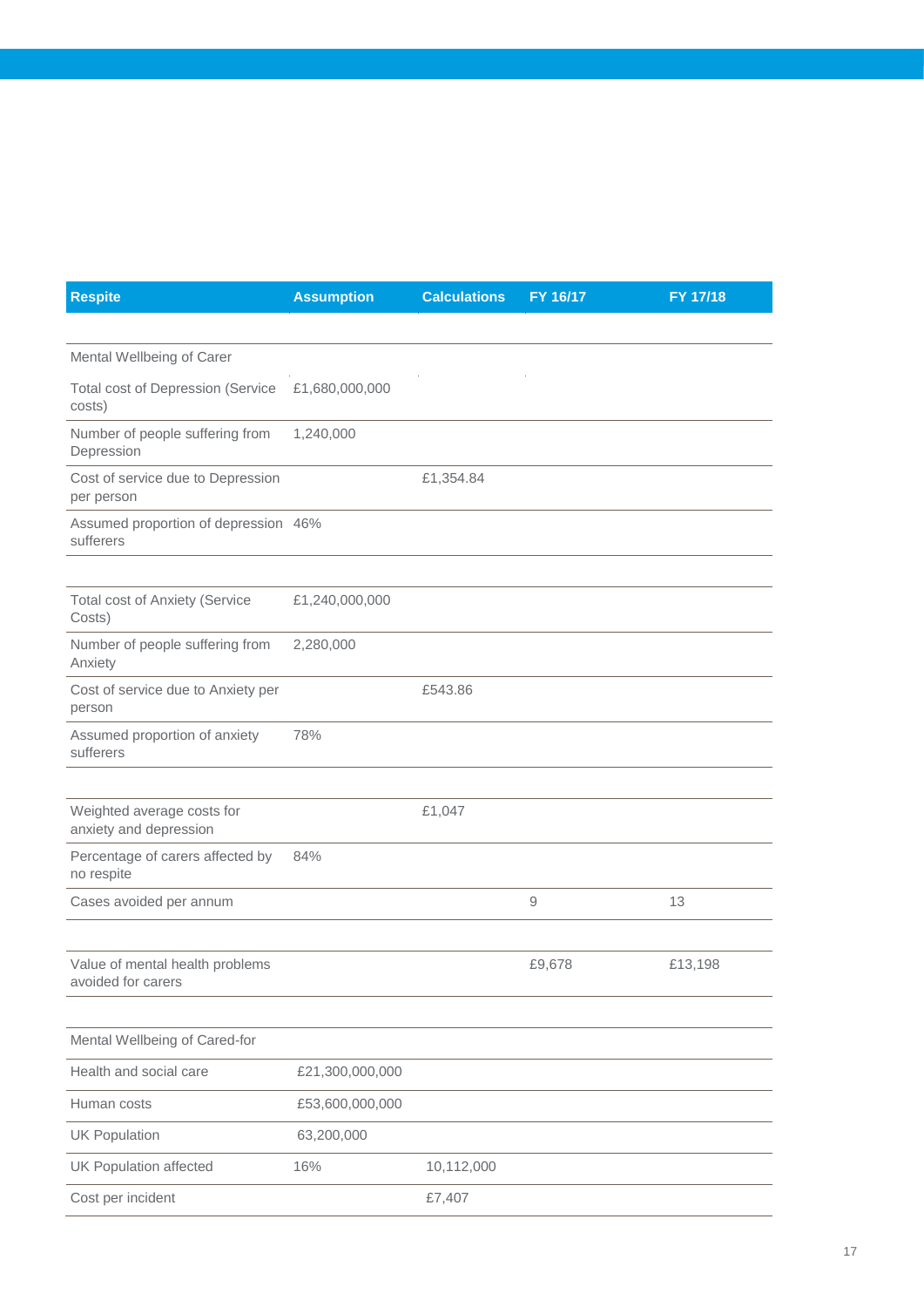| <b>Respite</b>                                        | <b>Assumption</b> | <b>Calculations</b> | FY 16/17 | FY 17/18 |
|-------------------------------------------------------|-------------------|---------------------|----------|----------|
|                                                       |                   |                     |          |          |
| Mental Wellbeing of Carer                             |                   |                     |          |          |
| <b>Total cost of Depression (Service</b><br>costs)    | £1,680,000,000    |                     |          |          |
| Number of people suffering from<br>Depression         | 1,240,000         |                     |          |          |
| Cost of service due to Depression<br>per person       |                   | £1,354.84           |          |          |
| Assumed proportion of depression 46%<br>sufferers     |                   |                     |          |          |
|                                                       |                   |                     |          |          |
| <b>Total cost of Anxiety (Service</b><br>Costs)       | £1,240,000,000    |                     |          |          |
| Number of people suffering from<br>Anxiety            | 2,280,000         |                     |          |          |
| Cost of service due to Anxiety per<br>person          |                   | £543.86             |          |          |
| Assumed proportion of anxiety<br>sufferers            | 78%               |                     |          |          |
|                                                       |                   |                     |          |          |
| Weighted average costs for<br>anxiety and depression  |                   | £1,047              |          |          |
| Percentage of carers affected by<br>no respite        | 84%               |                     |          |          |
| Cases avoided per annum                               |                   |                     | 9        | 13       |
|                                                       |                   |                     |          |          |
| Value of mental health problems<br>avoided for carers |                   |                     | £9,678   | £13,198  |
|                                                       |                   |                     |          |          |
| Mental Wellbeing of Cared-for                         |                   |                     |          |          |
| Health and social care                                | £21,300,000,000   |                     |          |          |
| Human costs                                           | £53,600,000,000   |                     |          |          |
| <b>UK Population</b>                                  | 63,200,000        |                     |          |          |
| <b>UK Population affected</b>                         | 16%               | 10,112,000          |          |          |
| Cost per incident                                     |                   | £7,407              |          |          |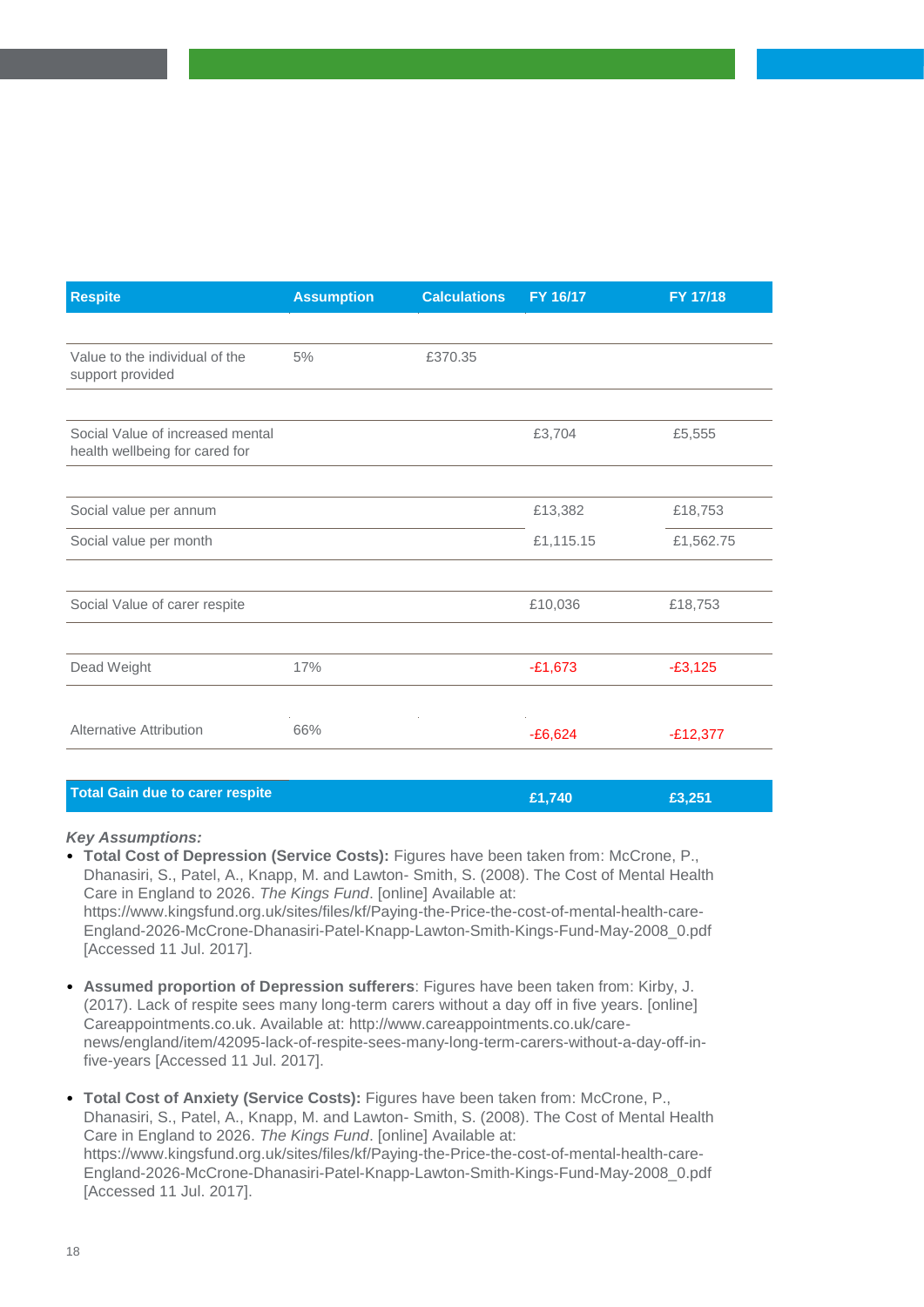| <b>Respite</b>                                                     | <b>Assumption</b> | <b>Calculations</b> | FY 16/17  | <b>FY 17/18</b> |
|--------------------------------------------------------------------|-------------------|---------------------|-----------|-----------------|
|                                                                    |                   |                     |           |                 |
| Value to the individual of the<br>support provided                 | 5%                | £370.35             |           |                 |
|                                                                    |                   |                     |           |                 |
| Social Value of increased mental<br>health wellbeing for cared for |                   |                     | £3,704    | £5,555          |
|                                                                    |                   |                     |           |                 |
| Social value per annum                                             |                   |                     | £13,382   | £18,753         |
| Social value per month                                             |                   |                     | £1,115.15 | £1,562.75       |
|                                                                    |                   |                     |           |                 |
| Social Value of carer respite                                      |                   |                     | £10,036   | £18,753         |
|                                                                    |                   |                     |           |                 |
| Dead Weight                                                        | 17%               |                     | $-£1,673$ | $-£3,125$       |
|                                                                    |                   |                     |           |                 |
| <b>Alternative Attribution</b>                                     | 66%               |                     | $-£6,624$ | $-E12,377$      |
|                                                                    |                   |                     |           |                 |

| <b>Total Gain due to carer respite</b> | E1.740 | £3.251 |
|----------------------------------------|--------|--------|
|                                        |        |        |

- **Total Cost of Depression (Service Costs):** Figures have been taken from: McCrone, P., Dhanasiri, S., Patel, A., Knapp, M. and Lawton- Smith, S. (2008). The Cost of Mental Health Care in England to 2026. *The Kings Fund*. [online] Available at: https://www.kingsfund.org.uk/sites/files/kf/Paying-the-Price-the-cost-of-mental-health-care-England-2026-McCrone-Dhanasiri-Patel-Knapp-Lawton-Smith-Kings-Fund-May-2008\_0.pdf [Accessed 11 Jul. 2017].
- **Assumed proportion of Depression sufferers**: Figures have been taken from: Kirby, J. (2017). Lack of respite sees many long-term carers without a day off in five years. [online] Careappointments.co.uk. Available at: http://www.careappointments.co.uk/carenews/england/item/42095-lack-of-respite-sees-many-long-term-carers-without-a-day-off-infive-years [Accessed 11 Jul. 2017].
- **Total Cost of Anxiety (Service Costs):** Figures have been taken from: McCrone, P., Dhanasiri, S., Patel, A., Knapp, M. and Lawton- Smith, S. (2008). The Cost of Mental Health Care in England to 2026. *The Kings Fund*. [online] Available at: https://www.kingsfund.org.uk/sites/files/kf/Paying-the-Price-the-cost-of-mental-health-care-England-2026-McCrone-Dhanasiri-Patel-Knapp-Lawton-Smith-Kings-Fund-May-2008\_0.pdf [Accessed 11 Jul. 2017].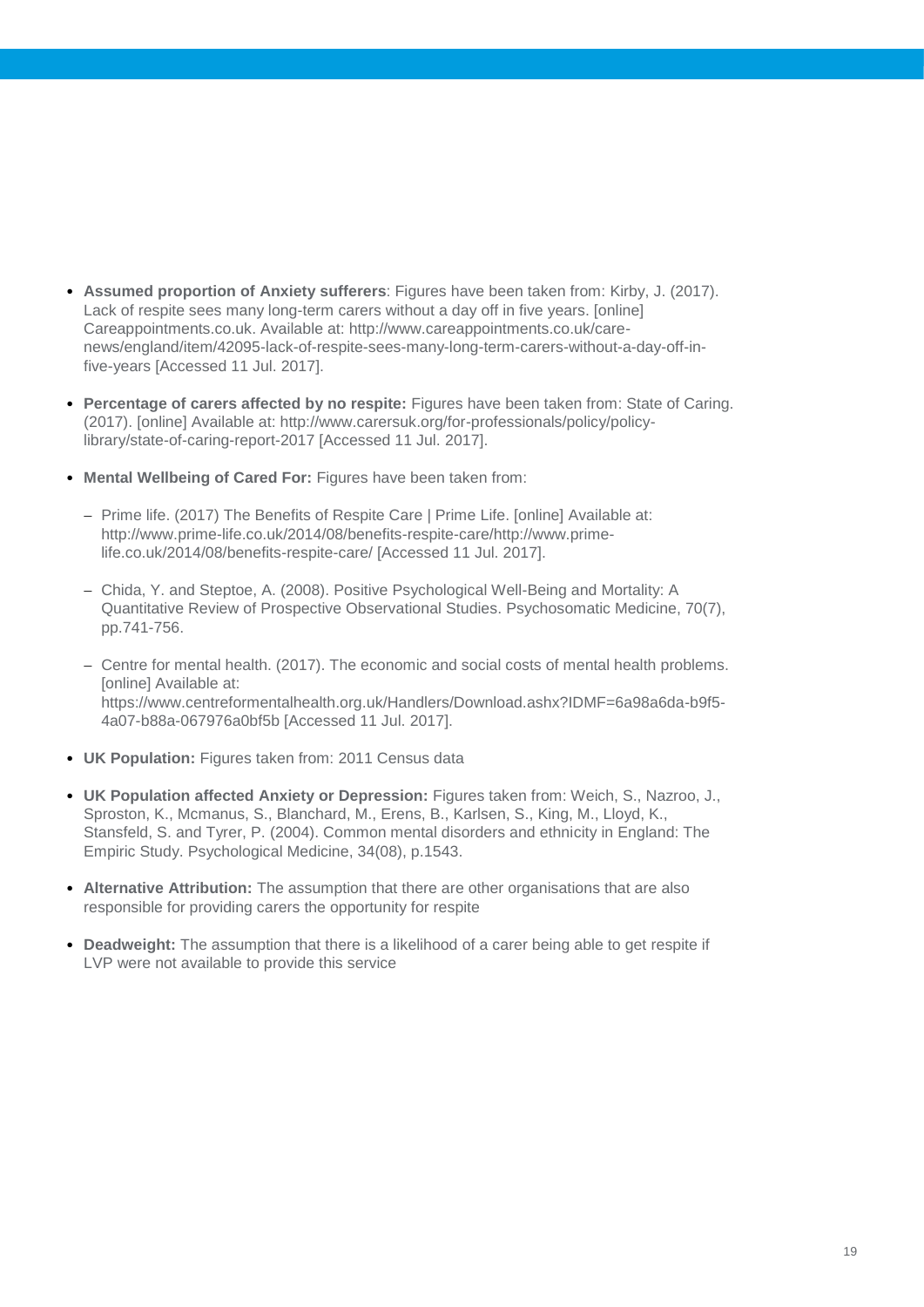- **Assumed proportion of Anxiety sufferers**: Figures have been taken from: Kirby, J. (2017). Lack of respite sees many long-term carers without a day off in five years. [online] Careappointments.co.uk. Available at: http://www.careappointments.co.uk/carenews/england/item/42095-lack-of-respite-sees-many-long-term-carers-without-a-day-off-infive-years [Accessed 11 Jul. 2017].
- **Percentage of carers affected by no respite:** Figures have been taken from: State of Caring. (2017). [online] Available at: http://www.carersuk.org/for-professionals/policy/policylibrary/state-of-caring-report-2017 [Accessed 11 Jul. 2017].
- **Mental Wellbeing of Cared For:** Figures have been taken from:
	- Prime life. (2017) The Benefits of Respite Care | Prime Life. [online] Available at: http://www.prime-life.co.uk/2014/08/benefits-respite-care/http://www.primelife.co.uk/2014/08/benefits-respite-care/ [Accessed 11 Jul. 2017].
	- Chida, Y. and Steptoe, A. (2008). Positive Psychological Well-Being and Mortality: A Quantitative Review of Prospective Observational Studies. Psychosomatic Medicine, 70(7), pp.741-756.
	- Centre for mental health. (2017). The economic and social costs of mental health problems. [online] Available at: https://www.centreformentalhealth.org.uk/Handlers/Download.ashx?IDMF=6a98a6da-b9f5- 4a07-b88a-067976a0bf5b [Accessed 11 Jul. 2017].
- **UK Population:** Figures taken from: 2011 Census data
- **UK Population affected Anxiety or Depression:** Figures taken from: Weich, S., Nazroo, J., Sproston, K., Mcmanus, S., Blanchard, M., Erens, B., Karlsen, S., King, M., Lloyd, K., Stansfeld, S. and Tyrer, P. (2004). Common mental disorders and ethnicity in England: The Empiric Study. Psychological Medicine, 34(08), p.1543.
- **Alternative Attribution:** The assumption that there are other organisations that are also responsible for providing carers the opportunity for respite
- **Deadweight:** The assumption that there is a likelihood of a carer being able to get respite if LVP were not available to provide this service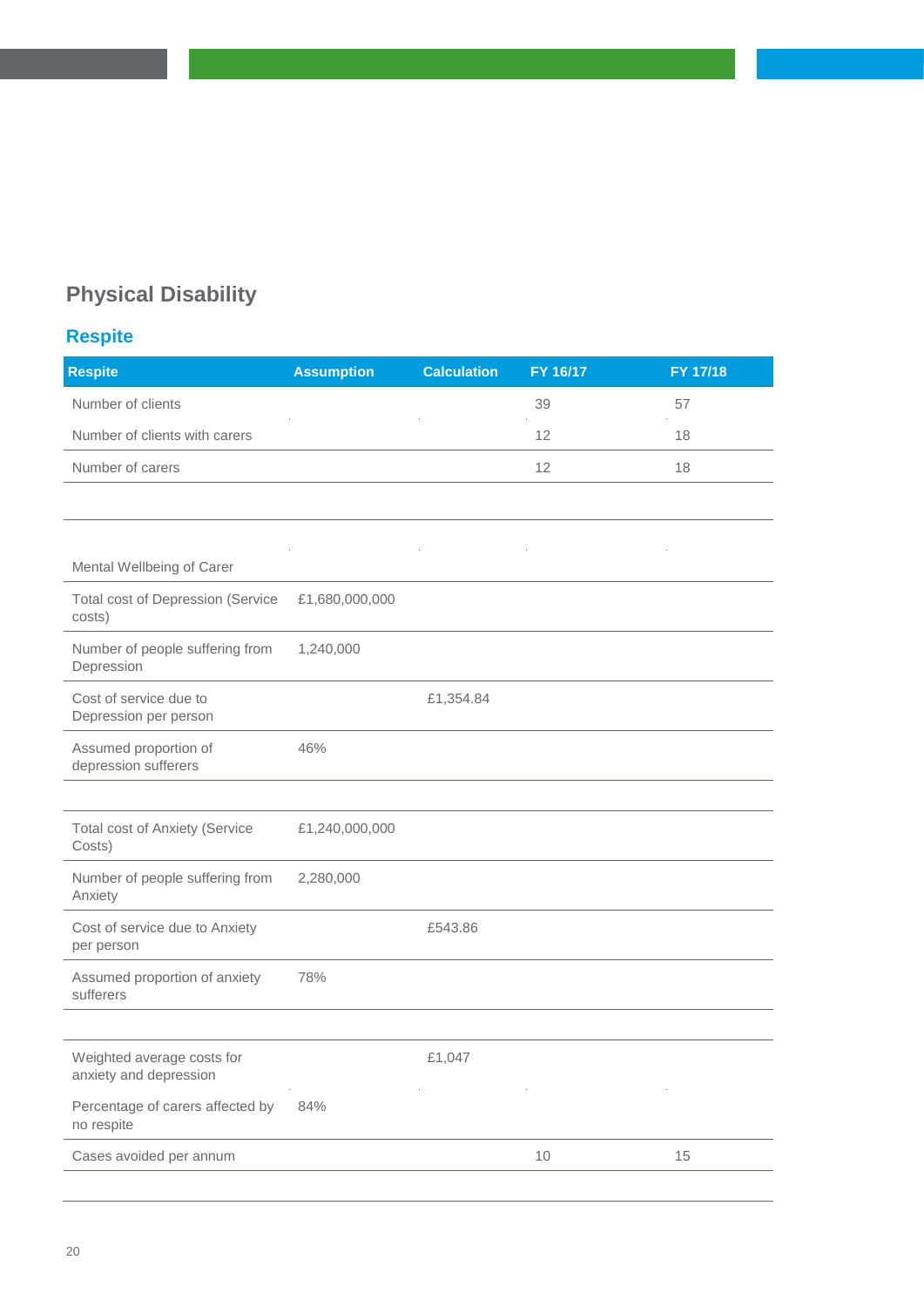## **Physical Disability**

## **Respite**

| Number of clients<br>39<br>57<br>Number of clients with carers<br>12<br>18<br>Number of carers<br>12<br>18<br>Mental Wellbeing of Carer<br><b>Total cost of Depression (Service</b><br>£1,680,000,000<br>costs)<br>Number of people suffering from<br>1,240,000<br>Depression<br>Cost of service due to<br>£1,354.84<br>Depression per person<br>Assumed proportion of<br>46%<br>depression sufferers<br><b>Total cost of Anxiety (Service</b><br>£1,240,000,000<br>Costs)<br>Number of people suffering from<br>2,280,000<br>Anxiety<br>£543.86<br>Cost of service due to Anxiety<br>per person<br>Assumed proportion of anxiety<br>78%<br>sufferers<br>Weighted average costs for<br>£1,047<br>anxiety and depression<br>Percentage of carers affected by<br>84%<br>no respite<br>Cases avoided per annum<br>10<br>15 | <b>Respite</b> | <b>Assumption</b> | <b>Calculation</b> | FY 16/17 | FY 17/18 |
|-------------------------------------------------------------------------------------------------------------------------------------------------------------------------------------------------------------------------------------------------------------------------------------------------------------------------------------------------------------------------------------------------------------------------------------------------------------------------------------------------------------------------------------------------------------------------------------------------------------------------------------------------------------------------------------------------------------------------------------------------------------------------------------------------------------------------|----------------|-------------------|--------------------|----------|----------|
|                                                                                                                                                                                                                                                                                                                                                                                                                                                                                                                                                                                                                                                                                                                                                                                                                         |                |                   |                    |          |          |
|                                                                                                                                                                                                                                                                                                                                                                                                                                                                                                                                                                                                                                                                                                                                                                                                                         |                |                   |                    |          |          |
|                                                                                                                                                                                                                                                                                                                                                                                                                                                                                                                                                                                                                                                                                                                                                                                                                         |                |                   |                    |          |          |
|                                                                                                                                                                                                                                                                                                                                                                                                                                                                                                                                                                                                                                                                                                                                                                                                                         |                |                   |                    |          |          |
|                                                                                                                                                                                                                                                                                                                                                                                                                                                                                                                                                                                                                                                                                                                                                                                                                         |                |                   |                    |          |          |
|                                                                                                                                                                                                                                                                                                                                                                                                                                                                                                                                                                                                                                                                                                                                                                                                                         |                |                   |                    |          |          |
|                                                                                                                                                                                                                                                                                                                                                                                                                                                                                                                                                                                                                                                                                                                                                                                                                         |                |                   |                    |          |          |
|                                                                                                                                                                                                                                                                                                                                                                                                                                                                                                                                                                                                                                                                                                                                                                                                                         |                |                   |                    |          |          |
|                                                                                                                                                                                                                                                                                                                                                                                                                                                                                                                                                                                                                                                                                                                                                                                                                         |                |                   |                    |          |          |
|                                                                                                                                                                                                                                                                                                                                                                                                                                                                                                                                                                                                                                                                                                                                                                                                                         |                |                   |                    |          |          |
|                                                                                                                                                                                                                                                                                                                                                                                                                                                                                                                                                                                                                                                                                                                                                                                                                         |                |                   |                    |          |          |
|                                                                                                                                                                                                                                                                                                                                                                                                                                                                                                                                                                                                                                                                                                                                                                                                                         |                |                   |                    |          |          |
|                                                                                                                                                                                                                                                                                                                                                                                                                                                                                                                                                                                                                                                                                                                                                                                                                         |                |                   |                    |          |          |
|                                                                                                                                                                                                                                                                                                                                                                                                                                                                                                                                                                                                                                                                                                                                                                                                                         |                |                   |                    |          |          |
|                                                                                                                                                                                                                                                                                                                                                                                                                                                                                                                                                                                                                                                                                                                                                                                                                         |                |                   |                    |          |          |
|                                                                                                                                                                                                                                                                                                                                                                                                                                                                                                                                                                                                                                                                                                                                                                                                                         |                |                   |                    |          |          |
|                                                                                                                                                                                                                                                                                                                                                                                                                                                                                                                                                                                                                                                                                                                                                                                                                         |                |                   |                    |          |          |
|                                                                                                                                                                                                                                                                                                                                                                                                                                                                                                                                                                                                                                                                                                                                                                                                                         |                |                   |                    |          |          |
|                                                                                                                                                                                                                                                                                                                                                                                                                                                                                                                                                                                                                                                                                                                                                                                                                         |                |                   |                    |          |          |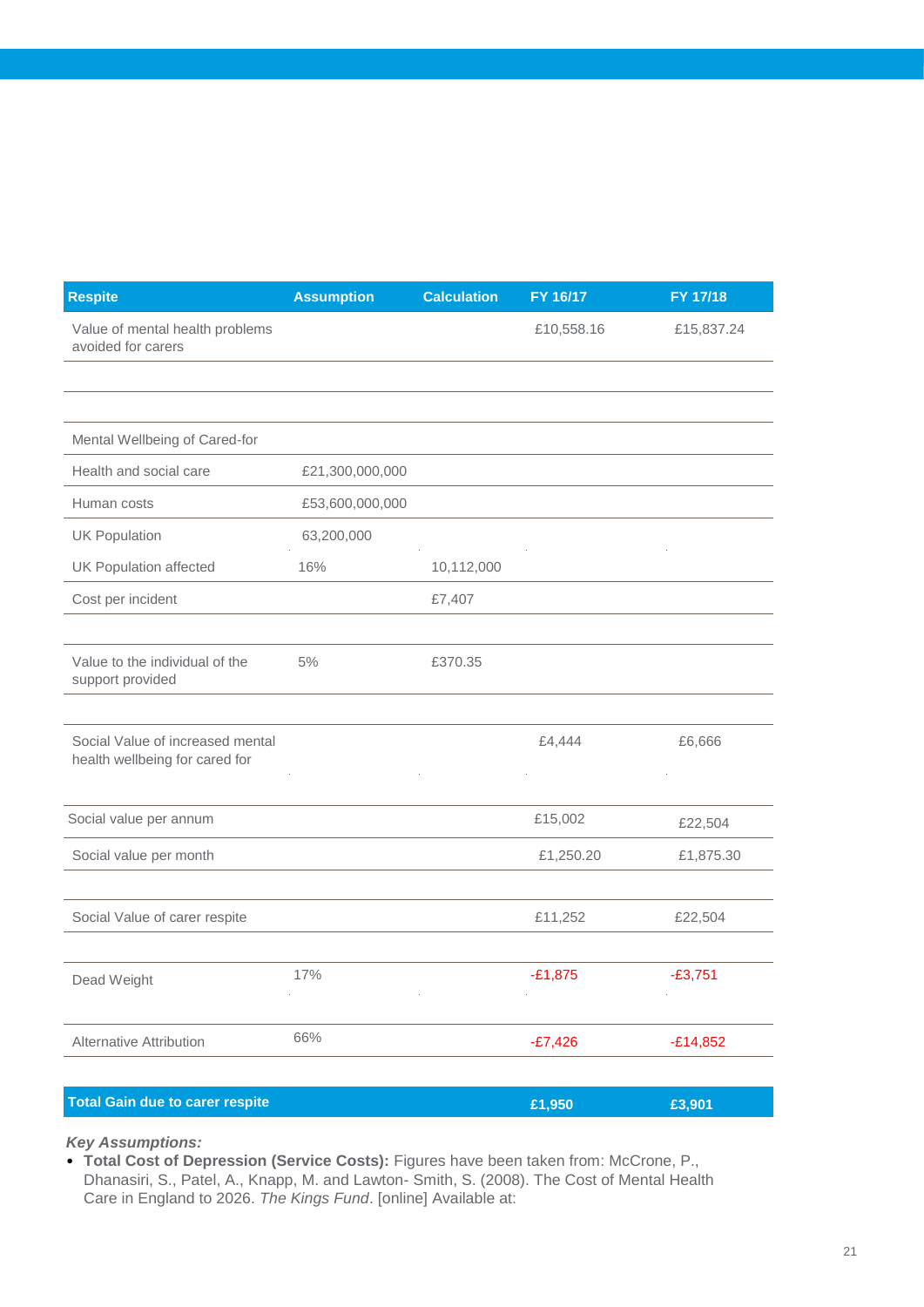| <b>Respite</b>                                                     | <b>Assumption</b> | <b>Calculation</b> | FY 16/17   | FY 17/18   |
|--------------------------------------------------------------------|-------------------|--------------------|------------|------------|
| Value of mental health problems<br>avoided for carers              |                   |                    | £10,558.16 | £15,837.24 |
|                                                                    |                   |                    |            |            |
|                                                                    |                   |                    |            |            |
| Mental Wellbeing of Cared-for                                      |                   |                    |            |            |
| Health and social care                                             | £21,300,000,000   |                    |            |            |
| Human costs                                                        | £53,600,000,000   |                    |            |            |
| <b>UK Population</b>                                               | 63,200,000        |                    |            |            |
| UK Population affected                                             | 16%               | 10,112,000         |            |            |
| Cost per incident                                                  |                   | £7,407             |            |            |
|                                                                    |                   |                    |            |            |
| Value to the individual of the<br>support provided                 | 5%                | £370.35            |            |            |
|                                                                    |                   |                    |            |            |
| Social Value of increased mental<br>health wellbeing for cared for |                   |                    | £4,444     | £6,666     |
|                                                                    |                   |                    |            |            |
| Social value per annum                                             |                   |                    | £15,002    | £22,504    |
| Social value per month                                             |                   |                    | £1,250.20  | £1,875.30  |
|                                                                    |                   |                    |            |            |
| Social Value of carer respite                                      |                   |                    | £11,252    | £22,504    |
|                                                                    |                   |                    |            |            |
| Dead Weight                                                        | 17%               |                    | $-£1,875$  | $-£3,751$  |
|                                                                    |                   |                    |            |            |
| Alternative Attribution                                            | 66%               |                    | $-E7,426$  | $-E14,852$ |
|                                                                    |                   |                    |            |            |
| <b>Total Gain due to carer respite</b>                             |                   |                    | £1,950     | £3,901     |

• **Total Cost of Depression (Service Costs):** Figures have been taken from: McCrone, P., Dhanasiri, S., Patel, A., Knapp, M. and Lawton- Smith, S. (2008). The Cost of Mental Health Care in England to 2026. *The Kings Fund*. [online] Available at: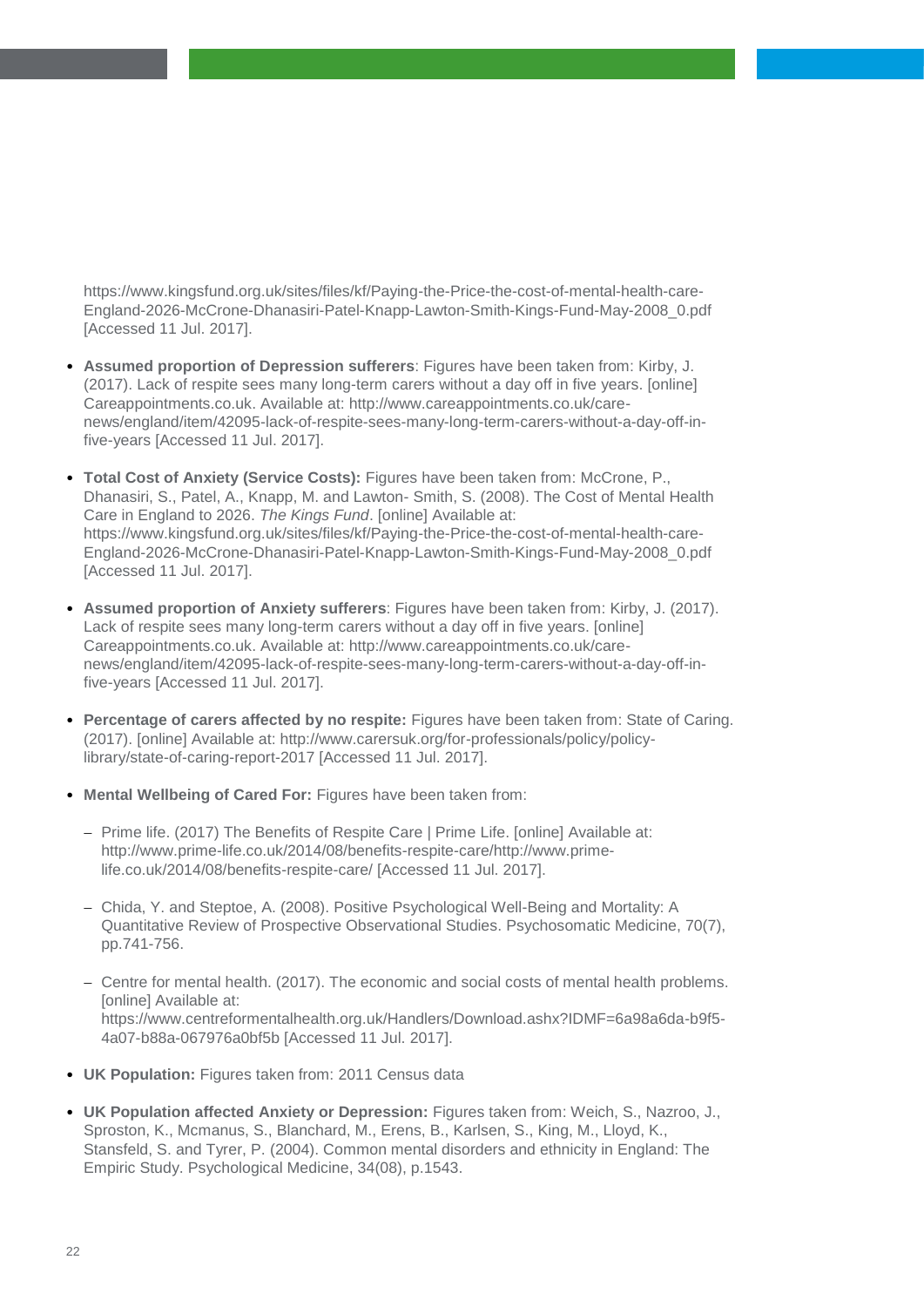https://www.kingsfund.org.uk/sites/files/kf/Paying-the-Price-the-cost-of-mental-health-care-England-2026-McCrone-Dhanasiri-Patel-Knapp-Lawton-Smith-Kings-Fund-May-2008\_0.pdf [Accessed 11 Jul. 2017].

- **Assumed proportion of Depression sufferers**: Figures have been taken from: Kirby, J. (2017). Lack of respite sees many long-term carers without a day off in five years. [online] Careappointments.co.uk. Available at: http://www.careappointments.co.uk/carenews/england/item/42095-lack-of-respite-sees-many-long-term-carers-without-a-day-off-infive-years [Accessed 11 Jul. 2017].
- **Total Cost of Anxiety (Service Costs):** Figures have been taken from: McCrone, P., Dhanasiri, S., Patel, A., Knapp, M. and Lawton- Smith, S. (2008). The Cost of Mental Health Care in England to 2026. *The Kings Fund*. [online] Available at: https://www.kingsfund.org.uk/sites/files/kf/Paying-the-Price-the-cost-of-mental-health-care-England-2026-McCrone-Dhanasiri-Patel-Knapp-Lawton-Smith-Kings-Fund-May-2008\_0.pdf [Accessed 11 Jul. 2017].
- **Assumed proportion of Anxiety sufferers**: Figures have been taken from: Kirby, J. (2017). Lack of respite sees many long-term carers without a day off in five years. [online] Careappointments.co.uk. Available at: http://www.careappointments.co.uk/carenews/england/item/42095-lack-of-respite-sees-many-long-term-carers-without-a-day-off-infive-years [Accessed 11 Jul. 2017].
- **Percentage of carers affected by no respite:** Figures have been taken from: State of Caring. (2017). [online] Available at: http://www.carersuk.org/for-professionals/policy/policylibrary/state-of-caring-report-2017 [Accessed 11 Jul. 2017].
- **Mental Wellbeing of Cared For:** Figures have been taken from:
	- Prime life. (2017) The Benefits of Respite Care | Prime Life. [online] Available at: http://www.prime-life.co.uk/2014/08/benefits-respite-care/http://www.primelife.co.uk/2014/08/benefits-respite-care/ [Accessed 11 Jul. 2017].
	- Chida, Y. and Steptoe, A. (2008). Positive Psychological Well-Being and Mortality: A Quantitative Review of Prospective Observational Studies. Psychosomatic Medicine, 70(7), pp.741-756.
	- Centre for mental health. (2017). The economic and social costs of mental health problems. [online] Available at: https://www.centreformentalhealth.org.uk/Handlers/Download.ashx?IDMF=6a98a6da-b9f5- 4a07-b88a-067976a0bf5b [Accessed 11 Jul. 2017].
- **UK Population:** Figures taken from: 2011 Census data
- **UK Population affected Anxiety or Depression:** Figures taken from: Weich, S., Nazroo, J., Sproston, K., Mcmanus, S., Blanchard, M., Erens, B., Karlsen, S., King, M., Lloyd, K., Stansfeld, S. and Tyrer, P. (2004). Common mental disorders and ethnicity in England: The Empiric Study. Psychological Medicine, 34(08), p.1543.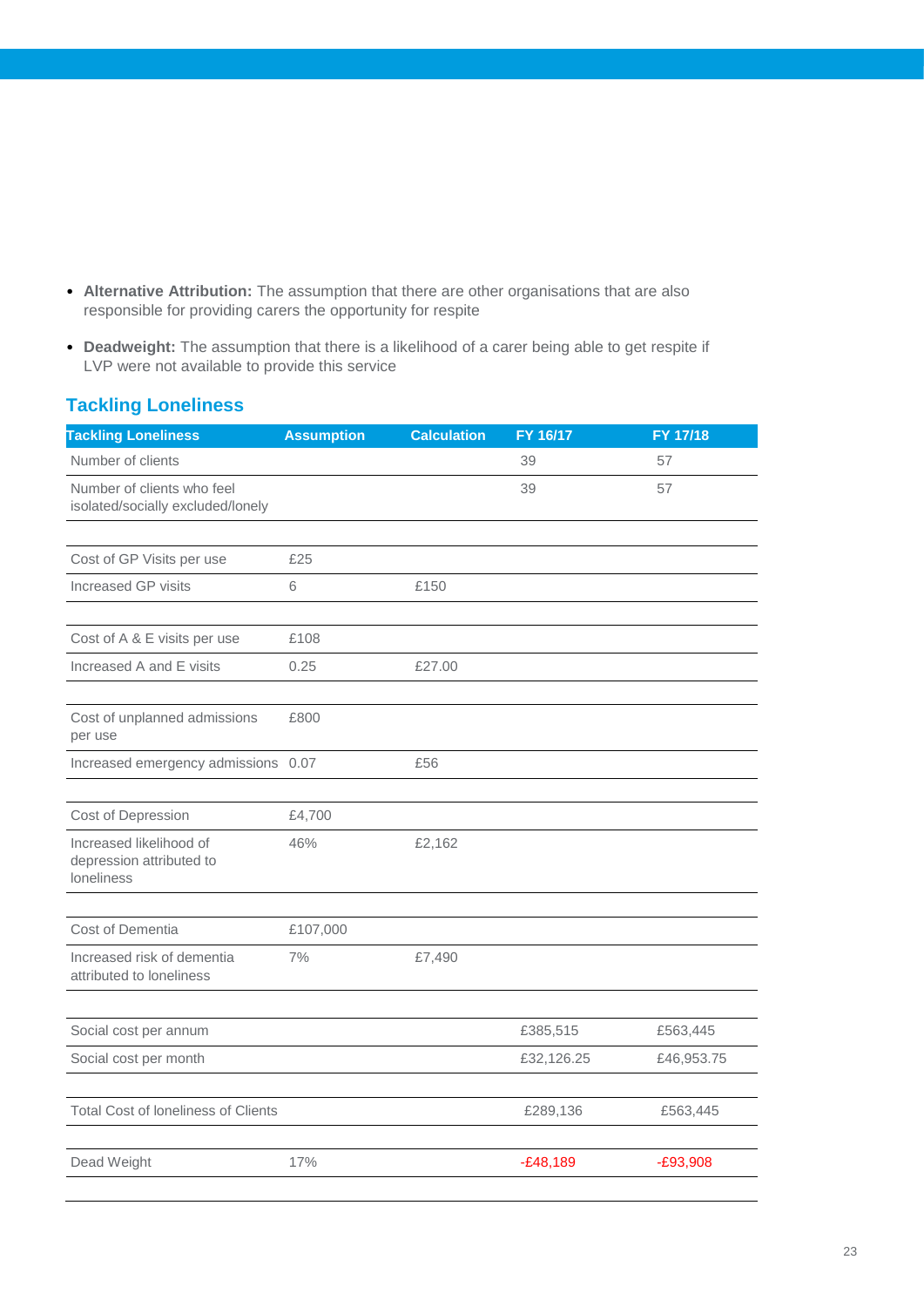- **Alternative Attribution:** The assumption that there are other organisations that are also responsible for providing carers the opportunity for respite
- **Deadweight:** The assumption that there is a likelihood of a carer being able to get respite if LVP were not available to provide this service

### **Tackling Loneliness**

| <b>Tackling Loneliness</b>                                        | <b>Assumption</b> | <b>Calculation</b> | FY 16/17   | FY 17/18   |
|-------------------------------------------------------------------|-------------------|--------------------|------------|------------|
| Number of clients                                                 |                   |                    | 39         | 57         |
| Number of clients who feel<br>isolated/socially excluded/lonely   |                   |                    | 39         | 57         |
|                                                                   |                   |                    |            |            |
| Cost of GP Visits per use                                         | £25               |                    |            |            |
| Increased GP visits                                               | 6                 | £150               |            |            |
|                                                                   |                   |                    |            |            |
| Cost of A & E visits per use                                      | £108              |                    |            |            |
| Increased A and E visits                                          | 0.25              | £27.00             |            |            |
|                                                                   |                   |                    |            |            |
| Cost of unplanned admissions<br>per use                           | £800              |                    |            |            |
| Increased emergency admissions 0.07                               |                   | £56                |            |            |
|                                                                   |                   |                    |            |            |
| Cost of Depression                                                | £4,700            |                    |            |            |
| Increased likelihood of<br>depression attributed to<br>Ioneliness | 46%               | £2,162             |            |            |
|                                                                   |                   |                    |            |            |
| Cost of Dementia                                                  | £107,000          |                    |            |            |
| Increased risk of dementia<br>attributed to loneliness            | 7%                | £7,490             |            |            |
|                                                                   |                   |                    |            |            |
| Social cost per annum                                             |                   |                    | £385,515   | £563,445   |
| Social cost per month                                             |                   |                    | £32,126.25 | £46,953.75 |
|                                                                   |                   |                    |            |            |
| <b>Total Cost of loneliness of Clients</b>                        |                   |                    | £289,136   | £563,445   |
|                                                                   |                   |                    |            |            |
| Dead Weight                                                       | 17%               |                    | $-E48,189$ | $-E93,908$ |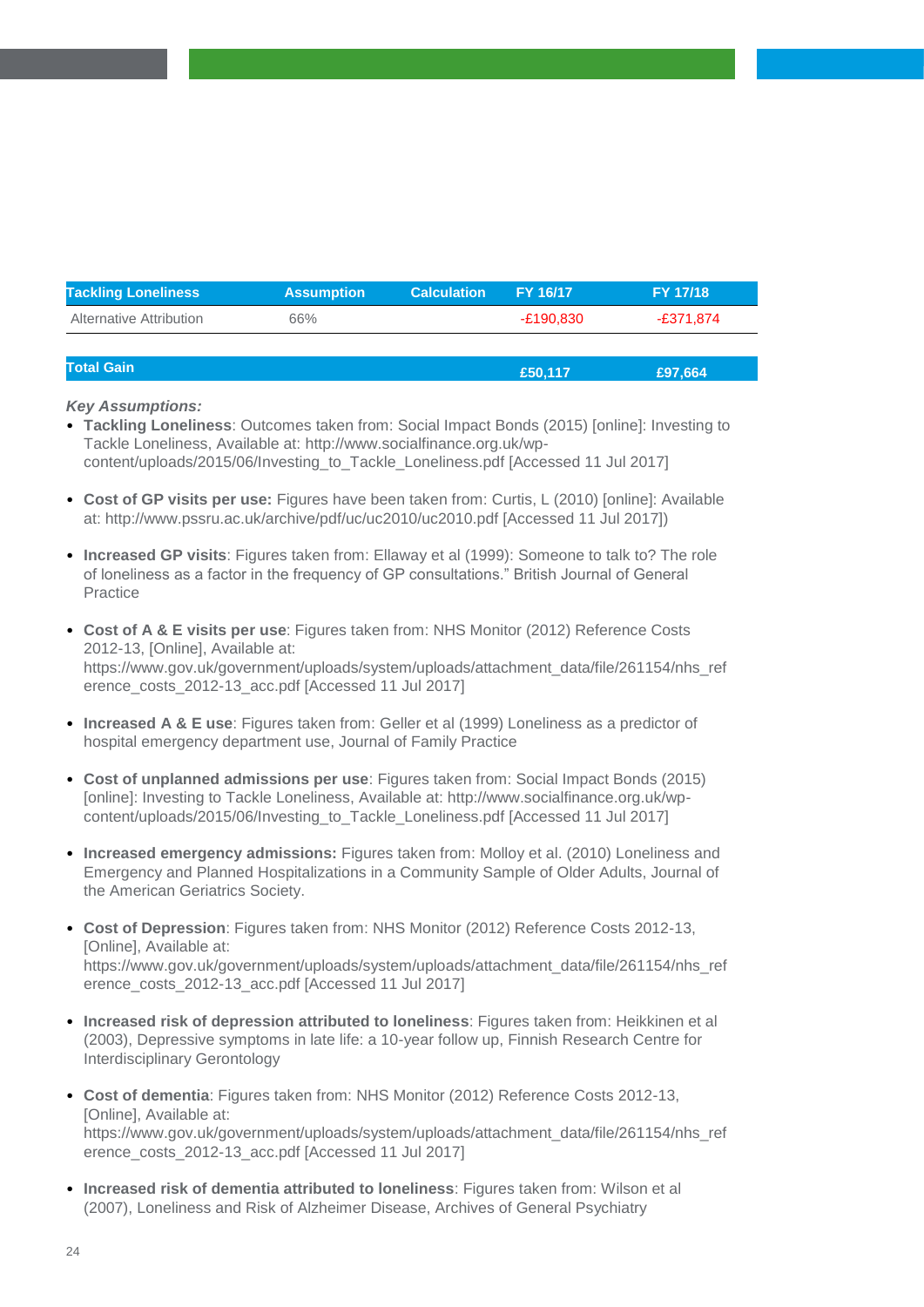| <b>Tackling Loneliness</b> | <b>Assumption</b> | <b>Calculation</b> | <b>FY 16/17</b> | <b>FY 17/18</b> |
|----------------------------|-------------------|--------------------|-----------------|-----------------|
| Alternative Attribution    | 66%               |                    | -£190.830       | -£371.874       |
|                            |                   |                    |                 |                 |

| <b>Total Gain</b> | £50,117 | £97,664 |
|-------------------|---------|---------|
|                   |         |         |

• **Tackling Loneliness**: Outcomes taken from: Social Impact Bonds (2015) [online]: Investing to Tackle Loneliness, Available at: http://www.socialfinance.org.uk/wpcontent/uploads/2015/06/Investing\_to\_Tackle\_Loneliness.pdf [Accessed 11 Jul 2017]

- **Cost of GP visits per use:** Figures have been taken from: Curtis, L (2010) [online]: Available at: http://www.pssru.ac.uk/archive/pdf/uc/uc2010/uc2010.pdf [Accessed 11 Jul 2017])
- **Increased GP visits**: Figures taken from: Ellaway et al (1999): Someone to talk to? The role of loneliness as a factor in the frequency of GP consultations." British Journal of General Practice
- **Cost of A & E visits per use**: Figures taken from: NHS Monitor (2012) Reference Costs 2012-13, [Online], Available at: https://www.gov.uk/government/uploads/system/uploads/attachment\_data/file/261154/nhs\_ref erence\_costs\_2012-13\_acc.pdf [Accessed 11 Jul 2017]
- **Increased A & E use**: Figures taken from: Geller et al (1999) Loneliness as a predictor of hospital emergency department use, Journal of Family Practice
- **Cost of unplanned admissions per use**: Figures taken from: Social Impact Bonds (2015) [online]: Investing to Tackle Loneliness, Available at: http://www.socialfinance.org.uk/wpcontent/uploads/2015/06/Investing\_to\_Tackle\_Loneliness.pdf [Accessed 11 Jul 2017]
- **Increased emergency admissions:** Figures taken from: Molloy et al. (2010) Loneliness and Emergency and Planned Hospitalizations in a Community Sample of Older Adults, Journal of the American Geriatrics Society.
- **Cost of Depression**: Figures taken from: NHS Monitor (2012) Reference Costs 2012-13, [Online], Available at: https://www.gov.uk/government/uploads/system/uploads/attachment\_data/file/261154/nhs\_ref erence\_costs\_2012-13\_acc.pdf [Accessed 11 Jul 2017]
- **Increased risk of depression attributed to loneliness**: Figures taken from: Heikkinen et al (2003), Depressive symptoms in late life: a 10-year follow up, Finnish Research Centre for Interdisciplinary Gerontology
- **Cost of dementia**: Figures taken from: NHS Monitor (2012) Reference Costs 2012-13, [Online], Available at: https://www.gov.uk/government/uploads/system/uploads/attachment\_data/file/261154/nhs\_ref erence\_costs\_2012-13\_acc.pdf [Accessed 11 Jul 2017]
- **Increased risk of dementia attributed to loneliness**: Figures taken from: Wilson et al (2007), Loneliness and Risk of Alzheimer Disease, Archives of General Psychiatry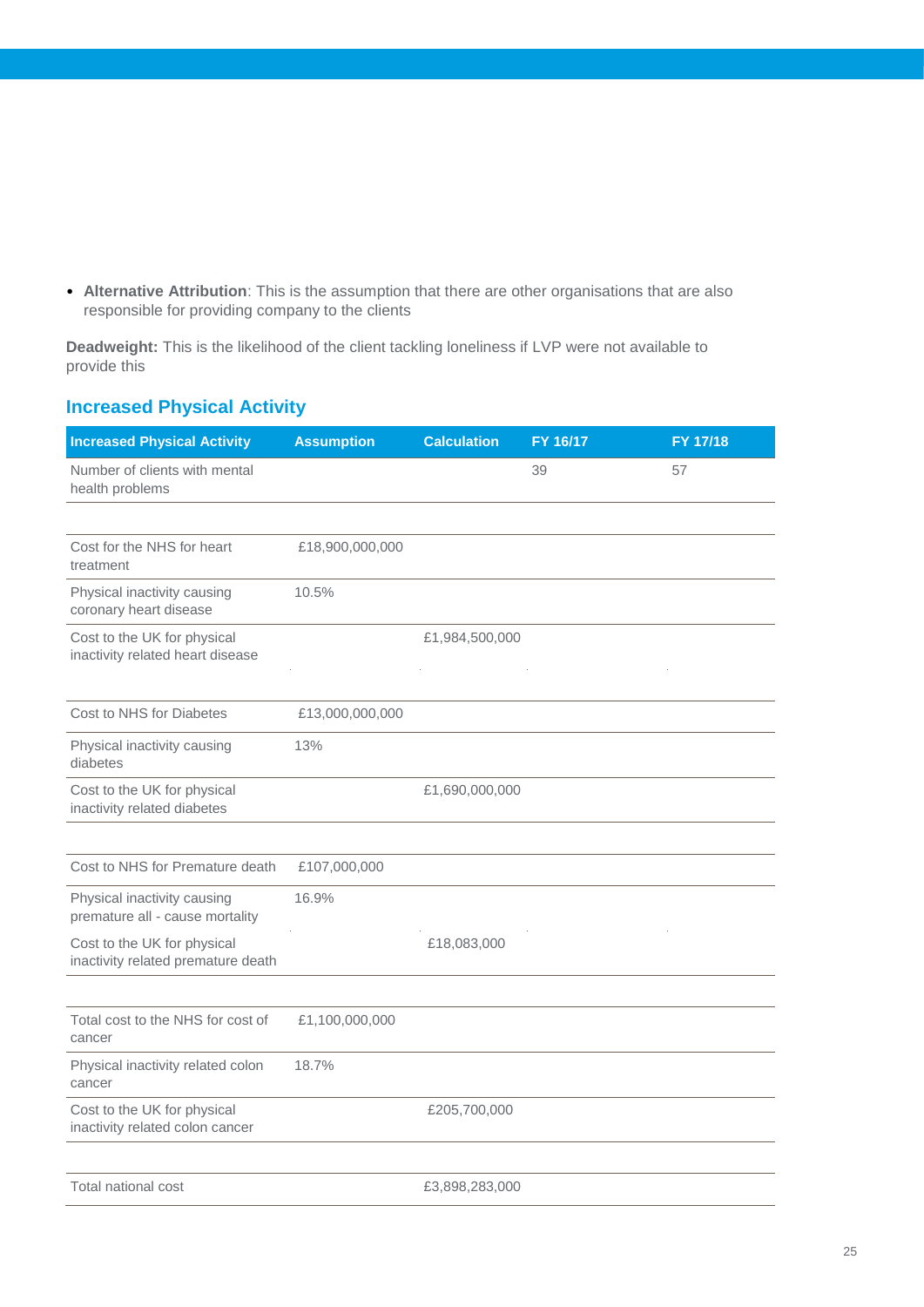• **Alternative Attribution**: This is the assumption that there are other organisations that are also responsible for providing company to the clients

**Deadweight:** This is the likelihood of the client tackling loneliness if LVP were not available to provide this

### **Increased Physical Activity**

| <b>Increased Physical Activity</b>                                | <b>Assumption</b> | <b>Calculation</b> | FY 16/17 | FY 17/18 |
|-------------------------------------------------------------------|-------------------|--------------------|----------|----------|
| Number of clients with mental<br>health problems                  |                   |                    | 39       | 57       |
|                                                                   |                   |                    |          |          |
| Cost for the NHS for heart<br>treatment                           | £18,900,000,000   |                    |          |          |
| Physical inactivity causing<br>coronary heart disease             | 10.5%             |                    |          |          |
| Cost to the UK for physical<br>inactivity related heart disease   |                   | £1,984,500,000     |          |          |
|                                                                   |                   |                    |          |          |
| Cost to NHS for Diabetes                                          | £13,000,000,000   |                    |          |          |
| Physical inactivity causing<br>diabetes                           | 13%               |                    |          |          |
| Cost to the UK for physical<br>inactivity related diabetes        |                   | £1,690,000,000     |          |          |
|                                                                   |                   |                    |          |          |
| Cost to NHS for Premature death                                   | £107,000,000      |                    |          |          |
| Physical inactivity causing<br>premature all - cause mortality    | 16.9%             |                    |          |          |
| Cost to the UK for physical<br>inactivity related premature death |                   | £18,083,000        |          |          |
|                                                                   |                   |                    |          |          |
| Total cost to the NHS for cost of<br>cancer                       | £1,100,000,000    |                    |          |          |
| Physical inactivity related colon<br>cancer                       | 18.7%             |                    |          |          |
| Cost to the UK for physical<br>inactivity related colon cancer    |                   | £205,700,000       |          |          |
|                                                                   |                   |                    |          |          |
| Total national cost                                               |                   | £3,898,283,000     |          |          |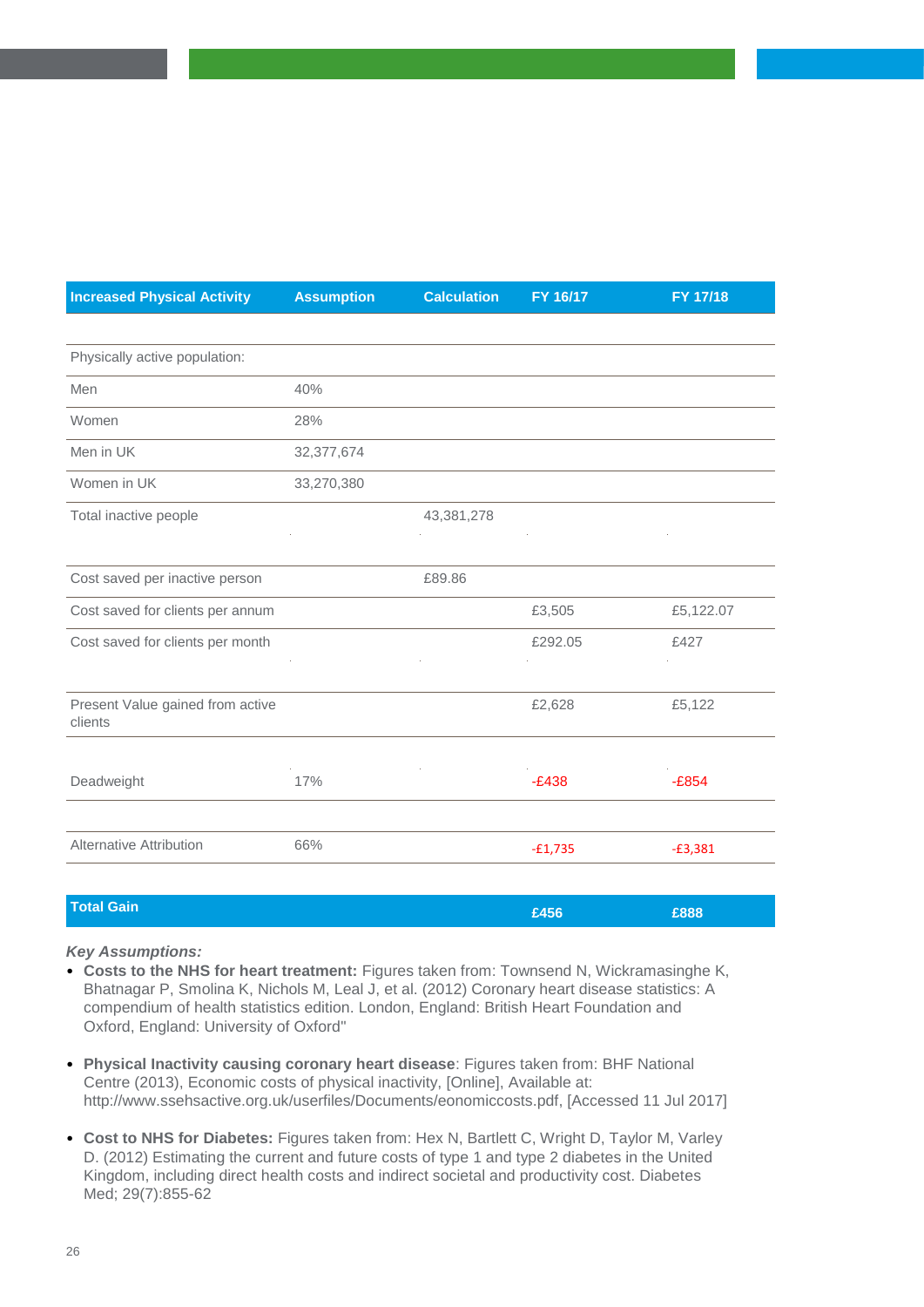| <b>Increased Physical Activity</b>          | <b>Assumption</b> | <b>Calculation</b> | FY 16/17  | FY 17/18  |
|---------------------------------------------|-------------------|--------------------|-----------|-----------|
|                                             |                   |                    |           |           |
| Physically active population:               |                   |                    |           |           |
| Men                                         | 40%               |                    |           |           |
| Women                                       | 28%               |                    |           |           |
| Men in UK                                   | 32,377,674        |                    |           |           |
| Women in UK                                 | 33,270,380        |                    |           |           |
| Total inactive people                       |                   | 43,381,278         |           |           |
|                                             |                   |                    |           |           |
| Cost saved per inactive person              |                   | £89.86             |           |           |
| Cost saved for clients per annum            |                   |                    | £3,505    | £5,122.07 |
| Cost saved for clients per month            |                   |                    | £292.05   | £427      |
|                                             |                   |                    |           |           |
| Present Value gained from active<br>clients |                   |                    | £2,628    | £5,122    |
|                                             |                   |                    |           |           |
| Deadweight                                  | 17%               |                    | $-E438$   | $-£854$   |
|                                             |                   |                    |           |           |
| <b>Alternative Attribution</b>              | 66%               |                    | $-£1,735$ | $-£3,381$ |
|                                             |                   |                    |           |           |
| <b>Total Gain</b>                           |                   |                    | £456      | £888      |

- **Costs to the NHS for heart treatment:** Figures taken from: Townsend N, Wickramasinghe K, Bhatnagar P, Smolina K, Nichols M, Leal J, et al. (2012) Coronary heart disease statistics: A compendium of health statistics edition. London, England: British Heart Foundation and Oxford, England: University of Oxford"
- **Physical Inactivity causing coronary heart disease**: Figures taken from: BHF National Centre (2013), Economic costs of physical inactivity, [Online], Available at: http://www.ssehsactive.org.uk/userfiles/Documents/eonomiccosts.pdf, [Accessed 11 Jul 2017]
- **Cost to NHS for Diabetes:** Figures taken from: Hex N, Bartlett C, Wright D, Taylor M, Varley D. (2012) Estimating the current and future costs of type 1 and type 2 diabetes in the United Kingdom, including direct health costs and indirect societal and productivity cost. Diabetes Med; 29(7):855-62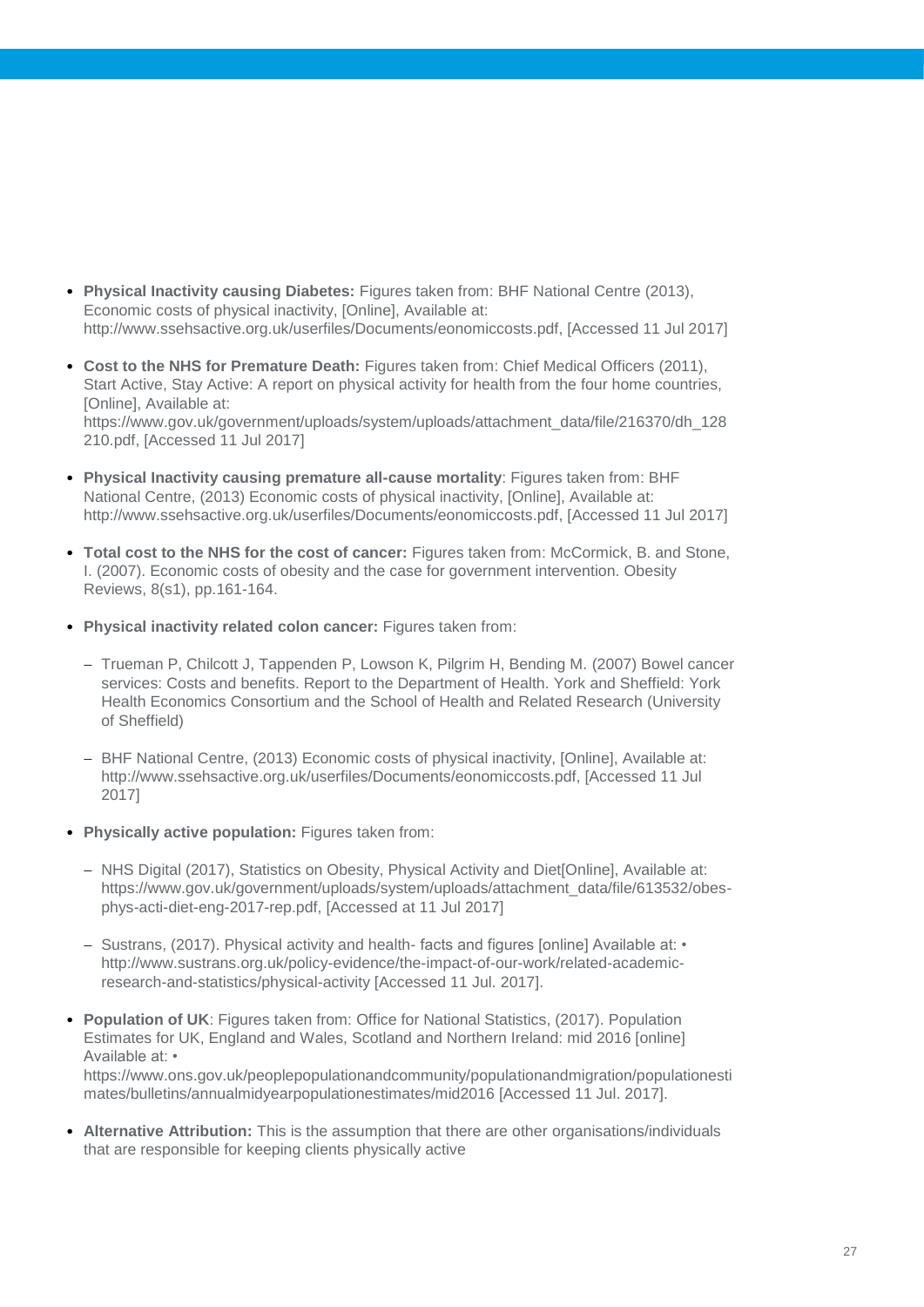- **Physical Inactivity causing Diabetes:** Figures taken from: BHF National Centre (2013), Economic costs of physical inactivity, [Online], Available at: http://www.ssehsactive.org.uk/userfiles/Documents/eonomiccosts.pdf, [Accessed 11 Jul 2017]
- **Cost to the NHS for Premature Death:** Figures taken from: Chief Medical Officers (2011), Start Active, Stay Active: A report on physical activity for health from the four home countries, [Online], Available at: https://www.gov.uk/government/uploads/system/uploads/attachment\_data/file/216370/dh\_128 210.pdf, [Accessed 11 Jul 2017]
- **Physical Inactivity causing premature all-cause mortality**: Figures taken from: BHF National Centre, (2013) Economic costs of physical inactivity, [Online], Available at: http://www.ssehsactive.org.uk/userfiles/Documents/eonomiccosts.pdf, [Accessed 11 Jul 2017]
- **Total cost to the NHS for the cost of cancer:** Figures taken from: McCormick, B. and Stone, I. (2007). Economic costs of obesity and the case for government intervention. Obesity Reviews, 8(s1), pp.161-164.
- **Physical inactivity related colon cancer:** Figures taken from:
	- Trueman P, Chilcott J, Tappenden P, Lowson K, Pilgrim H, Bending M. (2007) Bowel cancer services: Costs and benefits. Report to the Department of Health. York and Sheffield: York Health Economics Consortium and the School of Health and Related Research (University of Sheffield)
	- BHF National Centre, (2013) Economic costs of physical inactivity, [Online], Available at: http://www.ssehsactive.org.uk/userfiles/Documents/eonomiccosts.pdf, [Accessed 11 Jul 2017]
- **Physically active population:** Figures taken from:
	- NHS Digital (2017), Statistics on Obesity, Physical Activity and Diet[Online], Available at: https://www.gov.uk/government/uploads/system/uploads/attachment\_data/file/613532/obesphys-acti-diet-eng-2017-rep.pdf, [Accessed at 11 Jul 2017]
	- $-$  Sustrans, (2017). Physical activity and health- facts and figures [online] Available at:  $\cdot$ http://www.sustrans.org.uk/policy-evidence/the-impact-of-our-work/related-academicresearch-and-statistics/physical-activity [Accessed 11 Jul. 2017].
- **Population of UK**: Figures taken from: Office for National Statistics, (2017). Population Estimates for UK, England and Wales, Scotland and Northern Ireland: mid 2016 [online] Available at: • https://www.ons.gov.uk/peoplepopulationandcommunity/populationandmigration/populationesti

mates/bulletins/annualmidyearpopulationestimates/mid2016 [Accessed 11 Jul. 2017].

• **Alternative Attribution:** This is the assumption that there are other organisations/individuals that are responsible for keeping clients physically active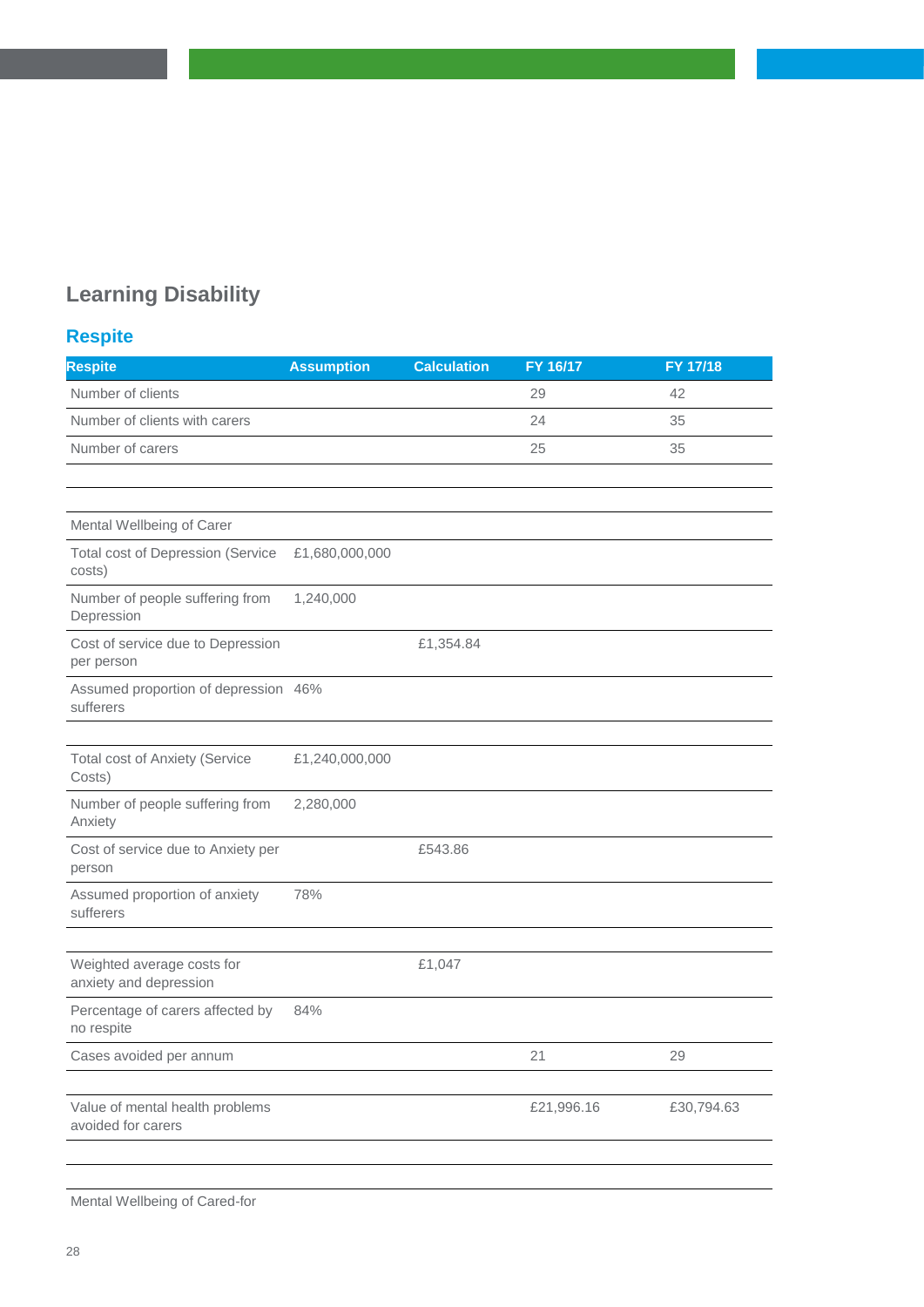## **Learning Disability**

## **Respite**

| <b>Respite</b>                                        | <b>Assumption</b> | <b>Calculation</b> | FY 16/17   | FY 17/18   |
|-------------------------------------------------------|-------------------|--------------------|------------|------------|
| Number of clients                                     |                   |                    | 29         | 42         |
| Number of clients with carers                         |                   |                    | 24         | 35         |
| Number of carers                                      |                   |                    | 25         | 35         |
|                                                       |                   |                    |            |            |
|                                                       |                   |                    |            |            |
| Mental Wellbeing of Carer                             |                   |                    |            |            |
| <b>Total cost of Depression (Service</b><br>costs)    | £1,680,000,000    |                    |            |            |
| Number of people suffering from<br>Depression         | 1,240,000         |                    |            |            |
| Cost of service due to Depression<br>per person       |                   | £1,354.84          |            |            |
| Assumed proportion of depression 46%<br>sufferers     |                   |                    |            |            |
|                                                       |                   |                    |            |            |
| <b>Total cost of Anxiety (Service</b><br>Costs)       | £1,240,000,000    |                    |            |            |
| Number of people suffering from<br>Anxiety            | 2,280,000         |                    |            |            |
| Cost of service due to Anxiety per<br>person          |                   | £543.86            |            |            |
| Assumed proportion of anxiety<br>sufferers            | 78%               |                    |            |            |
|                                                       |                   |                    |            |            |
| Weighted average costs for<br>anxiety and depression  |                   | £1,047             |            |            |
| Percentage of carers affected by<br>no respite        | 84%               |                    |            |            |
| Cases avoided per annum                               |                   |                    | 21         | 29         |
| Value of mental health problems<br>avoided for carers |                   |                    | £21,996.16 | £30,794.63 |
|                                                       |                   |                    |            |            |

Mental Wellbeing of Cared-for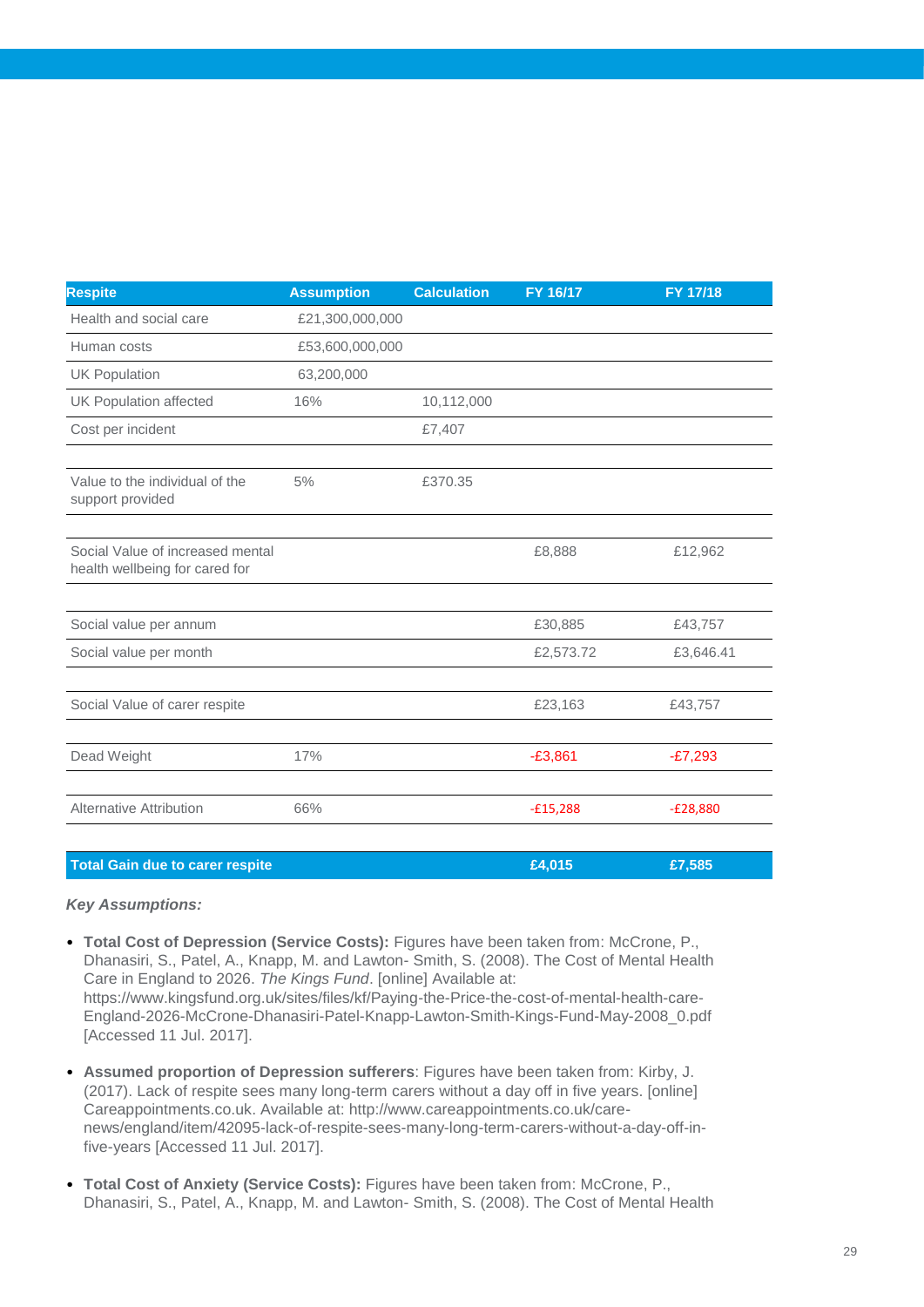| <b>Respite</b>                                                     | <b>Assumption</b> | <b>Calculation</b> | FY 16/17   | FY 17/18   |
|--------------------------------------------------------------------|-------------------|--------------------|------------|------------|
| Health and social care                                             | £21,300,000,000   |                    |            |            |
| Human costs                                                        | £53,600,000,000   |                    |            |            |
| <b>UK Population</b>                                               | 63,200,000        |                    |            |            |
| <b>UK Population affected</b>                                      | 16%               | 10,112,000         |            |            |
| Cost per incident                                                  |                   | £7,407             |            |            |
|                                                                    |                   |                    |            |            |
| Value to the individual of the<br>support provided                 | 5%                | £370.35            |            |            |
|                                                                    |                   |                    |            |            |
| Social Value of increased mental<br>health wellbeing for cared for |                   |                    | £8,888     | £12,962    |
|                                                                    |                   |                    |            |            |
| Social value per annum                                             |                   |                    | £30,885    | £43,757    |
| Social value per month                                             |                   |                    | £2,573.72  | £3,646.41  |
| Social Value of carer respite                                      |                   |                    | £23,163    | £43,757    |
|                                                                    |                   |                    |            |            |
| Dead Weight                                                        | 17%               |                    | $-£3,861$  | $-E7,293$  |
| <b>Alternative Attribution</b>                                     | 66%               |                    | $-£15,288$ | $-E28,880$ |
|                                                                    |                   |                    |            |            |

| Total Gain due to carer respite | £4.015 | £7,585 |  |
|---------------------------------|--------|--------|--|
|                                 |        |        |  |

- **Total Cost of Depression (Service Costs):** Figures have been taken from: McCrone, P., Dhanasiri, S., Patel, A., Knapp, M. and Lawton- Smith, S. (2008). The Cost of Mental Health Care in England to 2026. *The Kings Fund*. [online] Available at: https://www.kingsfund.org.uk/sites/files/kf/Paying-the-Price-the-cost-of-mental-health-care-England-2026-McCrone-Dhanasiri-Patel-Knapp-Lawton-Smith-Kings-Fund-May-2008\_0.pdf [Accessed 11 Jul. 2017].
- **Assumed proportion of Depression sufferers**: Figures have been taken from: Kirby, J. (2017). Lack of respite sees many long-term carers without a day off in five years. [online] Careappointments.co.uk. Available at: http://www.careappointments.co.uk/carenews/england/item/42095-lack-of-respite-sees-many-long-term-carers-without-a-day-off-infive-years [Accessed 11 Jul. 2017].
- **Total Cost of Anxiety (Service Costs):** Figures have been taken from: McCrone, P., Dhanasiri, S., Patel, A., Knapp, M. and Lawton- Smith, S. (2008). The Cost of Mental Health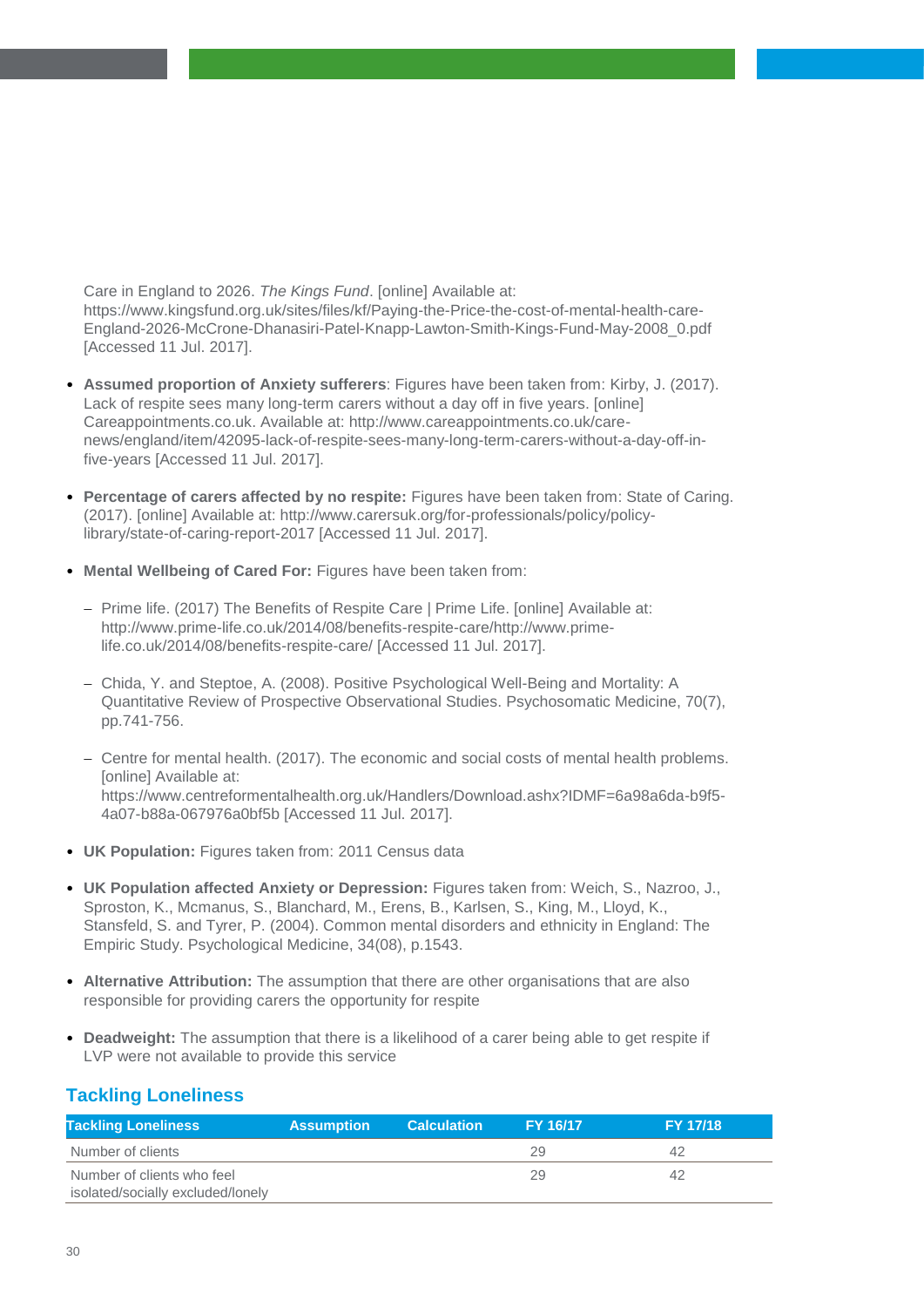Care in England to 2026. *The Kings Fund*. [online] Available at: https://www.kingsfund.org.uk/sites/files/kf/Paying-the-Price-the-cost-of-mental-health-care-England-2026-McCrone-Dhanasiri-Patel-Knapp-Lawton-Smith-Kings-Fund-May-2008\_0.pdf [Accessed 11 Jul. 2017].

- **Assumed proportion of Anxiety sufferers**: Figures have been taken from: Kirby, J. (2017). Lack of respite sees many long-term carers without a day off in five years. [online] Careappointments.co.uk. Available at: http://www.careappointments.co.uk/carenews/england/item/42095-lack-of-respite-sees-many-long-term-carers-without-a-day-off-infive-years [Accessed 11 Jul. 2017].
- **Percentage of carers affected by no respite:** Figures have been taken from: State of Caring. (2017). [online] Available at: http://www.carersuk.org/for-professionals/policy/policylibrary/state-of-caring-report-2017 [Accessed 11 Jul. 2017].
- **Mental Wellbeing of Cared For:** Figures have been taken from:
	- Prime life. (2017) The Benefits of Respite Care | Prime Life. [online] Available at: http://www.prime-life.co.uk/2014/08/benefits-respite-care/http://www.primelife.co.uk/2014/08/benefits-respite-care/ [Accessed 11 Jul. 2017].
	- Chida, Y. and Steptoe, A. (2008). Positive Psychological Well-Being and Mortality: A Quantitative Review of Prospective Observational Studies. Psychosomatic Medicine, 70(7), pp.741-756.
	- Centre for mental health. (2017). The economic and social costs of mental health problems. [online] Available at: https://www.centreformentalhealth.org.uk/Handlers/Download.ashx?IDMF=6a98a6da-b9f5- 4a07-b88a-067976a0bf5b [Accessed 11 Jul. 2017].
- **UK Population:** Figures taken from: 2011 Census data
- **UK Population affected Anxiety or Depression:** Figures taken from: Weich, S., Nazroo, J., Sproston, K., Mcmanus, S., Blanchard, M., Erens, B., Karlsen, S., King, M., Lloyd, K., Stansfeld, S. and Tyrer, P. (2004). Common mental disorders and ethnicity in England: The Empiric Study. Psychological Medicine, 34(08), p.1543.
- **Alternative Attribution:** The assumption that there are other organisations that are also responsible for providing carers the opportunity for respite
- **Deadweight:** The assumption that there is a likelihood of a carer being able to get respite if LVP were not available to provide this service

#### **Tackling Loneliness**

| <b>Tackling Loneliness</b>                                      | <b>Assumption</b> | <b>Calculation</b> | <b>FY 16/17</b> | <b>FY 17/18</b> |
|-----------------------------------------------------------------|-------------------|--------------------|-----------------|-----------------|
| Number of clients                                               |                   |                    | 29              | 42              |
| Number of clients who feel<br>isolated/socially excluded/lonely |                   |                    | 29              | 42              |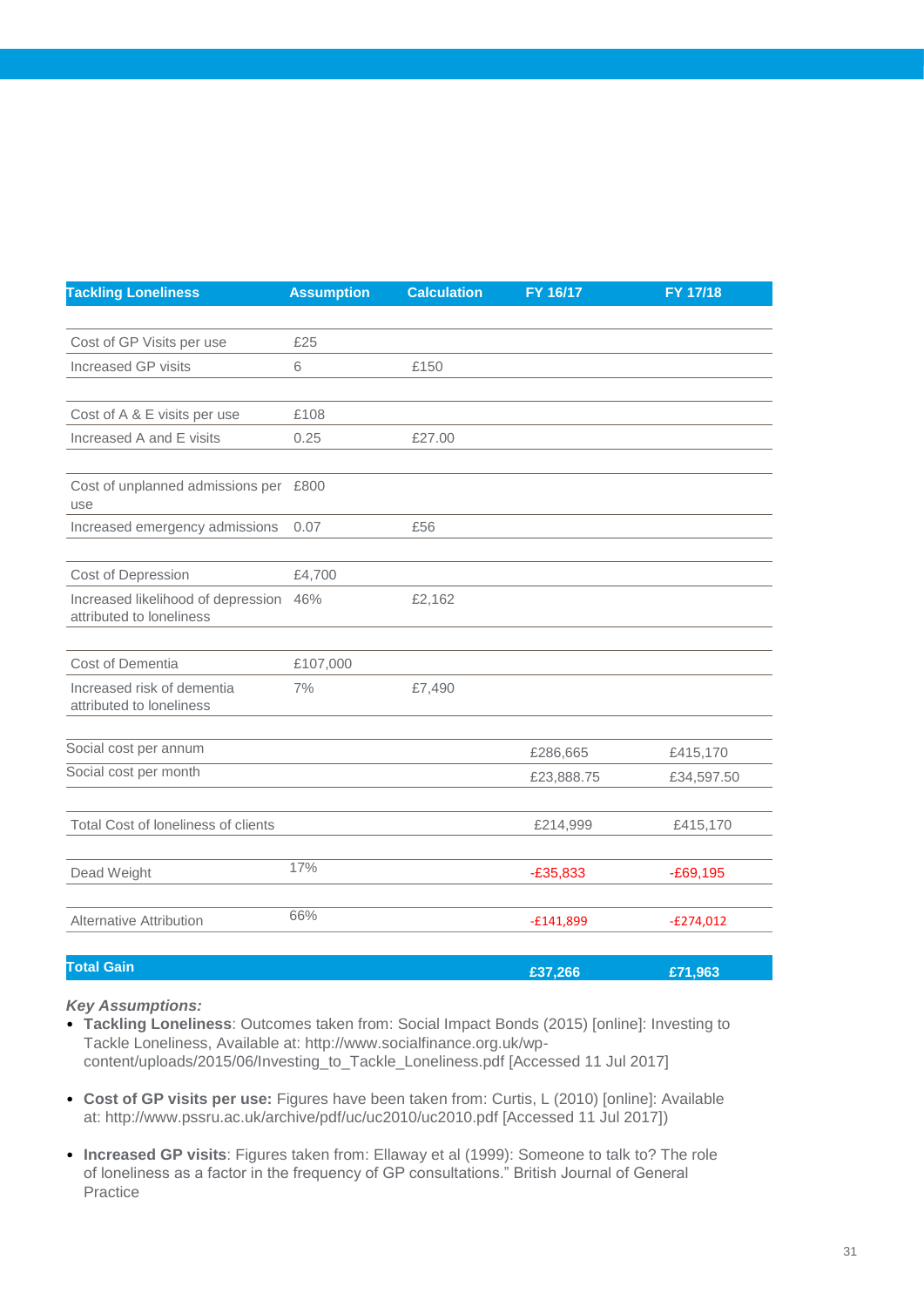| <b>Tackling Loneliness</b>                                         | <b>Assumption</b> | <b>Calculation</b> | FY 16/17    | FY 17/18    |
|--------------------------------------------------------------------|-------------------|--------------------|-------------|-------------|
|                                                                    |                   |                    |             |             |
| Cost of GP Visits per use                                          | £25               |                    |             |             |
| <b>Increased GP visits</b>                                         | 6                 | £150               |             |             |
|                                                                    |                   |                    |             |             |
| Cost of A & E visits per use                                       | £108              |                    |             |             |
| Increased A and E visits                                           | 0.25              | £27.00             |             |             |
|                                                                    |                   |                    |             |             |
| Cost of unplanned admissions per £800<br>use                       |                   |                    |             |             |
| Increased emergency admissions                                     | 0.07              | £56                |             |             |
|                                                                    |                   |                    |             |             |
| Cost of Depression                                                 | £4,700            |                    |             |             |
| Increased likelihood of depression 46%<br>attributed to loneliness |                   | £2,162             |             |             |
| Cost of Dementia                                                   | £107,000          |                    |             |             |
| Increased risk of dementia                                         | 7%                | £7,490             |             |             |
| attributed to loneliness                                           |                   |                    |             |             |
|                                                                    |                   |                    |             |             |
| Social cost per annum                                              |                   |                    | £286,665    | £415,170    |
| Social cost per month                                              |                   |                    | £23,888.75  | £34,597.50  |
|                                                                    |                   |                    |             |             |
| Total Cost of loneliness of clients                                |                   |                    | £214,999    | £415,170    |
|                                                                    |                   |                    |             |             |
| Dead Weight                                                        | 17%               |                    | $-E35,833$  | $-E69,195$  |
|                                                                    |                   |                    |             |             |
| <b>Alternative Attribution</b>                                     | 66%               |                    | $-£141,899$ | $-E274,012$ |
|                                                                    |                   |                    |             |             |

#### **Total Gain £37,266 £71,963**

- **Tackling Loneliness**: Outcomes taken from: Social Impact Bonds (2015) [online]: Investing to Tackle Loneliness, Available at: http://www.socialfinance.org.uk/wpcontent/uploads/2015/06/Investing\_to\_Tackle\_Loneliness.pdf [Accessed 11 Jul 2017]
- **Cost of GP visits per use:** Figures have been taken from: Curtis, L (2010) [online]: Available at: http://www.pssru.ac.uk/archive/pdf/uc/uc2010/uc2010.pdf [Accessed 11 Jul 2017])
- **Increased GP visits**: Figures taken from: Ellaway et al (1999): Someone to talk to? The role of loneliness as a factor in the frequency of GP consultations." British Journal of General Practice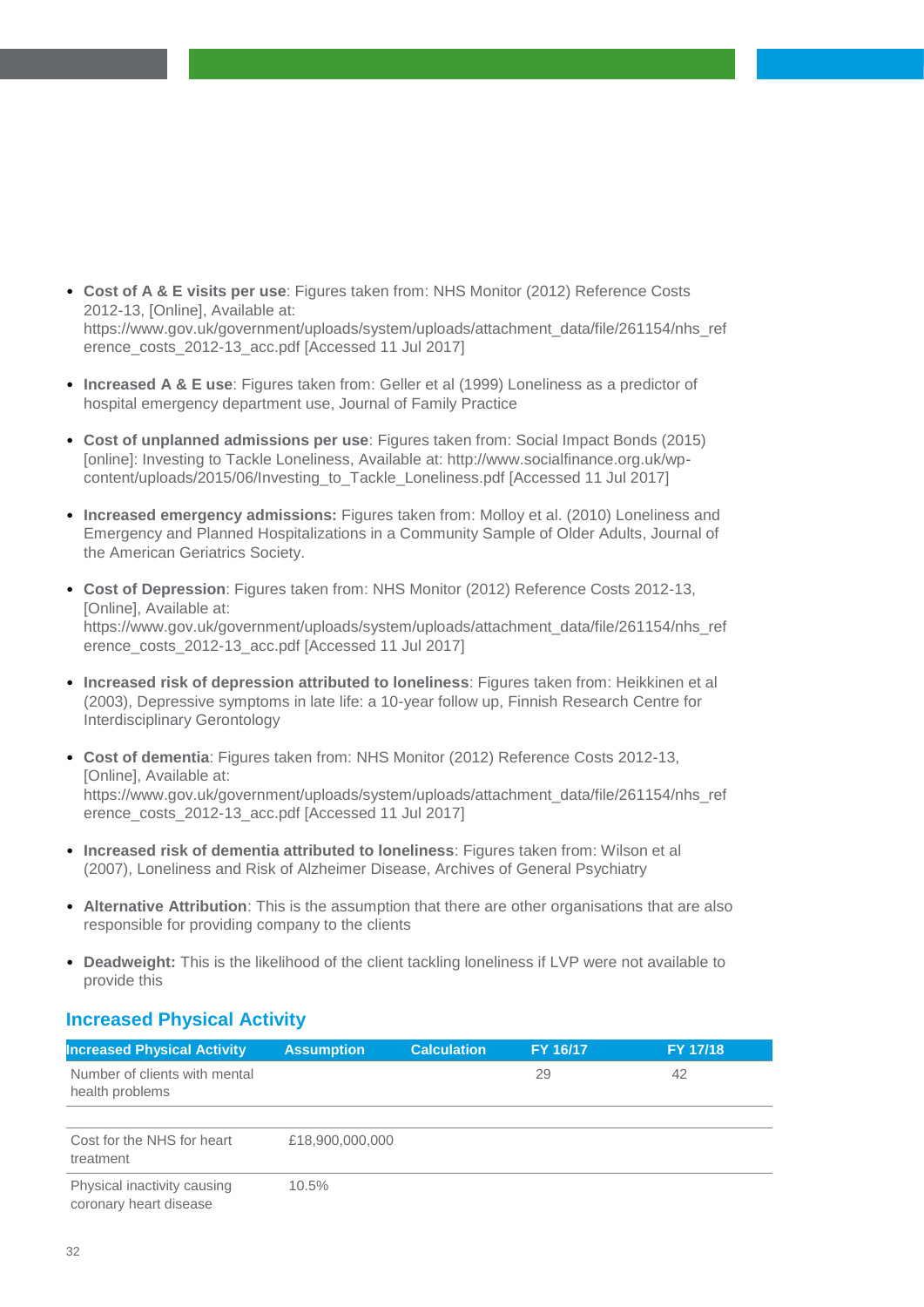- **Cost of A & E visits per use**: Figures taken from: NHS Monitor (2012) Reference Costs 2012-13, [Online], Available at: https://www.gov.uk/government/uploads/system/uploads/attachment\_data/file/261154/nhs\_ref erence\_costs\_2012-13\_acc.pdf [Accessed 11 Jul 2017]
- **Increased A & E use**: Figures taken from: Geller et al (1999) Loneliness as a predictor of hospital emergency department use, Journal of Family Practice
- **Cost of unplanned admissions per use**: Figures taken from: Social Impact Bonds (2015) [online]: Investing to Tackle Loneliness, Available at: http://www.socialfinance.org.uk/wpcontent/uploads/2015/06/Investing\_to\_Tackle\_Loneliness.pdf [Accessed 11 Jul 2017]
- **Increased emergency admissions:** Figures taken from: Molloy et al. (2010) Loneliness and Emergency and Planned Hospitalizations in a Community Sample of Older Adults, Journal of the American Geriatrics Society.
- **Cost of Depression**: Figures taken from: NHS Monitor (2012) Reference Costs 2012-13, [Online], Available at: https://www.gov.uk/government/uploads/system/uploads/attachment\_data/file/261154/nhs\_ref erence\_costs\_2012-13\_acc.pdf [Accessed 11 Jul 2017]
- **Increased risk of depression attributed to loneliness**: Figures taken from: Heikkinen et al (2003), Depressive symptoms in late life: a 10-year follow up, Finnish Research Centre for Interdisciplinary Gerontology
- **Cost of dementia**: Figures taken from: NHS Monitor (2012) Reference Costs 2012-13, [Online], Available at: https://www.gov.uk/government/uploads/system/uploads/attachment\_data/file/261154/nhs\_ref erence\_costs\_2012-13\_acc.pdf [Accessed 11 Jul 2017]
- **Increased risk of dementia attributed to loneliness**: Figures taken from: Wilson et al (2007), Loneliness and Risk of Alzheimer Disease, Archives of General Psychiatry
- **Alternative Attribution**: This is the assumption that there are other organisations that are also responsible for providing company to the clients
- **Deadweight:** This is the likelihood of the client tackling loneliness if LVP were not available to provide this

#### **Increased Physical Activity**

| <b>Increased Physical Activity</b>                    | <b>Assumption</b> | <b>Calculation</b> | FY 16/17 | FY 17/18 |
|-------------------------------------------------------|-------------------|--------------------|----------|----------|
| Number of clients with mental<br>health problems      |                   |                    | 29       | 42       |
|                                                       |                   |                    |          |          |
| Cost for the NHS for heart<br>treatment               | £18,900,000,000   |                    |          |          |
| Physical inactivity causing<br>coronary heart disease | 10.5%             |                    |          |          |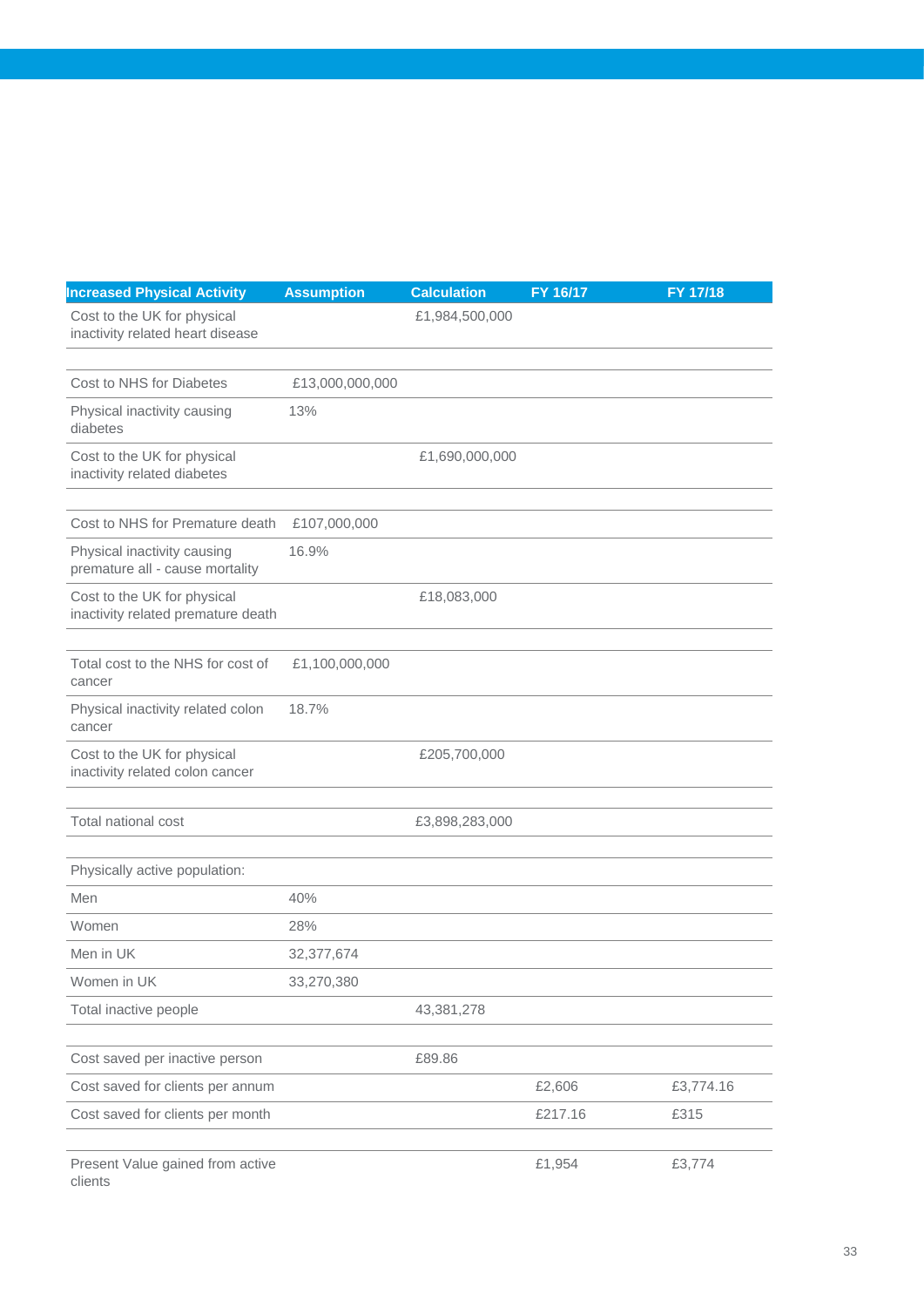| <b>Increased Physical Activity</b>                                | <b>Assumption</b> | <b>Calculation</b> | FY 16/17 | FY 17/18  |
|-------------------------------------------------------------------|-------------------|--------------------|----------|-----------|
| Cost to the UK for physical<br>inactivity related heart disease   |                   | £1,984,500,000     |          |           |
|                                                                   |                   |                    |          |           |
| Cost to NHS for Diabetes                                          | £13,000,000,000   |                    |          |           |
| Physical inactivity causing<br>diabetes                           | 13%               |                    |          |           |
| Cost to the UK for physical<br>inactivity related diabetes        |                   | £1,690,000,000     |          |           |
|                                                                   |                   |                    |          |           |
| Cost to NHS for Premature death                                   | £107,000,000      |                    |          |           |
| Physical inactivity causing<br>premature all - cause mortality    | 16.9%             |                    |          |           |
| Cost to the UK for physical<br>inactivity related premature death |                   | £18,083,000        |          |           |
|                                                                   |                   |                    |          |           |
| Total cost to the NHS for cost of<br>cancer                       | £1,100,000,000    |                    |          |           |
| Physical inactivity related colon<br>cancer                       | 18.7%             |                    |          |           |
| Cost to the UK for physical<br>inactivity related colon cancer    |                   | £205,700,000       |          |           |
| Total national cost                                               |                   | £3,898,283,000     |          |           |
| Physically active population:                                     |                   |                    |          |           |
| Men                                                               | 40%               |                    |          |           |
| Women                                                             | 28%               |                    |          |           |
| Men in UK                                                         | 32,377,674        |                    |          |           |
| Women in UK                                                       | 33,270,380        |                    |          |           |
| Total inactive people                                             |                   | 43,381,278         |          |           |
| Cost saved per inactive person                                    |                   | £89.86             |          |           |
| Cost saved for clients per annum                                  |                   |                    | £2,606   | £3,774.16 |
| Cost saved for clients per month                                  |                   |                    | £217.16  | £315      |
| Present Value gained from active                                  |                   |                    | £1,954   | £3,774    |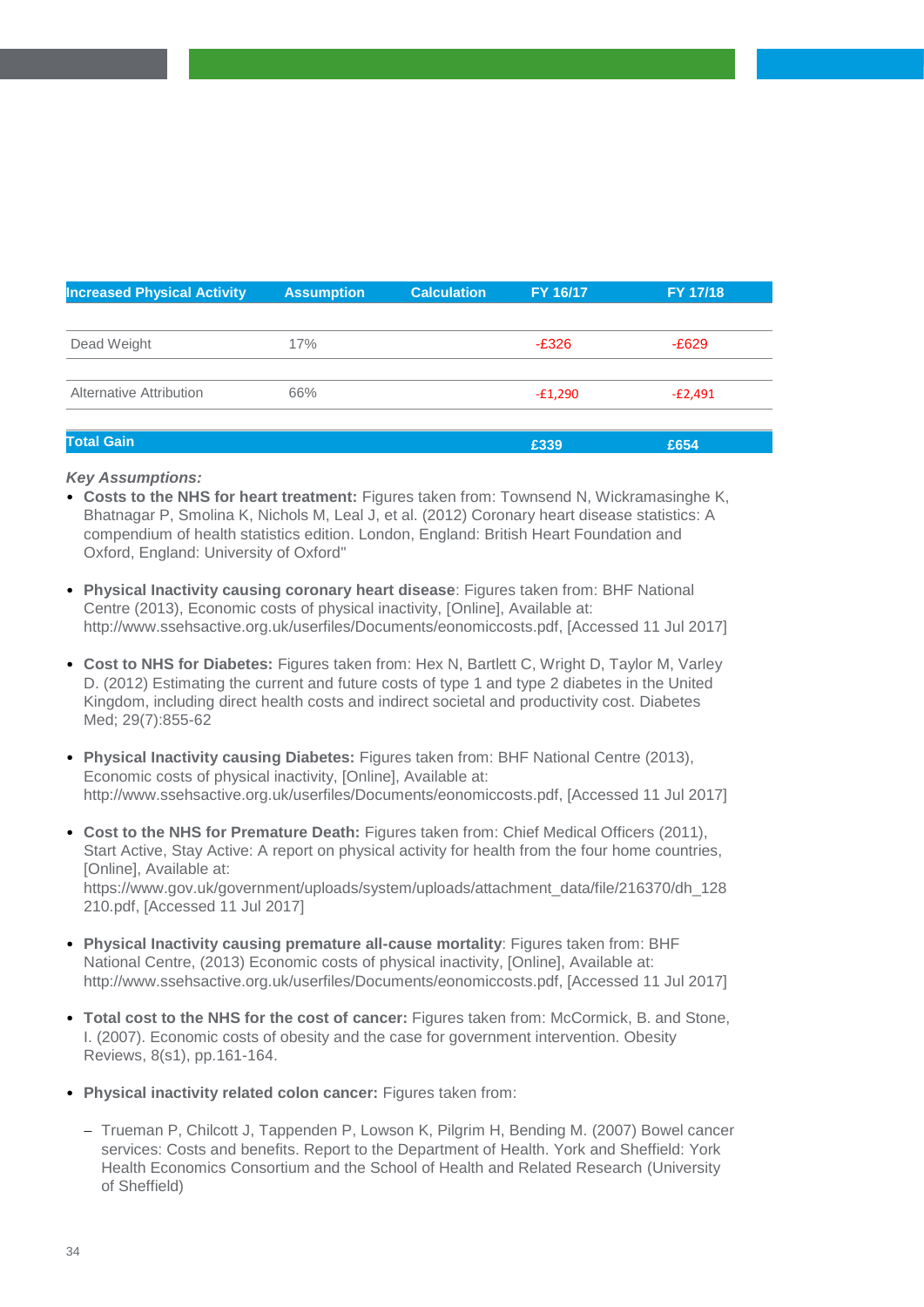| <b>Increased Physical Activity</b> | <b>Assumption</b> | <b>Calculation</b> | FY 16/17  | FY 17/18  |
|------------------------------------|-------------------|--------------------|-----------|-----------|
|                                    |                   |                    |           |           |
| Dead Weight                        | 17%               |                    | $-E326$   | $-E629$   |
|                                    |                   |                    |           |           |
| Alternative Attribution            | 66%               |                    | $-E1,290$ | $-E2,491$ |
|                                    |                   |                    |           |           |
| <b>Total Gain</b>                  |                   |                    | £339      | £654      |

- **Costs to the NHS for heart treatment:** Figures taken from: Townsend N, Wickramasinghe K, Bhatnagar P, Smolina K, Nichols M, Leal J, et al. (2012) Coronary heart disease statistics: A compendium of health statistics edition. London, England: British Heart Foundation and Oxford, England: University of Oxford"
- **Physical Inactivity causing coronary heart disease**: Figures taken from: BHF National Centre (2013), Economic costs of physical inactivity, [Online], Available at: http://www.ssehsactive.org.uk/userfiles/Documents/eonomiccosts.pdf, [Accessed 11 Jul 2017]
- **Cost to NHS for Diabetes:** Figures taken from: Hex N, Bartlett C, Wright D, Taylor M, Varley D. (2012) Estimating the current and future costs of type 1 and type 2 diabetes in the United Kingdom, including direct health costs and indirect societal and productivity cost. Diabetes Med; 29(7):855-62
- **Physical Inactivity causing Diabetes:** Figures taken from: BHF National Centre (2013), Economic costs of physical inactivity, [Online], Available at: http://www.ssehsactive.org.uk/userfiles/Documents/eonomiccosts.pdf, [Accessed 11 Jul 2017]
- **Cost to the NHS for Premature Death:** Figures taken from: Chief Medical Officers (2011), Start Active, Stay Active: A report on physical activity for health from the four home countries, [Online], Available at: https://www.gov.uk/government/uploads/system/uploads/attachment\_data/file/216370/dh\_128 210.pdf, [Accessed 11 Jul 2017]
- **Physical Inactivity causing premature all-cause mortality**: Figures taken from: BHF National Centre, (2013) Economic costs of physical inactivity, [Online], Available at: http://www.ssehsactive.org.uk/userfiles/Documents/eonomiccosts.pdf, [Accessed 11 Jul 2017]
- **Total cost to the NHS for the cost of cancer:** Figures taken from: McCormick, B. and Stone, I. (2007). Economic costs of obesity and the case for government intervention. Obesity Reviews, 8(s1), pp.161-164.
- **Physical inactivity related colon cancer:** Figures taken from:
	- Trueman P, Chilcott J, Tappenden P, Lowson K, Pilgrim H, Bending M. (2007) Bowel cancer services: Costs and benefits. Report to the Department of Health. York and Sheffield: York Health Economics Consortium and the School of Health and Related Research (University of Sheffield)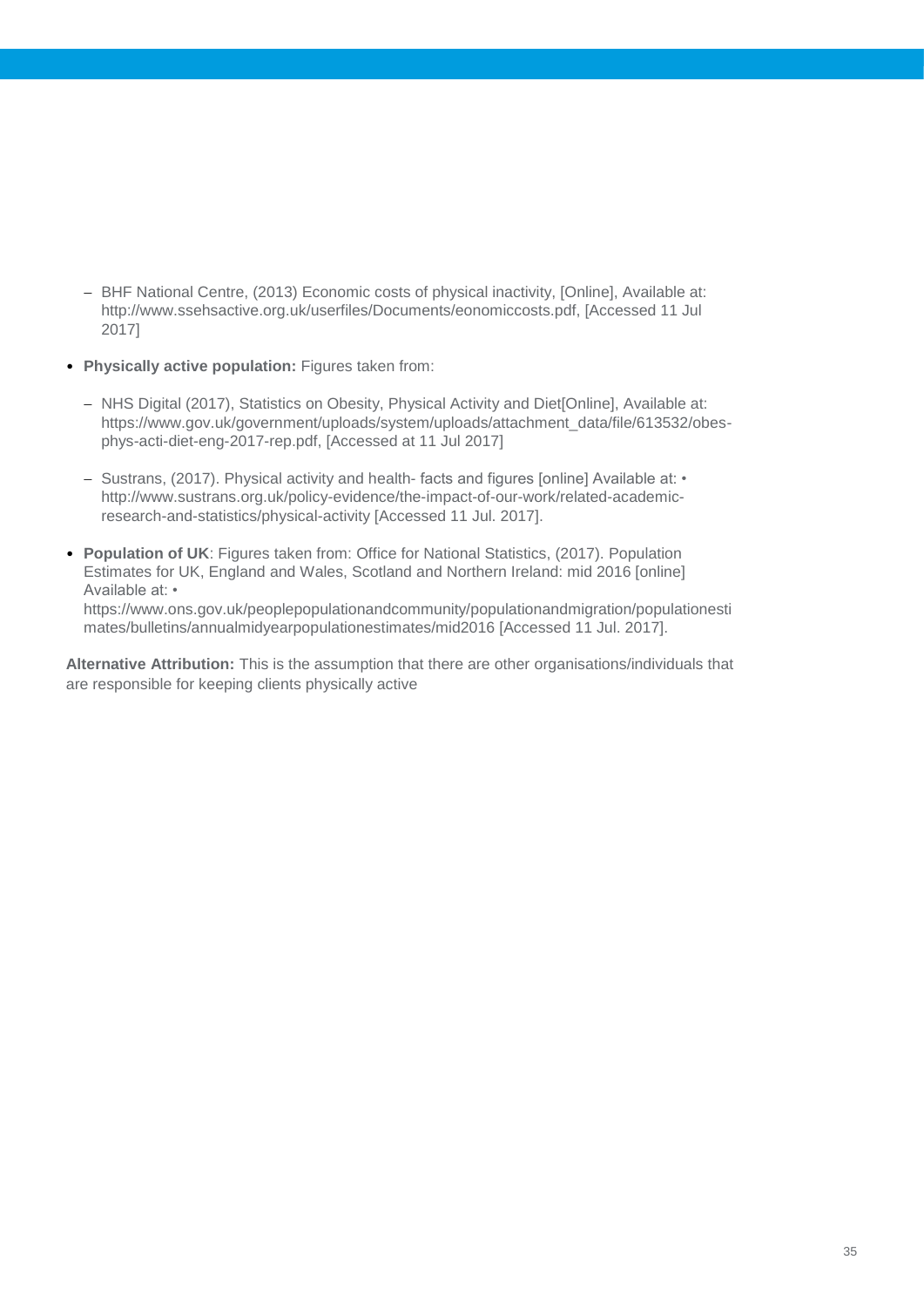- BHF National Centre, (2013) Economic costs of physical inactivity, [Online], Available at: http://www.ssehsactive.org.uk/userfiles/Documents/eonomiccosts.pdf, [Accessed 11 Jul 2017]
- **Physically active population:** Figures taken from:
	- NHS Digital (2017), Statistics on Obesity, Physical Activity and Diet[Online], Available at: https://www.gov.uk/government/uploads/system/uploads/attachment\_data/file/613532/obesphys-acti-diet-eng-2017-rep.pdf, [Accessed at 11 Jul 2017]
	- $-$  Sustrans, (2017). Physical activity and health- facts and figures [online] Available at:  $\cdot$ http://www.sustrans.org.uk/policy-evidence/the-impact-of-our-work/related-academicresearch-and-statistics/physical-activity [Accessed 11 Jul. 2017].
- **Population of UK**: Figures taken from: Office for National Statistics, (2017). Population Estimates for UK, England and Wales, Scotland and Northern Ireland: mid 2016 [online] Available at: • https://www.ons.gov.uk/peoplepopulationandcommunity/populationandmigration/populationesti mates/bulletins/annualmidyearpopulationestimates/mid2016 [Accessed 11 Jul. 2017].

**Alternative Attribution:** This is the assumption that there are other organisations/individuals that are responsible for keeping clients physically active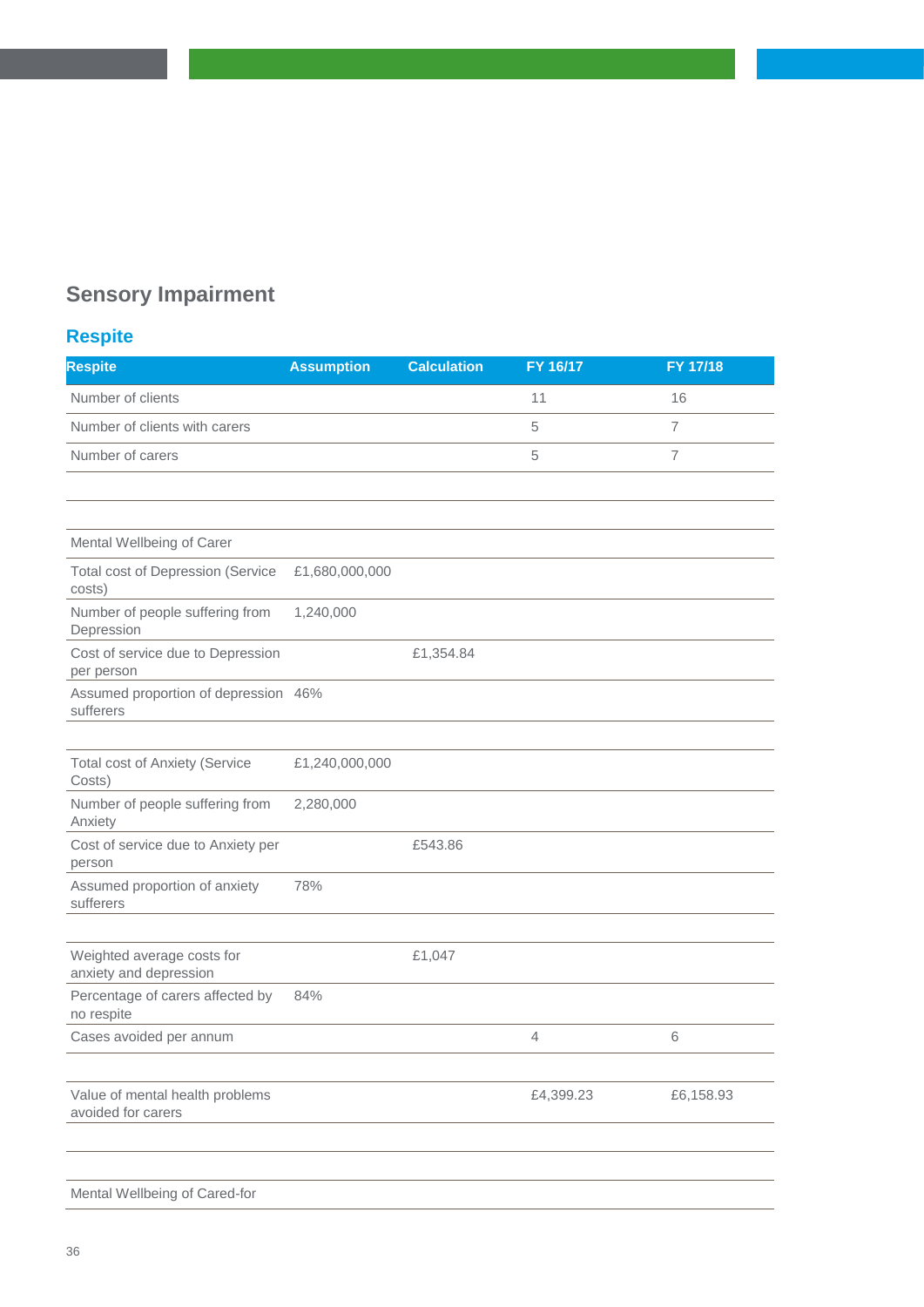## **Sensory Impairment**

## **Respite**

| <b>Respite</b>                                        | <b>Assumption</b> | <b>Calculation</b> | FY 16/17  | FY 17/18       |
|-------------------------------------------------------|-------------------|--------------------|-----------|----------------|
| Number of clients                                     |                   |                    | 11        | 16             |
| Number of clients with carers                         |                   |                    | 5         | $\overline{7}$ |
| Number of carers                                      |                   |                    | 5         | $\overline{7}$ |
|                                                       |                   |                    |           |                |
|                                                       |                   |                    |           |                |
| Mental Wellbeing of Carer                             |                   |                    |           |                |
| <b>Total cost of Depression (Service</b><br>costs)    | £1,680,000,000    |                    |           |                |
| Number of people suffering from<br>Depression         | 1,240,000         |                    |           |                |
| Cost of service due to Depression<br>per person       |                   | £1,354.84          |           |                |
| Assumed proportion of depression 46%<br>sufferers     |                   |                    |           |                |
|                                                       |                   |                    |           |                |
| <b>Total cost of Anxiety (Service</b><br>Costs)       | £1,240,000,000    |                    |           |                |
| Number of people suffering from<br>Anxiety            | 2,280,000         |                    |           |                |
| Cost of service due to Anxiety per<br>person          |                   | £543.86            |           |                |
| Assumed proportion of anxiety<br>sufferers            | 78%               |                    |           |                |
|                                                       |                   |                    |           |                |
| Weighted average costs for<br>anxiety and depression  |                   | £1,047             |           |                |
| Percentage of carers affected by<br>no respite        | 84%               |                    |           |                |
| Cases avoided per annum                               |                   |                    | 4         | 6              |
| Value of mental health problems<br>avoided for carers |                   |                    | £4,399.23 | £6,158.93      |
| Mental Wellbeing of Cared-for                         |                   |                    |           |                |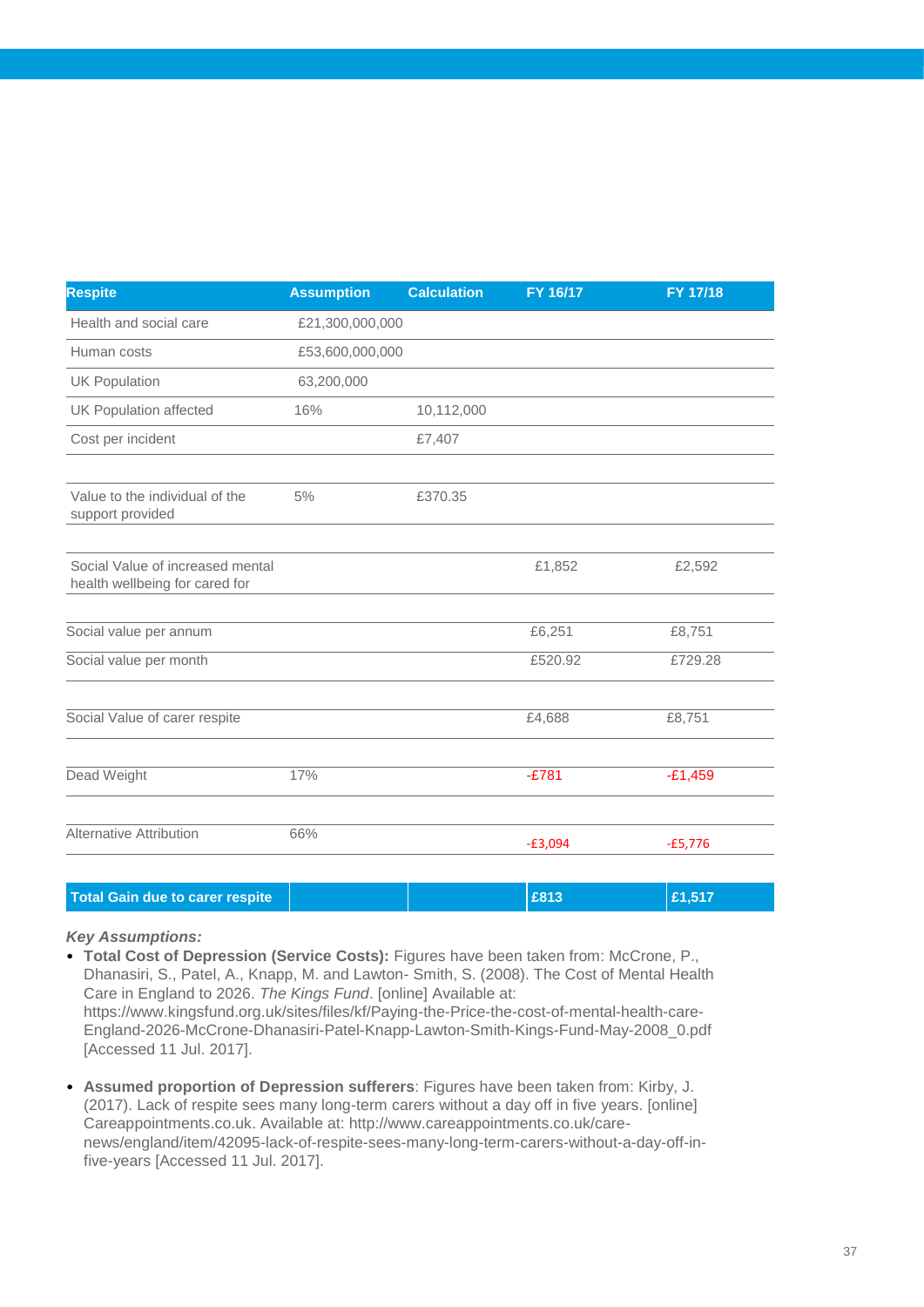| <b>Respite</b>                                                     | <b>Assumption</b> | <b>Calculation</b> | FY 16/17  | FY 17/18  |
|--------------------------------------------------------------------|-------------------|--------------------|-----------|-----------|
| Health and social care                                             | £21,300,000,000   |                    |           |           |
| Human costs                                                        | £53,600,000,000   |                    |           |           |
| <b>UK Population</b>                                               | 63,200,000        |                    |           |           |
| <b>UK Population affected</b>                                      | 16%               | 10,112,000         |           |           |
| Cost per incident                                                  |                   | £7,407             |           |           |
|                                                                    |                   |                    |           |           |
| Value to the individual of the<br>support provided                 | 5%                | £370.35            |           |           |
|                                                                    |                   |                    |           |           |
| Social Value of increased mental<br>health wellbeing for cared for |                   |                    | £1,852    | £2,592    |
|                                                                    |                   |                    |           |           |
| Social value per annum                                             |                   |                    | £6,251    | £8,751    |
| Social value per month                                             |                   |                    | £520.92   | £729.28   |
| Social Value of carer respite                                      |                   |                    | £4,688    | £8,751    |
|                                                                    |                   |                    |           |           |
| Dead Weight                                                        | 17%               |                    | $-£781$   | $-E1,459$ |
|                                                                    |                   |                    |           |           |
| <b>Alternative Attribution</b>                                     | 66%               |                    | $-£3,094$ | $-£5,776$ |
|                                                                    |                   |                    |           |           |

### **Total Gain due to carer respite Example 2013 Example 21,517 Example 21,517**

- **Total Cost of Depression (Service Costs):** Figures have been taken from: McCrone, P., Dhanasiri, S., Patel, A., Knapp, M. and Lawton- Smith, S. (2008). The Cost of Mental Health Care in England to 2026. *The Kings Fund*. [online] Available at: https://www.kingsfund.org.uk/sites/files/kf/Paying-the-Price-the-cost-of-mental-health-care-England-2026-McCrone-Dhanasiri-Patel-Knapp-Lawton-Smith-Kings-Fund-May-2008\_0.pdf [Accessed 11 Jul. 2017].
- **Assumed proportion of Depression sufferers**: Figures have been taken from: Kirby, J. (2017). Lack of respite sees many long-term carers without a day off in five years. [online] Careappointments.co.uk. Available at: http://www.careappointments.co.uk/carenews/england/item/42095-lack-of-respite-sees-many-long-term-carers-without-a-day-off-infive-years [Accessed 11 Jul. 2017].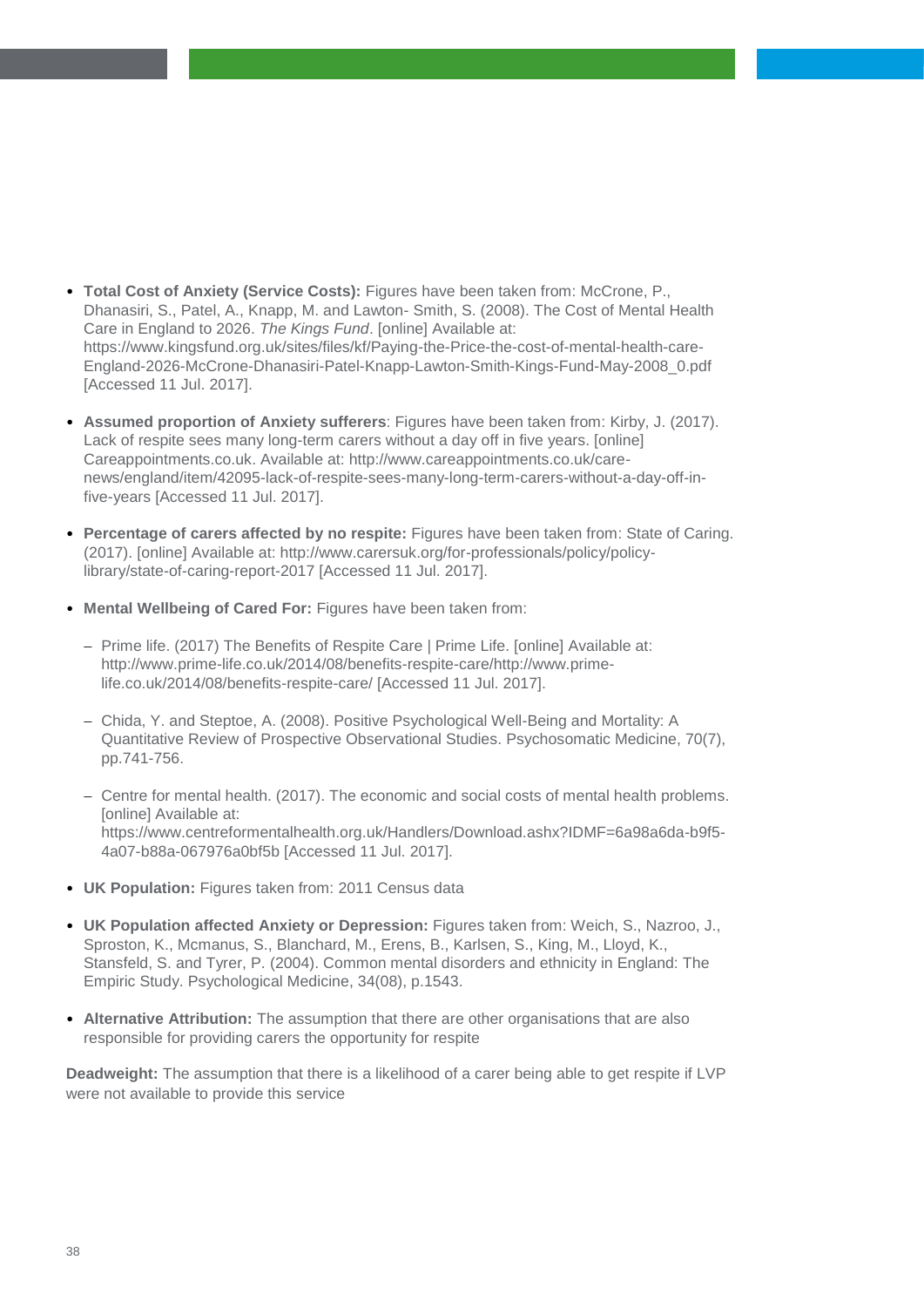- **Total Cost of Anxiety (Service Costs):** Figures have been taken from: McCrone, P., Dhanasiri, S., Patel, A., Knapp, M. and Lawton- Smith, S. (2008). The Cost of Mental Health Care in England to 2026. *The Kings Fund*. [online] Available at: https://www.kingsfund.org.uk/sites/files/kf/Paying-the-Price-the-cost-of-mental-health-care-England-2026-McCrone-Dhanasiri-Patel-Knapp-Lawton-Smith-Kings-Fund-May-2008\_0.pdf [Accessed 11 Jul. 2017].
- **Assumed proportion of Anxiety sufferers**: Figures have been taken from: Kirby, J. (2017). Lack of respite sees many long-term carers without a day off in five years. [online] Careappointments.co.uk. Available at: http://www.careappointments.co.uk/carenews/england/item/42095-lack-of-respite-sees-many-long-term-carers-without-a-day-off-infive-years [Accessed 11 Jul. 2017].
- **Percentage of carers affected by no respite:** Figures have been taken from: State of Caring. (2017). [online] Available at: http://www.carersuk.org/for-professionals/policy/policylibrary/state-of-caring-report-2017 [Accessed 11 Jul. 2017].
- **Mental Wellbeing of Cared For:** Figures have been taken from:
	- Prime life. (2017) The Benefits of Respite Care | Prime Life. [online] Available at: http://www.prime-life.co.uk/2014/08/benefits-respite-care/http://www.primelife.co.uk/2014/08/benefits-respite-care/ [Accessed 11 Jul. 2017].
	- Chida, Y. and Steptoe, A. (2008). Positive Psychological Well-Being and Mortality: A Quantitative Review of Prospective Observational Studies. Psychosomatic Medicine, 70(7), pp.741-756.
	- Centre for mental health. (2017). The economic and social costs of mental health problems. [online] Available at: https://www.centreformentalhealth.org.uk/Handlers/Download.ashx?IDMF=6a98a6da-b9f5- 4a07-b88a-067976a0bf5b [Accessed 11 Jul. 2017].
- **UK Population:** Figures taken from: 2011 Census data
- **UK Population affected Anxiety or Depression:** Figures taken from: Weich, S., Nazroo, J., Sproston, K., Mcmanus, S., Blanchard, M., Erens, B., Karlsen, S., King, M., Lloyd, K., Stansfeld, S. and Tyrer, P. (2004). Common mental disorders and ethnicity in England: The Empiric Study. Psychological Medicine, 34(08), p.1543.
- **Alternative Attribution:** The assumption that there are other organisations that are also responsible for providing carers the opportunity for respite

**Deadweight:** The assumption that there is a likelihood of a carer being able to get respite if LVP were not available to provide this service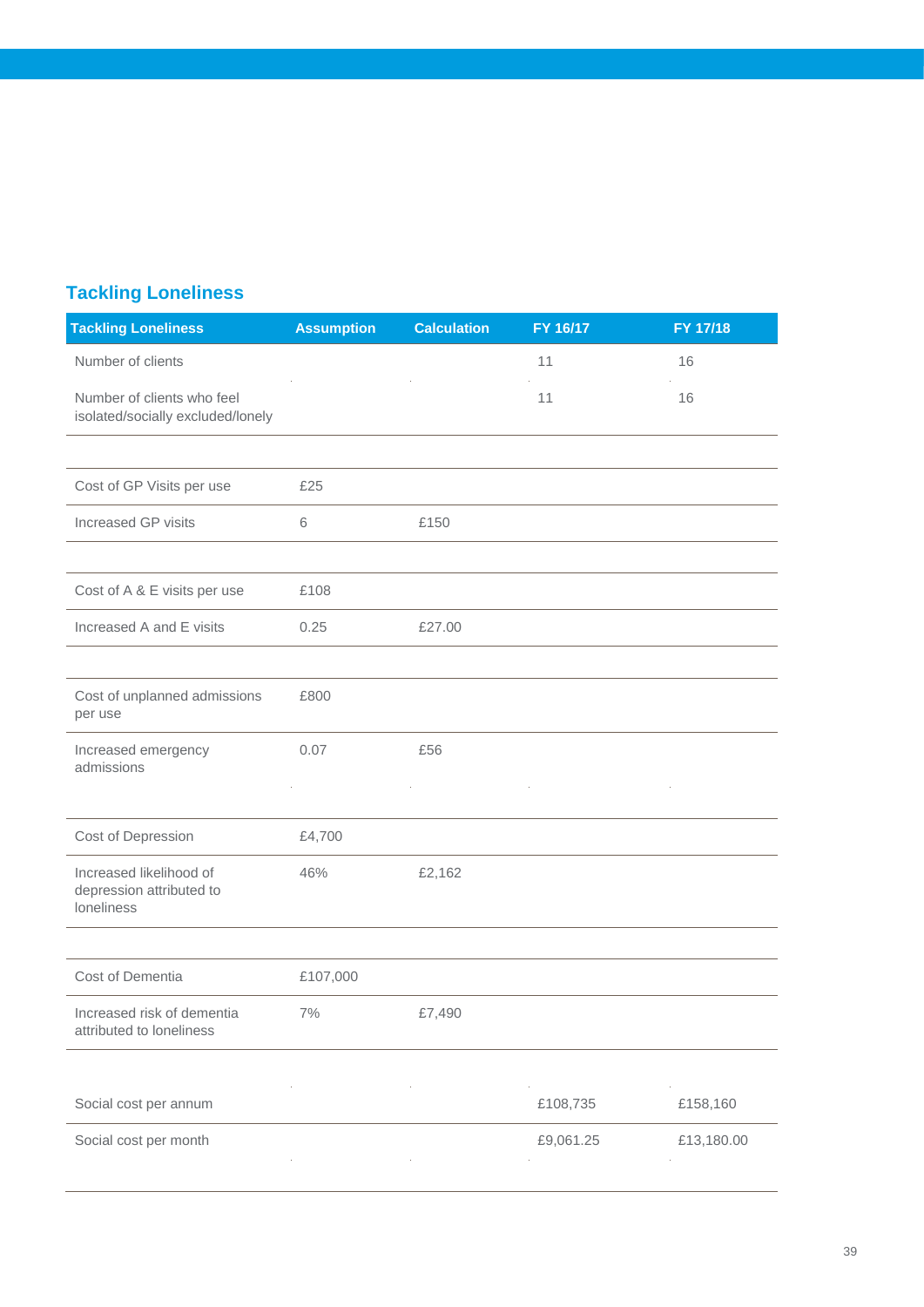## **Tackling Loneliness**

| <b>Assumption</b> | <b>Calculation</b> | FY 16/17  | FY 17/18   |
|-------------------|--------------------|-----------|------------|
|                   |                    | 11        | 16         |
|                   |                    | 11        | 16         |
|                   |                    |           |            |
| £25               |                    |           |            |
| 6                 | £150               |           |            |
|                   |                    |           |            |
| £108              |                    |           |            |
| 0.25              | £27.00             |           |            |
|                   |                    |           |            |
| £800              |                    |           |            |
| 0.07              | £56                |           |            |
|                   |                    |           |            |
| £4,700            |                    |           |            |
| 46%               | £2,162             |           |            |
|                   |                    |           |            |
| £107,000          |                    |           |            |
| $7\%$             | £7,490             |           |            |
|                   |                    |           |            |
|                   |                    | £108,735  | £158,160   |
|                   |                    | £9,061.25 | £13,180.00 |
|                   |                    |           |            |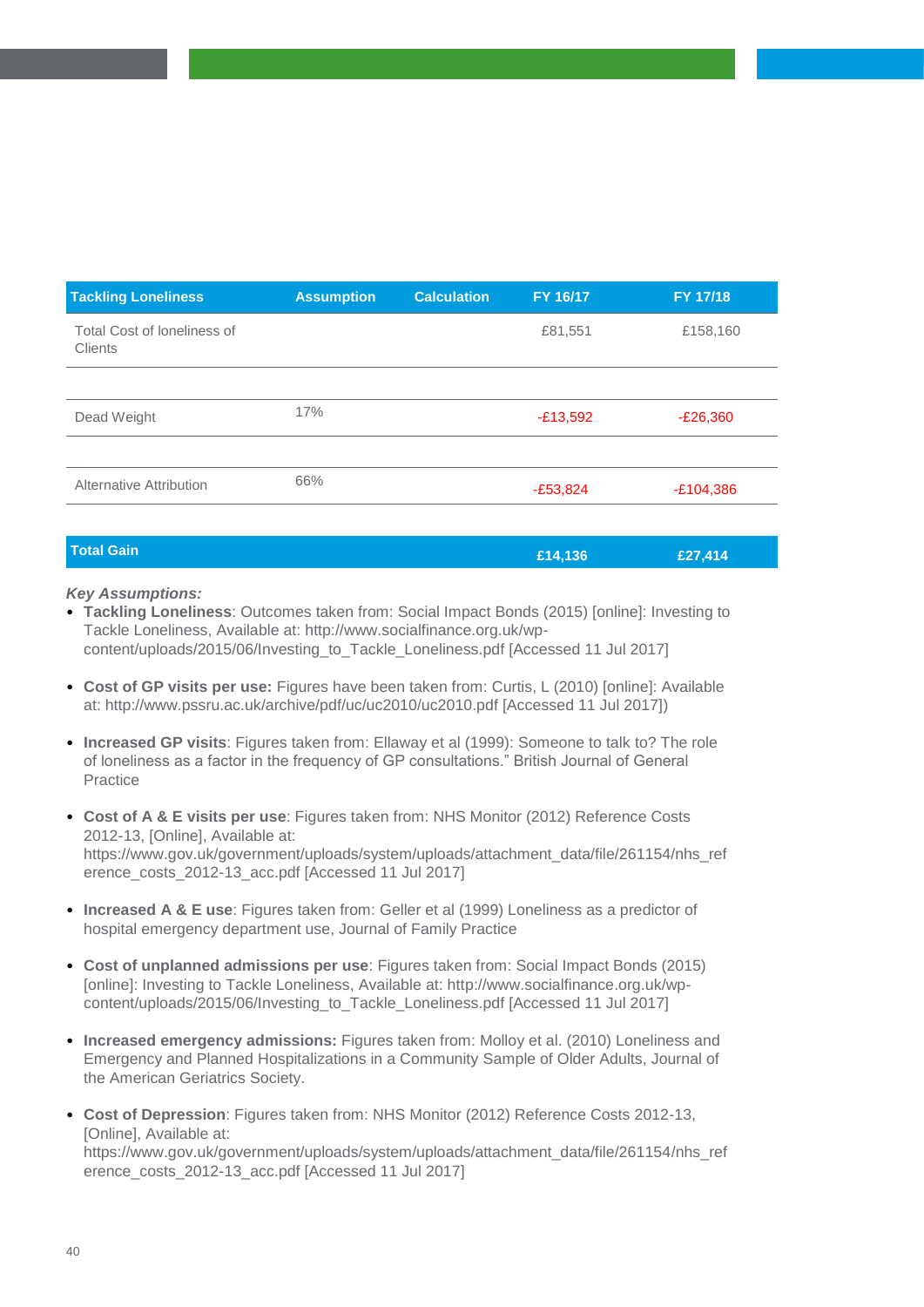| <b>Tackling Loneliness</b>                    | <b>Assumption</b> | <b>Calculation</b> | FY 16/17   | FY 17/18    |
|-----------------------------------------------|-------------------|--------------------|------------|-------------|
| Total Cost of loneliness of<br><b>Clients</b> |                   |                    | £81,551    | £158,160    |
|                                               |                   |                    |            |             |
| Dead Weight                                   | 17%               |                    | $-£13,592$ | $-E26,360$  |
|                                               |                   |                    |            |             |
| Alternative Attribution                       | 66%               |                    | $-E53,824$ | $-£104,386$ |
|                                               |                   |                    |            |             |

| <b>Total Gain</b> | £14,136 | £27,414 |
|-------------------|---------|---------|
|                   |         |         |

- **Tackling Loneliness**: Outcomes taken from: Social Impact Bonds (2015) [online]: Investing to Tackle Loneliness, Available at: http://www.socialfinance.org.uk/wpcontent/uploads/2015/06/Investing\_to\_Tackle\_Loneliness.pdf [Accessed 11 Jul 2017]
- **Cost of GP visits per use:** Figures have been taken from: Curtis, L (2010) [online]: Available at: http://www.pssru.ac.uk/archive/pdf/uc/uc2010/uc2010.pdf [Accessed 11 Jul 2017])
- **Increased GP visits**: Figures taken from: Ellaway et al (1999): Someone to talk to? The role of loneliness as a factor in the frequency of GP consultations." British Journal of General Practice
- **Cost of A & E visits per use**: Figures taken from: NHS Monitor (2012) Reference Costs 2012-13, [Online], Available at: https://www.gov.uk/government/uploads/system/uploads/attachment\_data/file/261154/nhs\_ref erence\_costs\_2012-13\_acc.pdf [Accessed 11 Jul 2017]
- **Increased A & E use**: Figures taken from: Geller et al (1999) Loneliness as a predictor of hospital emergency department use, Journal of Family Practice
- **Cost of unplanned admissions per use**: Figures taken from: Social Impact Bonds (2015) [online]: Investing to Tackle Loneliness, Available at: http://www.socialfinance.org.uk/wpcontent/uploads/2015/06/Investing\_to\_Tackle\_Loneliness.pdf [Accessed 11 Jul 2017]
- **Increased emergency admissions:** Figures taken from: Molloy et al. (2010) Loneliness and Emergency and Planned Hospitalizations in a Community Sample of Older Adults, Journal of the American Geriatrics Society.
- **Cost of Depression**: Figures taken from: NHS Monitor (2012) Reference Costs 2012-13, [Online], Available at:

https://www.gov.uk/government/uploads/system/uploads/attachment\_data/file/261154/nhs\_ref erence\_costs\_2012-13\_acc.pdf [Accessed 11 Jul 2017]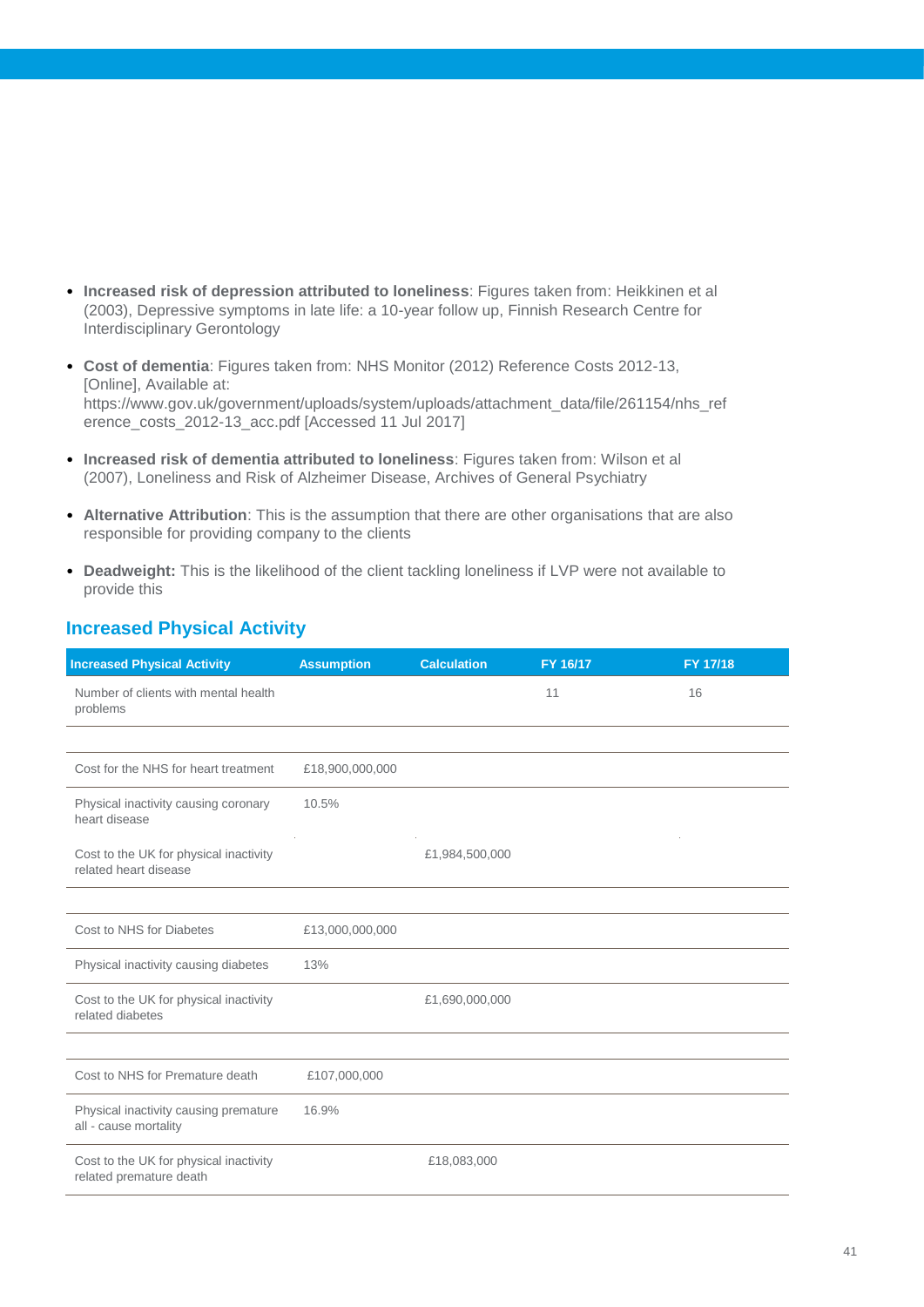- **Increased risk of depression attributed to loneliness**: Figures taken from: Heikkinen et al (2003), Depressive symptoms in late life: a 10-year follow up, Finnish Research Centre for Interdisciplinary Gerontology
- **Cost of dementia**: Figures taken from: NHS Monitor (2012) Reference Costs 2012-13, [Online], Available at: https://www.gov.uk/government/uploads/system/uploads/attachment\_data/file/261154/nhs\_ref erence\_costs\_2012-13\_acc.pdf [Accessed 11 Jul 2017]
- **Increased risk of dementia attributed to loneliness**: Figures taken from: Wilson et al (2007), Loneliness and Risk of Alzheimer Disease, Archives of General Psychiatry
- **Alternative Attribution**: This is the assumption that there are other organisations that are also responsible for providing company to the clients
- **Deadweight:** This is the likelihood of the client tackling loneliness if LVP were not available to provide this

| <b>Increased Physical Activity</b> |  |
|------------------------------------|--|
|                                    |  |

| <b>Increased Physical Activity</b>                                | <b>Assumption</b> | <b>Calculation</b> | FY 16/17 | FY 17/18 |
|-------------------------------------------------------------------|-------------------|--------------------|----------|----------|
| Number of clients with mental health<br>problems                  |                   |                    | 11       | 16       |
|                                                                   |                   |                    |          |          |
| Cost for the NHS for heart treatment                              | £18,900,000,000   |                    |          |          |
| Physical inactivity causing coronary<br>heart disease             | 10.5%             |                    |          |          |
| Cost to the UK for physical inactivity<br>related heart disease   |                   | £1,984,500,000     |          |          |
|                                                                   |                   |                    |          |          |
| Cost to NHS for Diabetes                                          | £13,000,000,000   |                    |          |          |
| Physical inactivity causing diabetes                              | 13%               |                    |          |          |
| Cost to the UK for physical inactivity<br>related diabetes        |                   | £1,690,000,000     |          |          |
|                                                                   |                   |                    |          |          |
| Cost to NHS for Premature death                                   | £107,000,000      |                    |          |          |
| Physical inactivity causing premature<br>all - cause mortality    | 16.9%             |                    |          |          |
| Cost to the UK for physical inactivity<br>related premature death |                   | £18,083,000        |          |          |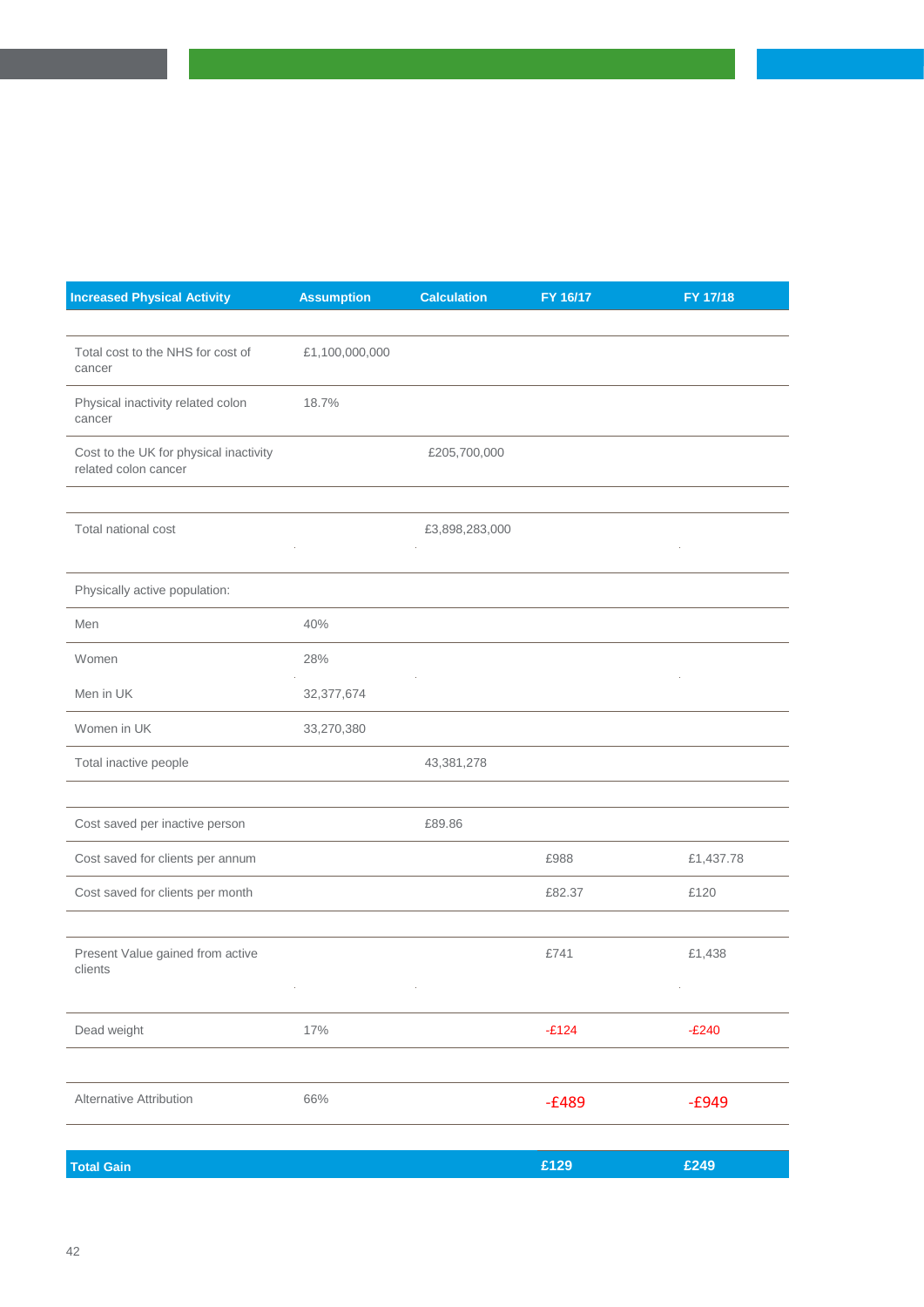| <b>Increased Physical Activity</b>                             | <b>Assumption</b> | <b>Calculation</b> | FY 16/17 | FY 17/18  |
|----------------------------------------------------------------|-------------------|--------------------|----------|-----------|
|                                                                |                   |                    |          |           |
| Total cost to the NHS for cost of<br>cancer                    | £1,100,000,000    |                    |          |           |
| Physical inactivity related colon<br>cancer                    | 18.7%             |                    |          |           |
| Cost to the UK for physical inactivity<br>related colon cancer |                   | £205,700,000       |          |           |
|                                                                |                   |                    |          |           |
| Total national cost                                            |                   | £3,898,283,000     |          |           |
| Physically active population:                                  |                   |                    |          |           |
| Men                                                            | 40%               |                    |          |           |
| Women                                                          | 28%               |                    |          |           |
| Men in UK                                                      | 32, 377, 674      |                    |          |           |
| Women in UK                                                    | 33,270,380        |                    |          |           |
| Total inactive people                                          |                   | 43,381,278         |          |           |
|                                                                |                   |                    |          |           |
| Cost saved per inactive person                                 |                   | £89.86             |          |           |
| Cost saved for clients per annum                               |                   |                    | £988     | £1,437.78 |
| Cost saved for clients per month                               |                   |                    | £82.37   | £120      |
|                                                                |                   |                    |          |           |
| Present Value gained from active<br>clients                    |                   |                    | £741     | £1,438    |
|                                                                |                   |                    |          |           |
| Dead weight                                                    | 17%               |                    | $-E124$  | $-E240$   |
|                                                                |                   |                    |          |           |
| Alternative Attribution                                        | 66%               |                    | $-£489$  | $-£949$   |
|                                                                |                   |                    |          |           |
| <b>Total Gain</b>                                              |                   |                    | £129     | £249      |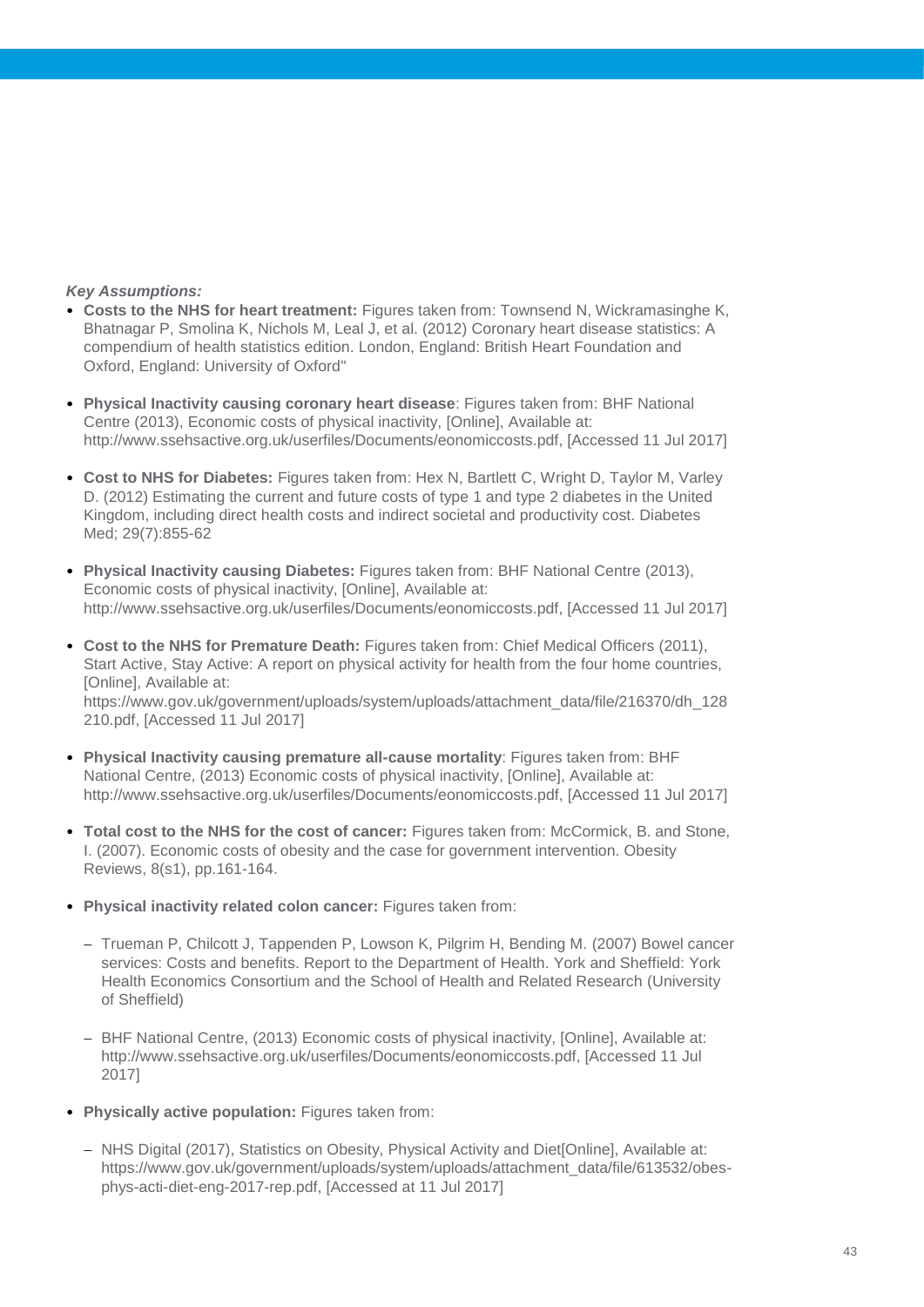- **Costs to the NHS for heart treatment:** Figures taken from: Townsend N, Wickramasinghe K, Bhatnagar P, Smolina K, Nichols M, Leal J, et al. (2012) Coronary heart disease statistics: A compendium of health statistics edition. London, England: British Heart Foundation and Oxford, England: University of Oxford"
- **Physical Inactivity causing coronary heart disease**: Figures taken from: BHF National Centre (2013), Economic costs of physical inactivity, [Online], Available at: http://www.ssehsactive.org.uk/userfiles/Documents/eonomiccosts.pdf, [Accessed 11 Jul 2017]
- **Cost to NHS for Diabetes:** Figures taken from: Hex N, Bartlett C, Wright D, Taylor M, Varley D. (2012) Estimating the current and future costs of type 1 and type 2 diabetes in the United Kingdom, including direct health costs and indirect societal and productivity cost. Diabetes Med; 29(7):855-62
- **Physical Inactivity causing Diabetes:** Figures taken from: BHF National Centre (2013), Economic costs of physical inactivity, [Online], Available at: http://www.ssehsactive.org.uk/userfiles/Documents/eonomiccosts.pdf, [Accessed 11 Jul 2017]
- **Cost to the NHS for Premature Death:** Figures taken from: Chief Medical Officers (2011), Start Active, Stay Active: A report on physical activity for health from the four home countries, [Online], Available at: https://www.gov.uk/government/uploads/system/uploads/attachment\_data/file/216370/dh\_128 210.pdf, [Accessed 11 Jul 2017]
- **Physical Inactivity causing premature all-cause mortality**: Figures taken from: BHF National Centre, (2013) Economic costs of physical inactivity, [Online], Available at: http://www.ssehsactive.org.uk/userfiles/Documents/eonomiccosts.pdf, [Accessed 11 Jul 2017]
- **Total cost to the NHS for the cost of cancer:** Figures taken from: McCormick, B. and Stone, I. (2007). Economic costs of obesity and the case for government intervention. Obesity Reviews, 8(s1), pp.161-164.
- **Physical inactivity related colon cancer:** Figures taken from:
	- Trueman P, Chilcott J, Tappenden P, Lowson K, Pilgrim H, Bending M. (2007) Bowel cancer services: Costs and benefits. Report to the Department of Health. York and Sheffield: York Health Economics Consortium and the School of Health and Related Research (University of Sheffield)
	- BHF National Centre, (2013) Economic costs of physical inactivity, [Online], Available at: http://www.ssehsactive.org.uk/userfiles/Documents/eonomiccosts.pdf, [Accessed 11 Jul 2017]
- **Physically active population:** Figures taken from:
	- NHS Digital (2017), Statistics on Obesity, Physical Activity and Diet<sup>[</sup>Online], Available at: https://www.gov.uk/government/uploads/system/uploads/attachment\_data/file/613532/obesphys-acti-diet-eng-2017-rep.pdf, [Accessed at 11 Jul 2017]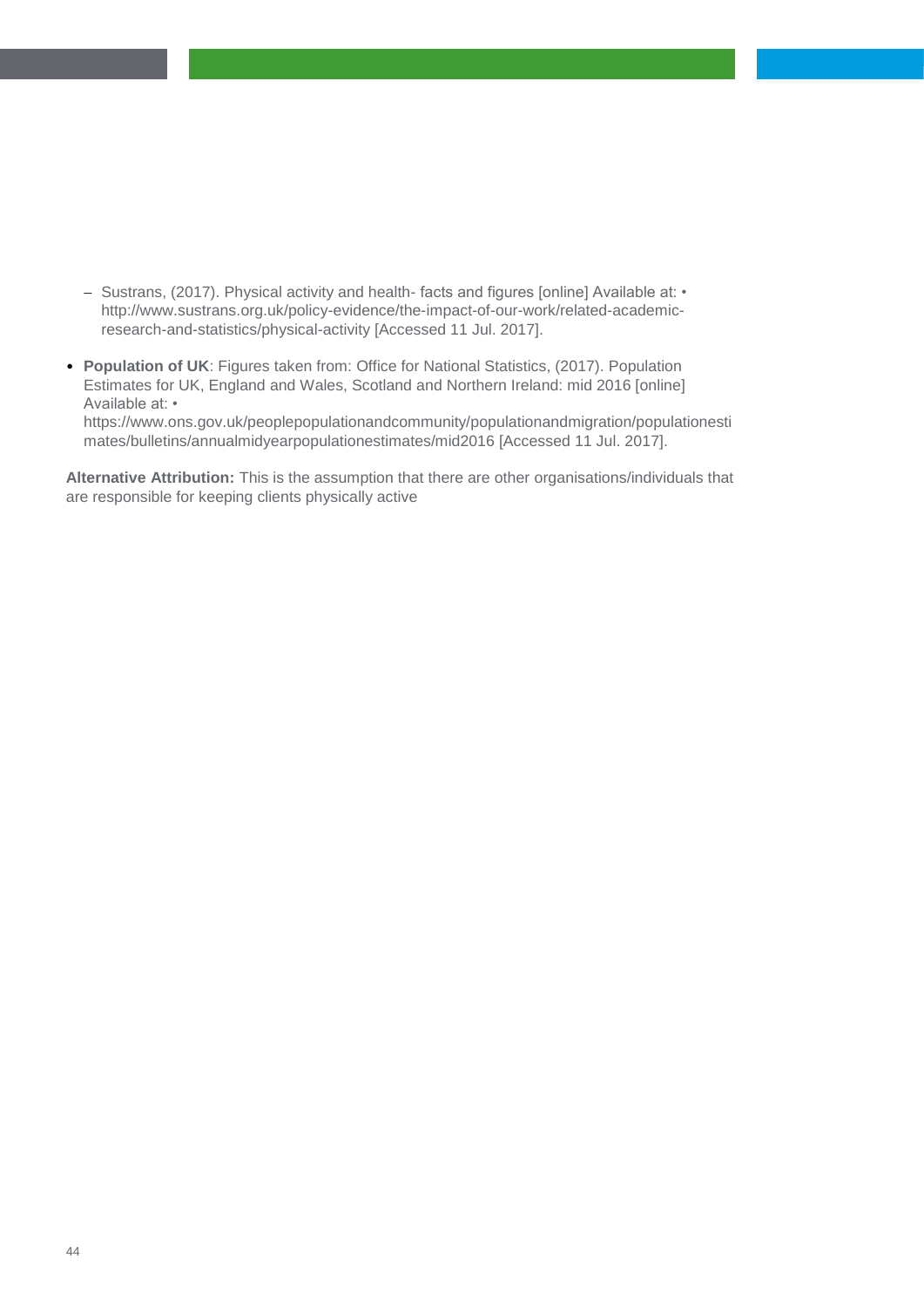- Sustrans, (2017). Physical activity and health- facts and figures [online] Available at: http://www.sustrans.org.uk/policy-evidence/the-impact-of-our-work/related-academicresearch-and-statistics/physical-activity [Accessed 11 Jul. 2017].
- **Population of UK**: Figures taken from: Office for National Statistics, (2017). Population Estimates for UK, England and Wales, Scotland and Northern Ireland: mid 2016 [online] Available at: • https://www.ons.gov.uk/peoplepopulationandcommunity/populationandmigration/populationesti mates/bulletins/annualmidyearpopulationestimates/mid2016 [Accessed 11 Jul. 2017].

**Alternative Attribution:** This is the assumption that there are other organisations/individuals that are responsible for keeping clients physically active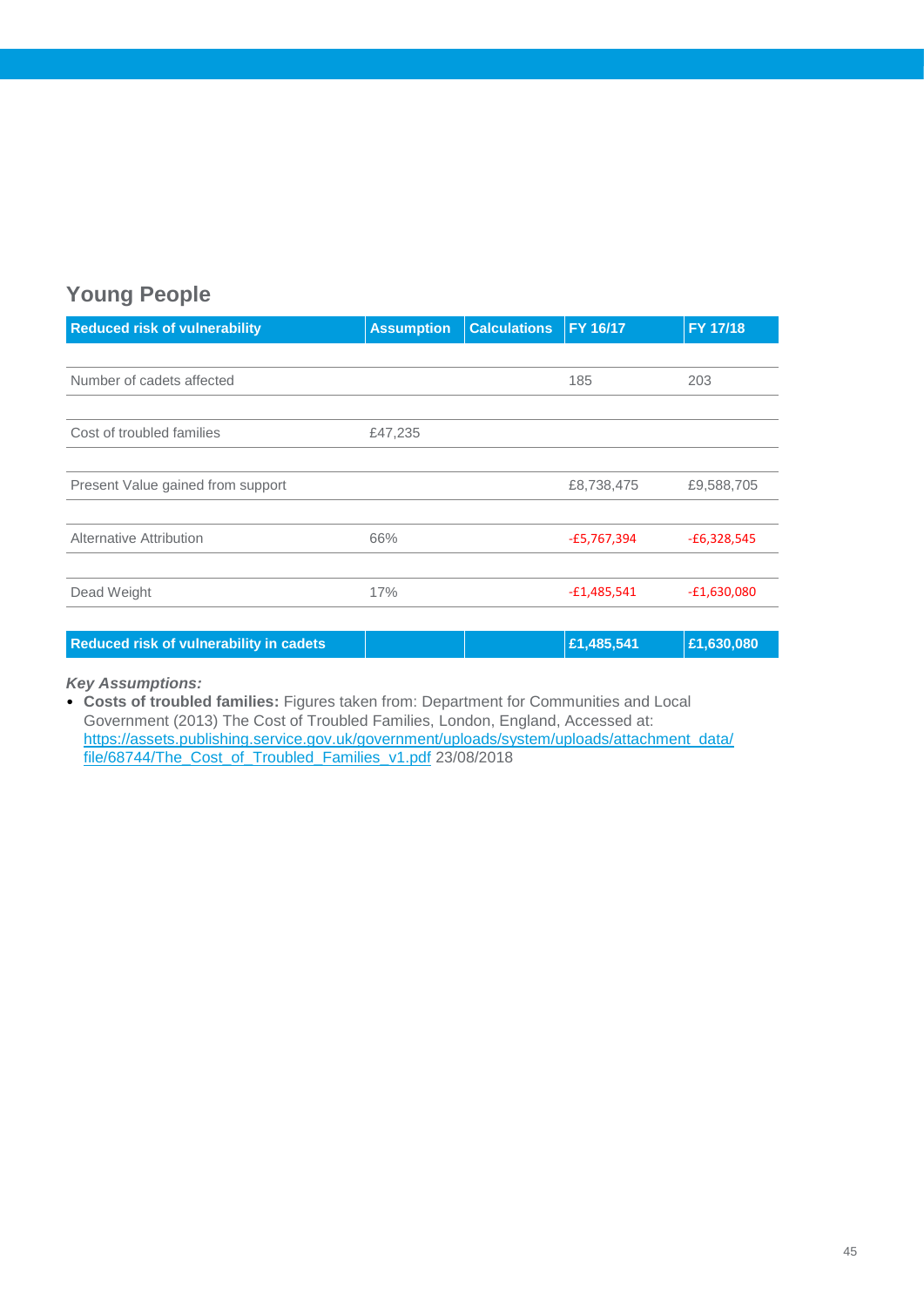### **Young People**

| <b>Reduced risk of vulnerability</b> | <b>Assumption</b> | <b>Calculations</b> | <b>FY 16/17</b> | FY 17/18      |
|--------------------------------------|-------------------|---------------------|-----------------|---------------|
|                                      |                   |                     |                 |               |
| Number of cadets affected            |                   |                     | 185             | 203           |
|                                      |                   |                     |                 |               |
| Cost of troubled families            | £47,235           |                     |                 |               |
|                                      |                   |                     |                 |               |
| Present Value gained from support    |                   |                     | £8,738,475      | £9,588,705    |
|                                      |                   |                     |                 |               |
| <b>Alternative Attribution</b>       | 66%               |                     | $-E5,767,394$   | $-£6,328,545$ |
|                                      |                   |                     |                 |               |
| Dead Weight                          | 17%               |                     | $-£1,485,541$   | $-E1,630,080$ |
|                                      |                   |                     |                 |               |

**Reduced risk of vulnerability in cadets £1,485,541 £1,630,080**

#### *Key Assumptions:*

• **Costs of troubled families:** Figures taken from: Department for Communities and Local Government (2013) The Cost of Troubled Families, London, England, Accessed at: [https://assets.publishing.service.gov.uk/government/uploads/system/uploads/attachment\\_data/](https://assets.publishing.service.gov.uk/government/uploads/system/uploads/attachment_data/file/68744/The_Cost_of_Troubled_Families_v1.pdf) [file/68744/The\\_Cost\\_of\\_Troubled\\_Families\\_v1.pdf](https://assets.publishing.service.gov.uk/government/uploads/system/uploads/attachment_data/file/68744/The_Cost_of_Troubled_Families_v1.pdf) 23/08/2018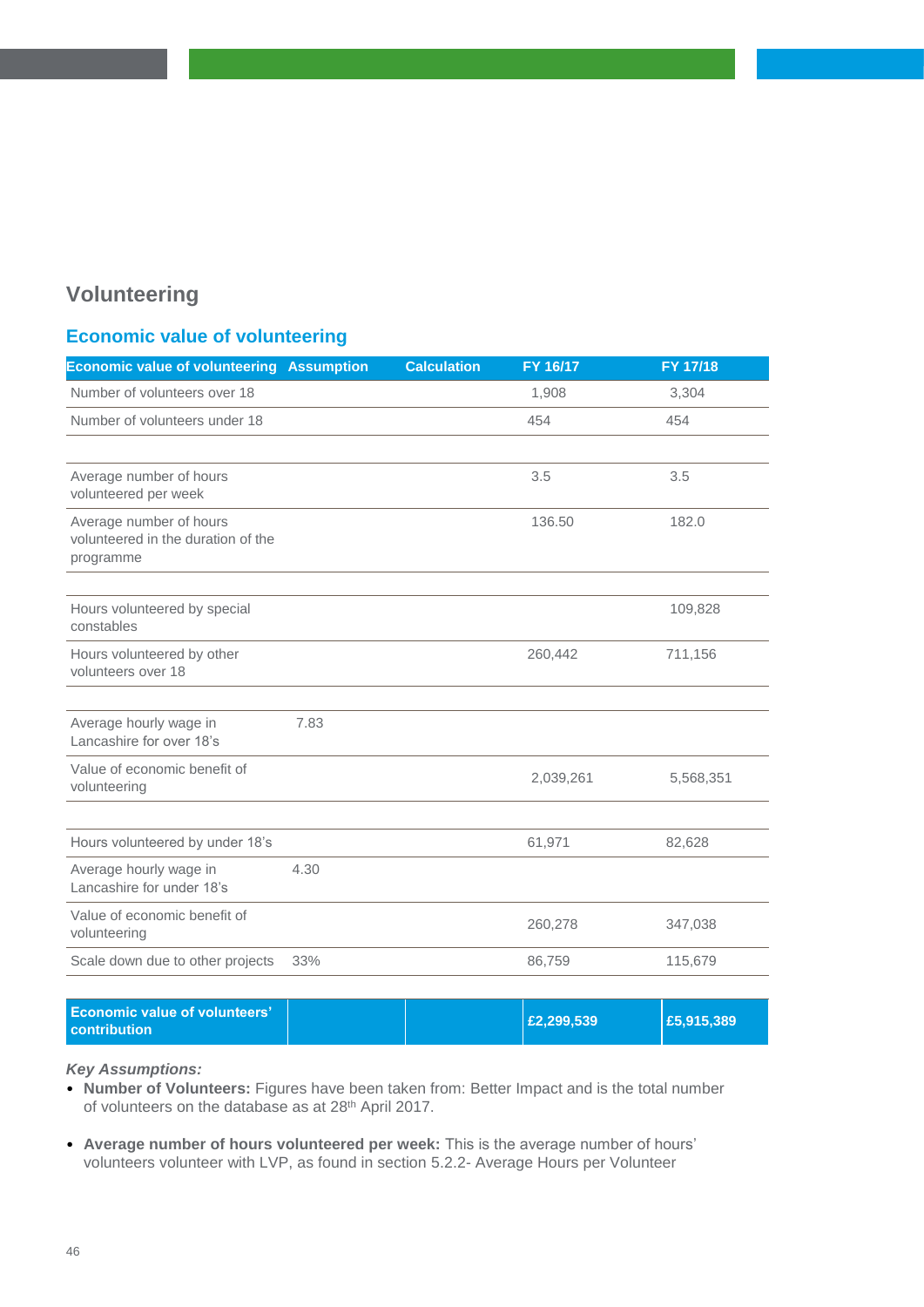### **Volunteering**

### **Economic value of volunteering**

| <b>Economic value of volunteering Assumption</b>                           |      | <b>Calculation</b> | FY 16/17  | FY 17/18  |
|----------------------------------------------------------------------------|------|--------------------|-----------|-----------|
| Number of volunteers over 18                                               |      |                    | 1,908     | 3,304     |
| Number of volunteers under 18                                              |      |                    | 454       | 454       |
|                                                                            |      |                    |           |           |
| Average number of hours<br>volunteered per week                            |      |                    | 3.5       | 3.5       |
| Average number of hours<br>volunteered in the duration of the<br>programme |      |                    | 136.50    | 182.0     |
|                                                                            |      |                    |           |           |
| Hours volunteered by special<br>constables                                 |      |                    |           | 109,828   |
| Hours volunteered by other<br>volunteers over 18                           |      |                    | 260,442   | 711,156   |
|                                                                            |      |                    |           |           |
| Average hourly wage in<br>Lancashire for over 18's                         | 7.83 |                    |           |           |
| Value of economic benefit of<br>volunteering                               |      |                    | 2,039,261 | 5,568,351 |
|                                                                            |      |                    |           |           |
| Hours volunteered by under 18's                                            |      |                    | 61,971    | 82,628    |
| Average hourly wage in<br>Lancashire for under 18's                        | 4.30 |                    |           |           |
| Value of economic benefit of<br>volunteering                               |      |                    | 260,278   | 347,038   |
| Scale down due to other projects                                           | 33%  |                    | 86,759    | 115,679   |
|                                                                            |      |                    |           |           |

| <b>Economic value of volunteers'</b><br><b>contribution</b> | E2,299,539 | £5,915,389 |
|-------------------------------------------------------------|------------|------------|
|-------------------------------------------------------------|------------|------------|

- **Number of Volunteers:** Figures have been taken from: Better Impact and is the total number of volunteers on the database as at 28<sup>th</sup> April 2017.
- **Average number of hours volunteered per week:** This is the average number of hours' volunteers volunteer with LVP, as found in section 5.2.2- Average Hours per Volunteer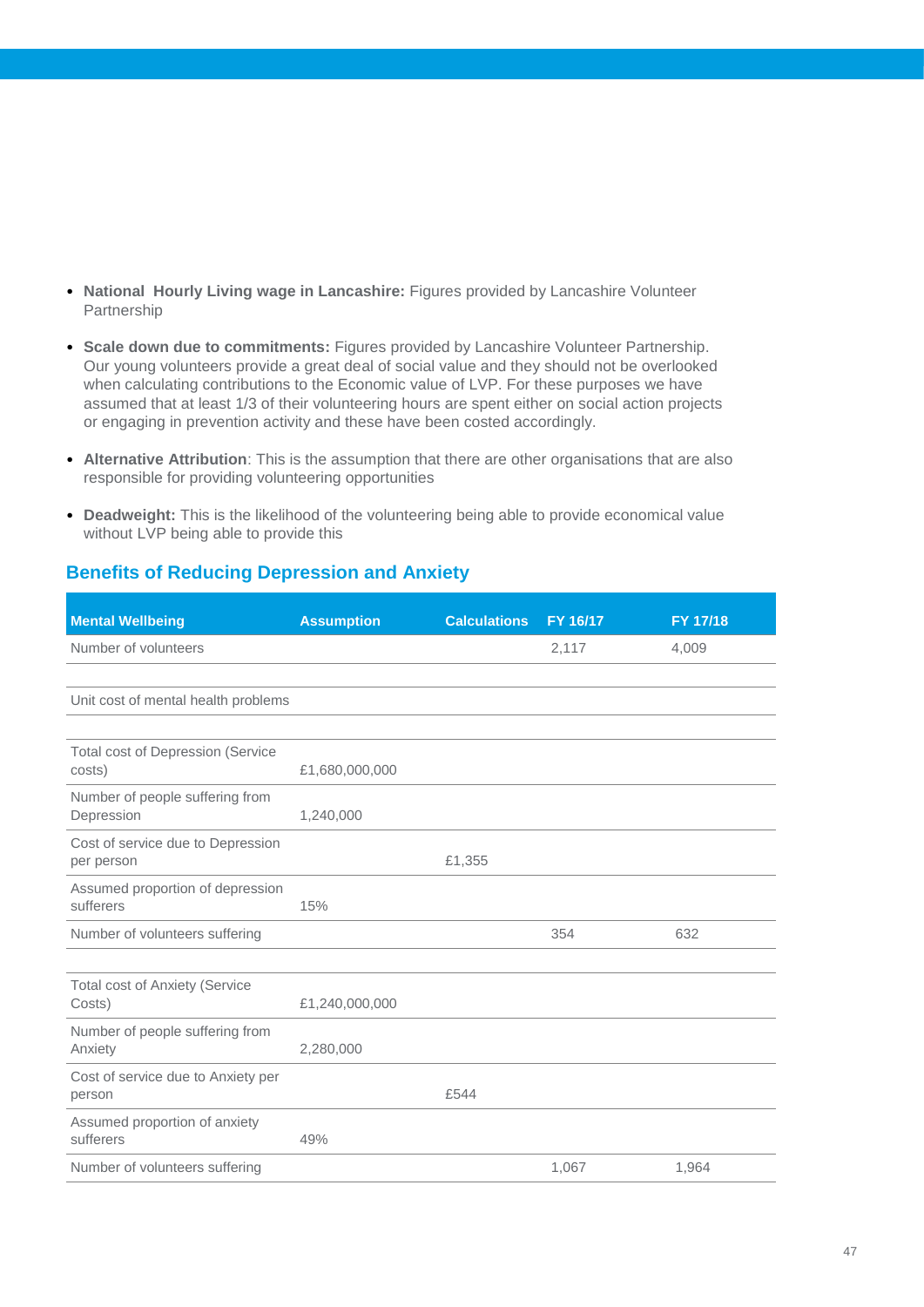- **National Hourly Living wage in Lancashire:** Figures provided by Lancashire Volunteer Partnership
- **Scale down due to commitments:** Figures provided by Lancashire Volunteer Partnership. Our young volunteers provide a great deal of social value and they should not be overlooked when calculating contributions to the Economic value of LVP. For these purposes we have assumed that at least 1/3 of their volunteering hours are spent either on social action projects or engaging in prevention activity and these have been costed accordingly.
- **Alternative Attribution**: This is the assumption that there are other organisations that are also responsible for providing volunteering opportunities
- **Deadweight:** This is the likelihood of the volunteering being able to provide economical value without LVP being able to provide this

### **Benefits of Reducing Depression and Anxiety**

| <b>Mental Wellbeing</b>                            | <b>Assumption</b> | <b>Calculations</b> | FY 16/17 | FY 17/18 |
|----------------------------------------------------|-------------------|---------------------|----------|----------|
| Number of volunteers                               |                   |                     | 2,117    | 4,009    |
|                                                    |                   |                     |          |          |
| Unit cost of mental health problems                |                   |                     |          |          |
|                                                    |                   |                     |          |          |
| <b>Total cost of Depression (Service</b><br>costs) | £1,680,000,000    |                     |          |          |
| Number of people suffering from<br>Depression      | 1,240,000         |                     |          |          |
| Cost of service due to Depression<br>per person    |                   | £1,355              |          |          |
| Assumed proportion of depression<br>sufferers      | 15%               |                     |          |          |
| Number of volunteers suffering                     |                   |                     | 354      | 632      |
|                                                    |                   |                     |          |          |
| <b>Total cost of Anxiety (Service</b><br>Costs)    | £1,240,000,000    |                     |          |          |
| Number of people suffering from<br>Anxiety         | 2,280,000         |                     |          |          |
| Cost of service due to Anxiety per<br>person       |                   | £544                |          |          |
| Assumed proportion of anxiety<br>sufferers         | 49%               |                     |          |          |
| Number of volunteers suffering                     |                   |                     | 1,067    | 1,964    |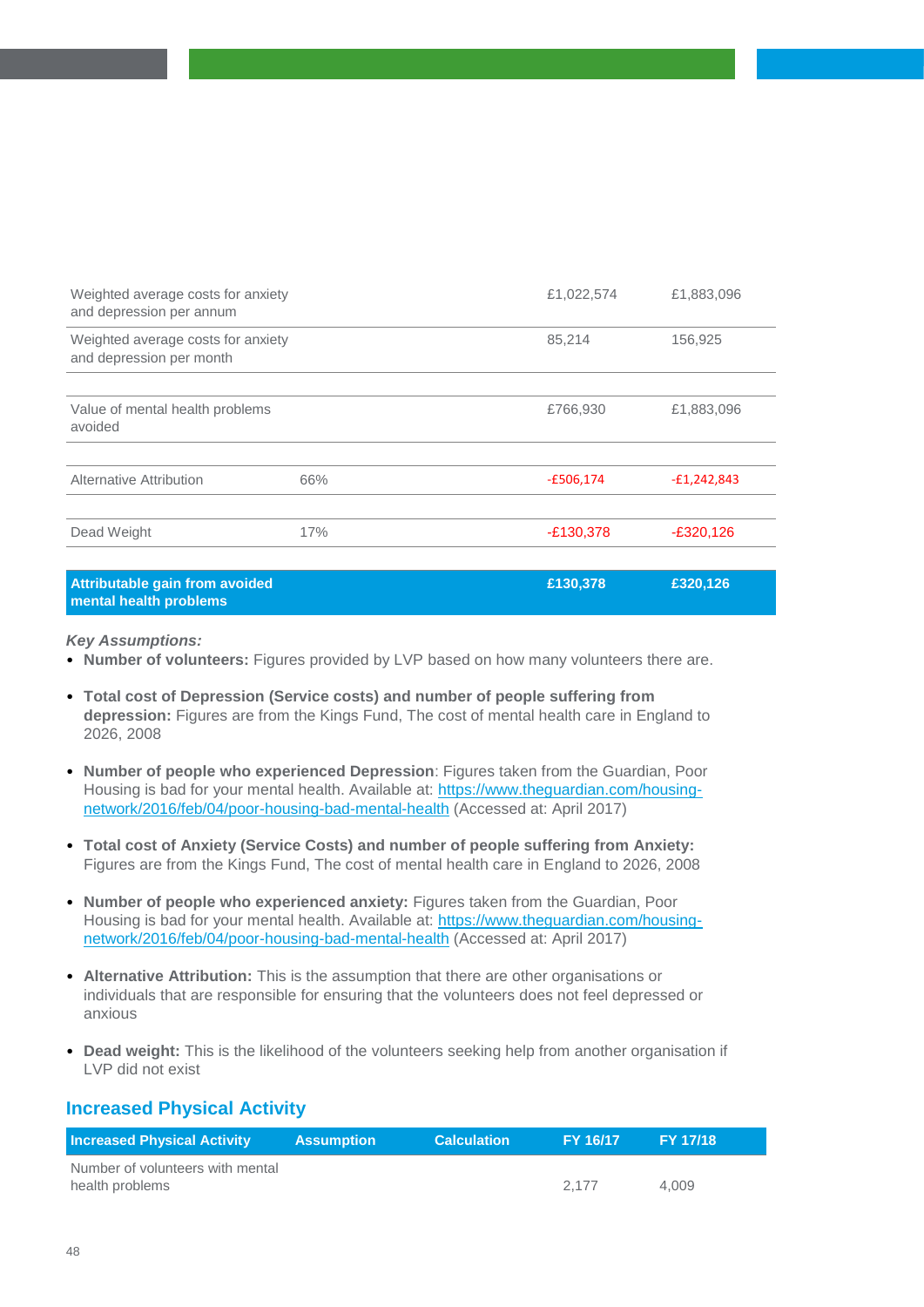| Weighted average costs for anxiety<br>and depression per annum |     | £1,022,574  | £1,883,096    |
|----------------------------------------------------------------|-----|-------------|---------------|
| Weighted average costs for anxiety<br>and depression per month |     | 85,214      | 156,925       |
|                                                                |     |             |               |
| Value of mental health problems<br>avoided                     |     | £766,930    | £1,883,096    |
|                                                                |     |             |               |
| Alternative Attribution                                        | 66% | $-E506,174$ | $-E1,242,843$ |
|                                                                |     |             |               |
| Dead Weight                                                    | 17% | $-E130,378$ | $-E320,126$   |
|                                                                |     |             |               |
| Attributable gain from avoided                                 |     | £130,378    | £320,126      |

#### **Attributable gain from avoided mental health problems**

#### *Key Assumptions:*

- **Number of volunteers:** Figures provided by LVP based on how many volunteers there are.
- **Total cost of Depression (Service costs) and number of people suffering from depression:** Figures are from the Kings Fund, The cost of mental health care in England to 2026, 2008
- **Number of people who experienced Depression**: Figures taken from the Guardian, Poor Housing is bad for your mental health. Available at: [https://www.theguardian.com/housing](https://www.theguardian.com/housing-network/2016/feb/04/poor-housing-bad-mental-health)[network/2016/feb/04/poor-housing-bad-mental-health](https://www.theguardian.com/housing-network/2016/feb/04/poor-housing-bad-mental-health) (Accessed at: April 2017)
- **Total cost of Anxiety (Service Costs) and number of people suffering from Anxiety:**  Figures are from the Kings Fund, The cost of mental health care in England to 2026, 2008
- **Number of people who experienced anxiety:** Figures taken from the Guardian, Poor Housing is bad for your mental health. Available at: [https://www.theguardian.com/housing](https://www.theguardian.com/housing-network/2016/feb/04/poor-housing-bad-mental-health)[network/2016/feb/04/poor-housing-bad-mental-health](https://www.theguardian.com/housing-network/2016/feb/04/poor-housing-bad-mental-health) (Accessed at: April 2017)
- **Alternative Attribution:** This is the assumption that there are other organisations or individuals that are responsible for ensuring that the volunteers does not feel depressed or anxious
- **Dead weight:** This is the likelihood of the volunteers seeking help from another organisation if LVP did not exist

#### **Increased Physical Activity**

| <b>Increased Physical Activity</b> | <b>Assumption</b> | <b>Calculation</b> | <b>FY 16/17</b> | <b>FY 17/18</b> |
|------------------------------------|-------------------|--------------------|-----------------|-----------------|
| Number of volunteers with mental   |                   |                    |                 |                 |
| health problems                    |                   |                    | 2.177           | 4.009           |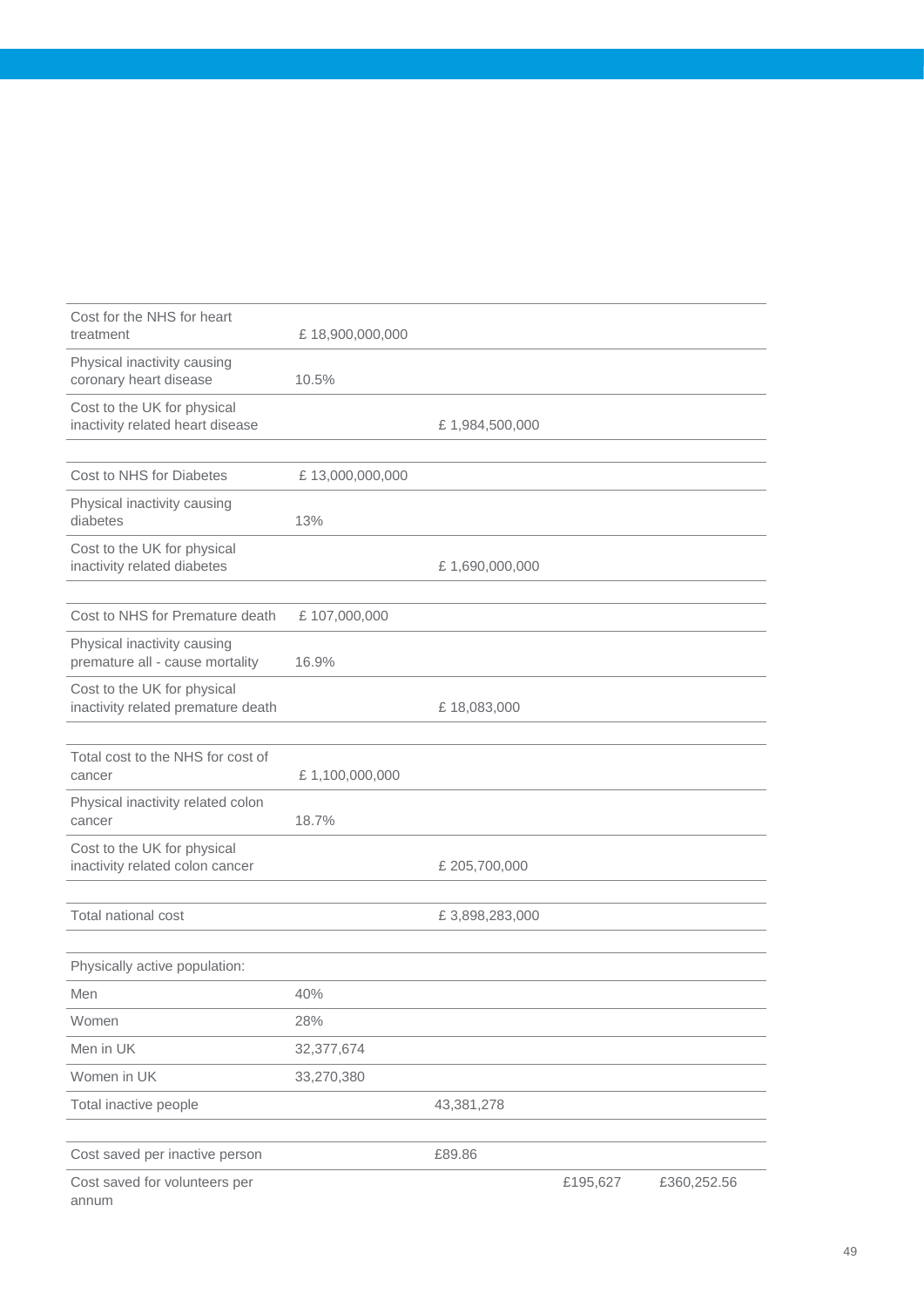| Cost for the NHS for heart<br>treatment                           | £18,900,000,000 |                |          |             |
|-------------------------------------------------------------------|-----------------|----------------|----------|-------------|
| Physical inactivity causing<br>coronary heart disease             | 10.5%           |                |          |             |
| Cost to the UK for physical<br>inactivity related heart disease   |                 | £1,984,500,000 |          |             |
|                                                                   |                 |                |          |             |
| Cost to NHS for Diabetes                                          | £13,000,000,000 |                |          |             |
| Physical inactivity causing<br>diabetes                           | 13%             |                |          |             |
| Cost to the UK for physical<br>inactivity related diabetes        |                 | £1,690,000,000 |          |             |
| Cost to NHS for Premature death                                   | £107,000,000    |                |          |             |
| Physical inactivity causing<br>premature all - cause mortality    | 16.9%           |                |          |             |
| Cost to the UK for physical<br>inactivity related premature death |                 | £18,083,000    |          |             |
|                                                                   |                 |                |          |             |
| Total cost to the NHS for cost of<br>cancer                       | £1,100,000,000  |                |          |             |
| Physical inactivity related colon<br>cancer                       | 18.7%           |                |          |             |
| Cost to the UK for physical<br>inactivity related colon cancer    |                 | £ 205,700,000  |          |             |
| Total national cost                                               |                 | £3,898,283,000 |          |             |
| Physically active population:                                     |                 |                |          |             |
| Men                                                               | 40%             |                |          |             |
| Women                                                             | 28%             |                |          |             |
| Men in UK                                                         | 32,377,674      |                |          |             |
| Women in UK                                                       | 33,270,380      |                |          |             |
| Total inactive people                                             |                 | 43,381,278     |          |             |
| Cost saved per inactive person                                    |                 | £89.86         |          |             |
| Cost saved for volunteers per<br>annum                            |                 |                | £195,627 | £360,252.56 |

49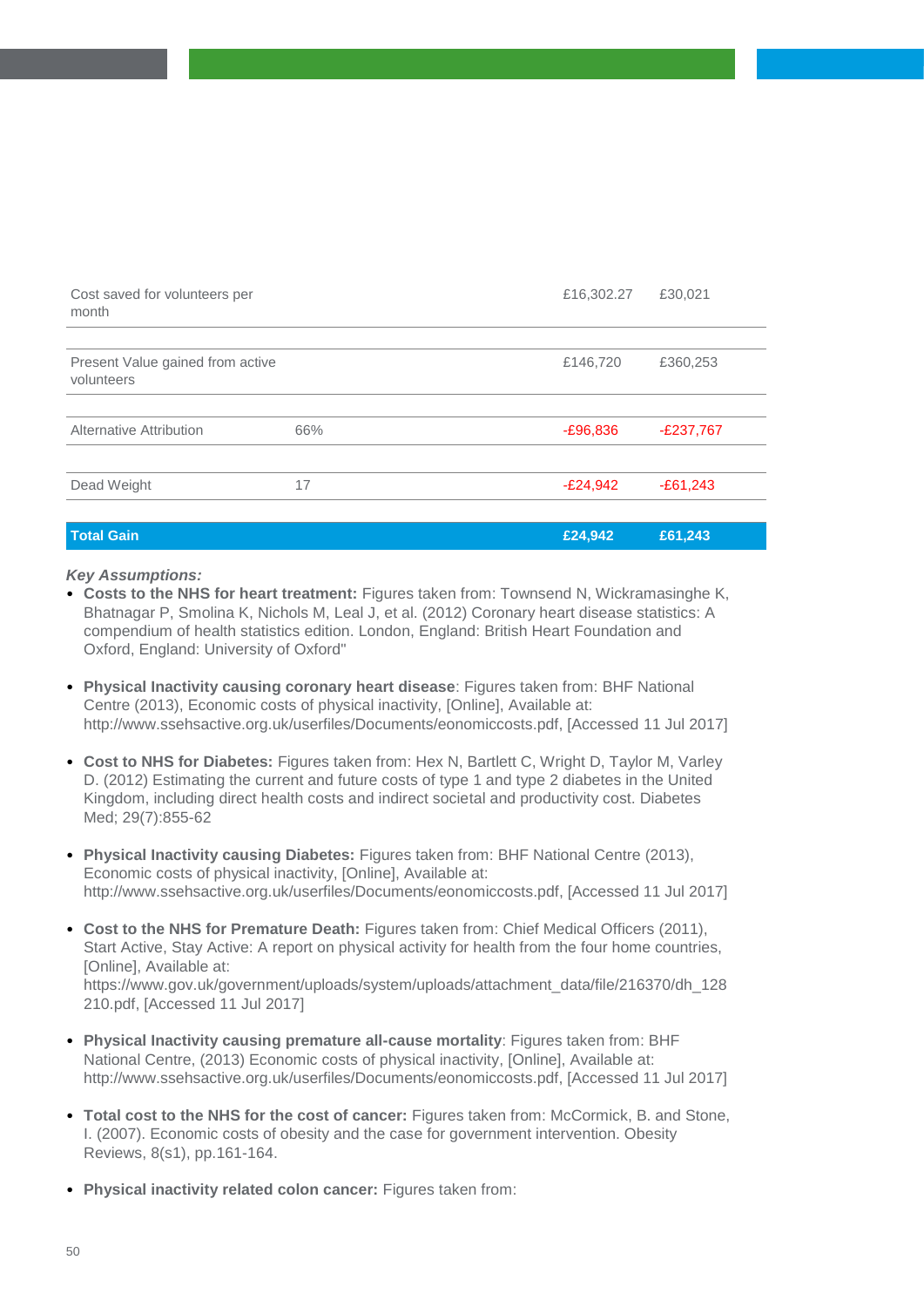| Cost saved for volunteers per<br>month         |     | £16,302.27 | £30,021     |
|------------------------------------------------|-----|------------|-------------|
|                                                |     |            |             |
| Present Value gained from active<br>volunteers |     | £146,720   | £360,253    |
|                                                |     |            |             |
| Alternative Attribution                        | 66% | $-£96,836$ | $-E237,767$ |
|                                                |     |            |             |
| Dead Weight                                    | 17  | $-E24,942$ | $-E61,243$  |
|                                                |     |            |             |
| <b>Total Gain</b>                              |     | £24,942    | £61,243     |

- **Costs to the NHS for heart treatment:** Figures taken from: Townsend N, Wickramasinghe K, Bhatnagar P, Smolina K, Nichols M, Leal J, et al. (2012) Coronary heart disease statistics: A compendium of health statistics edition. London, England: British Heart Foundation and Oxford, England: University of Oxford"
- **Physical Inactivity causing coronary heart disease**: Figures taken from: BHF National Centre (2013), Economic costs of physical inactivity, [Online], Available at: http://www.ssehsactive.org.uk/userfiles/Documents/eonomiccosts.pdf, [Accessed 11 Jul 2017]
- **Cost to NHS for Diabetes:** Figures taken from: Hex N, Bartlett C, Wright D, Taylor M, Varley D. (2012) Estimating the current and future costs of type 1 and type 2 diabetes in the United Kingdom, including direct health costs and indirect societal and productivity cost. Diabetes Med; 29(7):855-62
- **Physical Inactivity causing Diabetes:** Figures taken from: BHF National Centre (2013), Economic costs of physical inactivity, [Online], Available at: http://www.ssehsactive.org.uk/userfiles/Documents/eonomiccosts.pdf, [Accessed 11 Jul 2017]
- **Cost to the NHS for Premature Death:** Figures taken from: Chief Medical Officers (2011), Start Active, Stay Active: A report on physical activity for health from the four home countries, [Online], Available at: https://www.gov.uk/government/uploads/system/uploads/attachment\_data/file/216370/dh\_128 210.pdf, [Accessed 11 Jul 2017]
- **Physical Inactivity causing premature all-cause mortality**: Figures taken from: BHF National Centre, (2013) Economic costs of physical inactivity, [Online], Available at: http://www.ssehsactive.org.uk/userfiles/Documents/eonomiccosts.pdf, [Accessed 11 Jul 2017]
- **Total cost to the NHS for the cost of cancer:** Figures taken from: McCormick, B. and Stone, I. (2007). Economic costs of obesity and the case for government intervention. Obesity Reviews, 8(s1), pp.161-164.
- **Physical inactivity related colon cancer:** Figures taken from: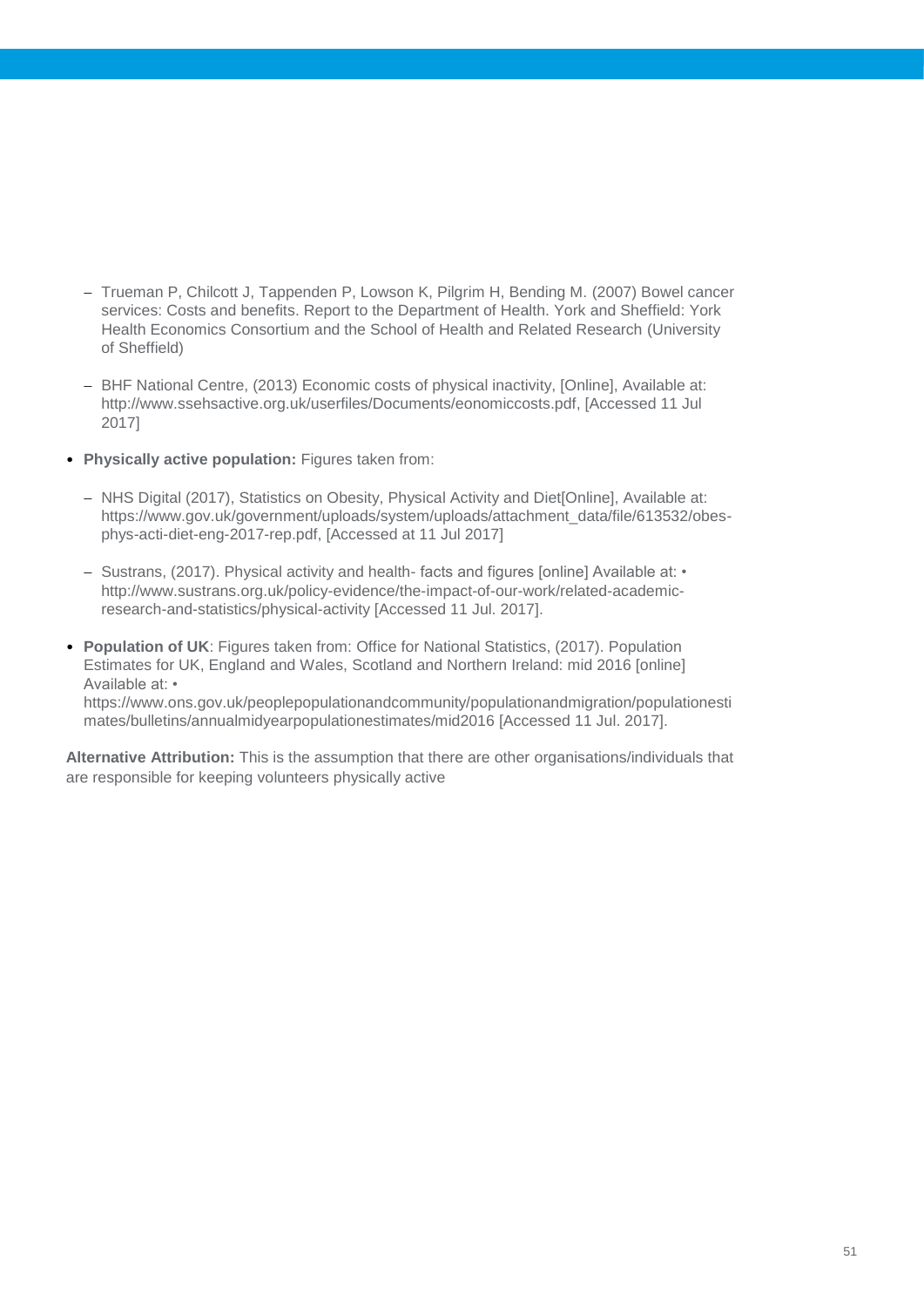- Trueman P, Chilcott J, Tappenden P, Lowson K, Pilgrim H, Bending M, (2007) Bowel cancer services: Costs and benefits. Report to the Department of Health. York and Sheffield: York Health Economics Consortium and the School of Health and Related Research (University of Sheffield)
- BHF National Centre, (2013) Economic costs of physical inactivity, [Online], Available at: http://www.ssehsactive.org.uk/userfiles/Documents/eonomiccosts.pdf, [Accessed 11 Jul 2017]
- **Physically active population:** Figures taken from:
	- NHS Digital (2017), Statistics on Obesity, Physical Activity and Diet[Online], Available at: https://www.gov.uk/government/uploads/system/uploads/attachment\_data/file/613532/obesphys-acti-diet-eng-2017-rep.pdf, [Accessed at 11 Jul 2017]
	- Sustrans, (2017). Physical activity and health- facts and figures [online] Available at: http://www.sustrans.org.uk/policy-evidence/the-impact-of-our-work/related-academicresearch-and-statistics/physical-activity [Accessed 11 Jul. 2017].
- **Population of UK**: Figures taken from: Office for National Statistics, (2017). Population Estimates for UK, England and Wales, Scotland and Northern Ireland: mid 2016 [online] Available at: • https://www.ons.gov.uk/peoplepopulationandcommunity/populationandmigration/populationesti mates/bulletins/annualmidyearpopulationestimates/mid2016 [Accessed 11 Jul. 2017].

**Alternative Attribution:** This is the assumption that there are other organisations/individuals that are responsible for keeping volunteers physically active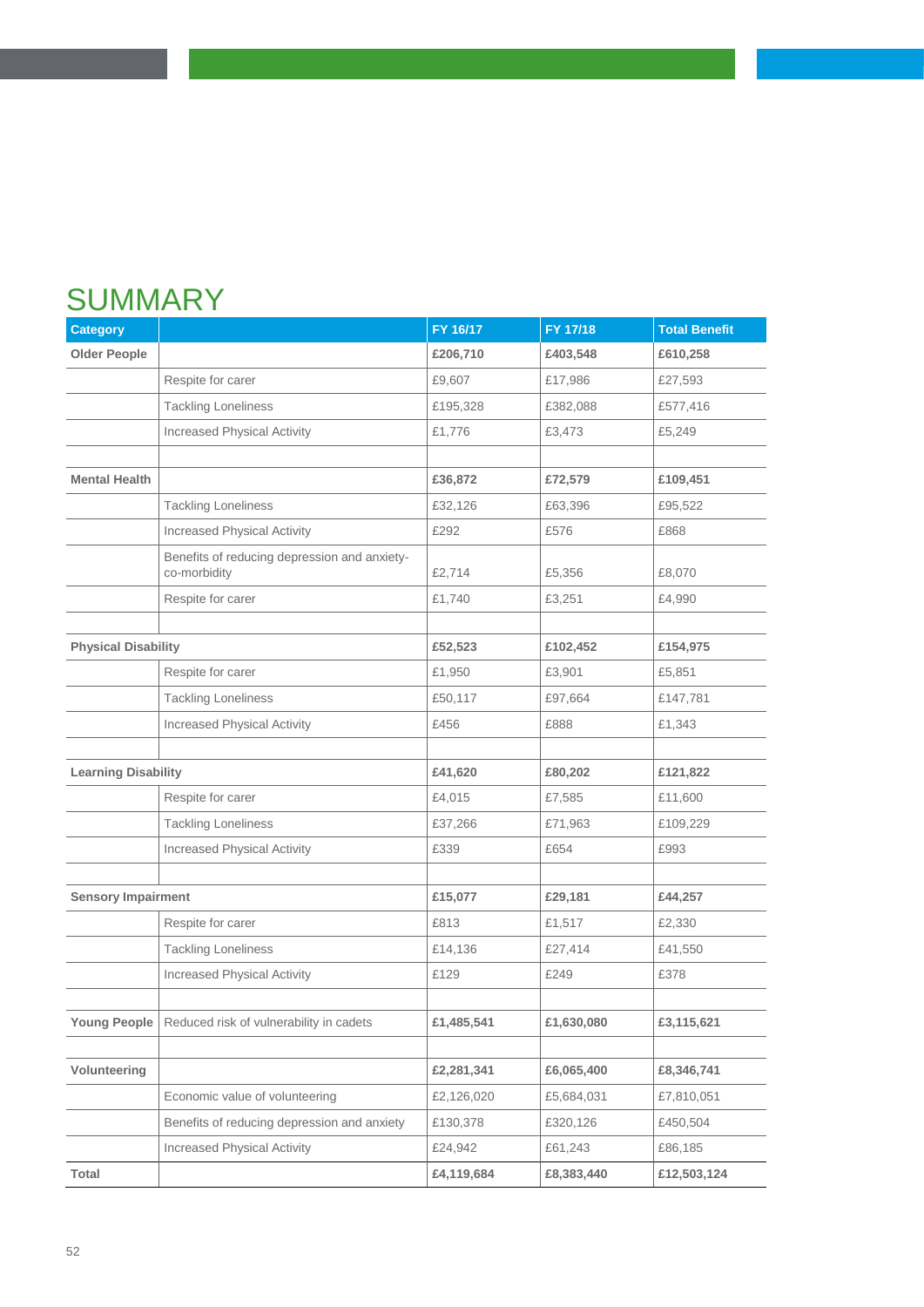# **SUMMARY**

| <b>Category</b>            |                                                              | FY 16/17   | FY 17/18   | <b>Total Benefit</b> |
|----------------------------|--------------------------------------------------------------|------------|------------|----------------------|
| <b>Older People</b>        |                                                              | £206,710   | £403,548   | £610,258             |
|                            | Respite for carer                                            | £9,607     | £17,986    | £27,593              |
|                            | <b>Tackling Loneliness</b>                                   | £195,328   | £382,088   | £577,416             |
|                            | <b>Increased Physical Activity</b>                           | £1,776     | £3,473     | £5,249               |
|                            |                                                              |            |            |                      |
| <b>Mental Health</b>       |                                                              | £36,872    | £72,579    | £109,451             |
|                            | <b>Tackling Loneliness</b>                                   | £32,126    | £63,396    | £95,522              |
|                            | <b>Increased Physical Activity</b>                           | £292       | £576       | £868                 |
|                            | Benefits of reducing depression and anxiety-<br>co-morbidity | £2,714     | £5,356     | £8,070               |
|                            | Respite for carer                                            | £1,740     | £3,251     | £4,990               |
|                            |                                                              |            |            |                      |
| <b>Physical Disability</b> |                                                              | £52,523    | £102,452   | £154,975             |
|                            | Respite for carer                                            | £1,950     | £3,901     | £5,851               |
|                            | <b>Tackling Loneliness</b>                                   | £50,117    | £97,664    | £147,781             |
|                            | <b>Increased Physical Activity</b>                           | £456       | £888       | £1,343               |
|                            |                                                              |            |            |                      |
| <b>Learning Disability</b> |                                                              | £41,620    | £80,202    | £121,822             |
|                            | Respite for carer                                            | £4,015     | £7,585     | £11,600              |
|                            | <b>Tackling Loneliness</b>                                   | £37,266    | £71,963    | £109,229             |
|                            | <b>Increased Physical Activity</b>                           | £339       | £654       | £993                 |
|                            |                                                              |            |            |                      |
| <b>Sensory Impairment</b>  |                                                              | £15,077    | £29,181    | £44,257              |
|                            | Respite for carer                                            | £813       | £1,517     | £2,330               |
|                            | <b>Tackling Loneliness</b>                                   | £14,136    | £27,414    | £41,550              |
|                            | <b>Increased Physical Activity</b>                           | £129       | £249       | £378                 |
|                            |                                                              |            |            |                      |
| <b>Young People</b>        | Reduced risk of vulnerability in cadets                      | £1,485,541 | £1,630,080 | £3,115,621           |
|                            |                                                              |            |            |                      |
| Volunteering               |                                                              | £2,281,341 | £6,065,400 | £8,346,741           |
|                            | Economic value of volunteering                               | £2,126,020 | £5,684,031 | £7,810,051           |
|                            | Benefits of reducing depression and anxiety                  | £130,378   | £320,126   | £450,504             |
|                            | Increased Physical Activity                                  | £24,942    | £61,243    | £86,185              |
| Total                      |                                                              | £4,119,684 | £8,383,440 | £12,503,124          |